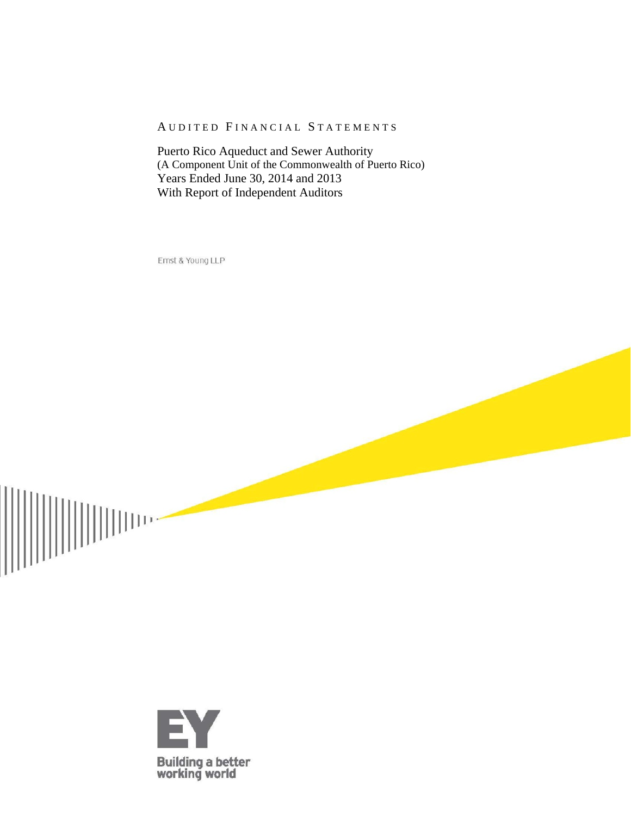### AUDITED FINANCIAL STATEMENTS

Puerto Rico Aqueduct and Sewer Authority (A Component Unit of the Commonwealth of Puerto Rico) Years Ended June 30, 2014 and 2013 With Report of Independent Auditors

Ernst & Young LLP



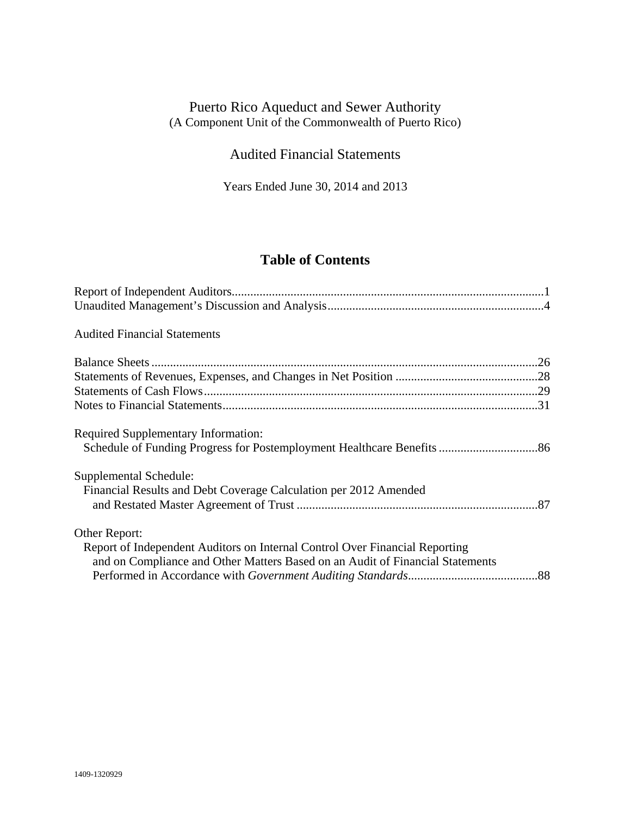## Audited Financial Statements

Years Ended June 30, 2014 and 2013

# **Table of Contents**

| <b>Audited Financial Statements</b>                                           |
|-------------------------------------------------------------------------------|
|                                                                               |
|                                                                               |
|                                                                               |
|                                                                               |
|                                                                               |
| Required Supplementary Information:                                           |
|                                                                               |
|                                                                               |
| Supplemental Schedule:                                                        |
| Financial Results and Debt Coverage Calculation per 2012 Amended              |
|                                                                               |
|                                                                               |
| Other Report:                                                                 |
| Report of Independent Auditors on Internal Control Over Financial Reporting   |
| and on Compliance and Other Matters Based on an Audit of Financial Statements |
|                                                                               |
|                                                                               |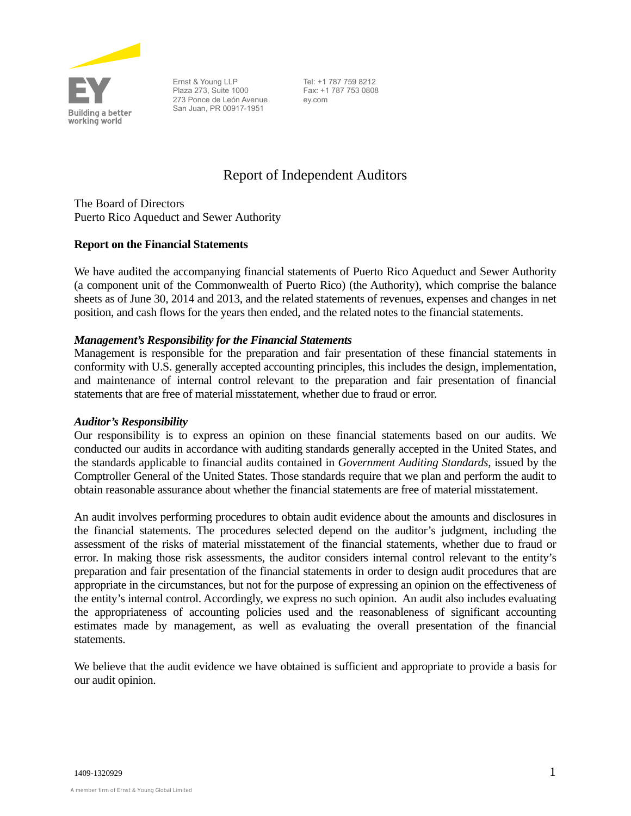

Ernst & Young LLP Plaza 273, Suite 1000 273 Ponce de León Avenue San Juan, PR 00917-1951

 Tel: +1 787 759 8212 Fax: +1 787 753 0808 ey.com

# Report of Independent Auditors

The Board of Directors Puerto Rico Aqueduct and Sewer Authority

#### **Report on the Financial Statements**

We have audited the accompanying financial statements of Puerto Rico Aqueduct and Sewer Authority (a component unit of the Commonwealth of Puerto Rico) (the Authority), which comprise the balance sheets as of June 30, 2014 and 2013, and the related statements of revenues, expenses and changes in net position, and cash flows for the years then ended, and the related notes to the financial statements.

#### *Management's Responsibility for the Financial Statements*

Management is responsible for the preparation and fair presentation of these financial statements in conformity with U.S. generally accepted accounting principles, this includes the design, implementation, and maintenance of internal control relevant to the preparation and fair presentation of financial statements that are free of material misstatement, whether due to fraud or error.

#### *Auditor's Responsibility*

Our responsibility is to express an opinion on these financial statements based on our audits. We conducted our audits in accordance with auditing standards generally accepted in the United States, and the standards applicable to financial audits contained in *Government Auditing Standards*, issued by the Comptroller General of the United States. Those standards require that we plan and perform the audit to obtain reasonable assurance about whether the financial statements are free of material misstatement.

An audit involves performing procedures to obtain audit evidence about the amounts and disclosures in the financial statements. The procedures selected depend on the auditor's judgment, including the assessment of the risks of material misstatement of the financial statements, whether due to fraud or error. In making those risk assessments, the auditor considers internal control relevant to the entity's preparation and fair presentation of the financial statements in order to design audit procedures that are appropriate in the circumstances, but not for the purpose of expressing an opinion on the effectiveness of the entity's internal control. Accordingly, we express no such opinion. An audit also includes evaluating the appropriateness of accounting policies used and the reasonableness of significant accounting estimates made by management, as well as evaluating the overall presentation of the financial statements.

We believe that the audit evidence we have obtained is sufficient and appropriate to provide a basis for our audit opinion.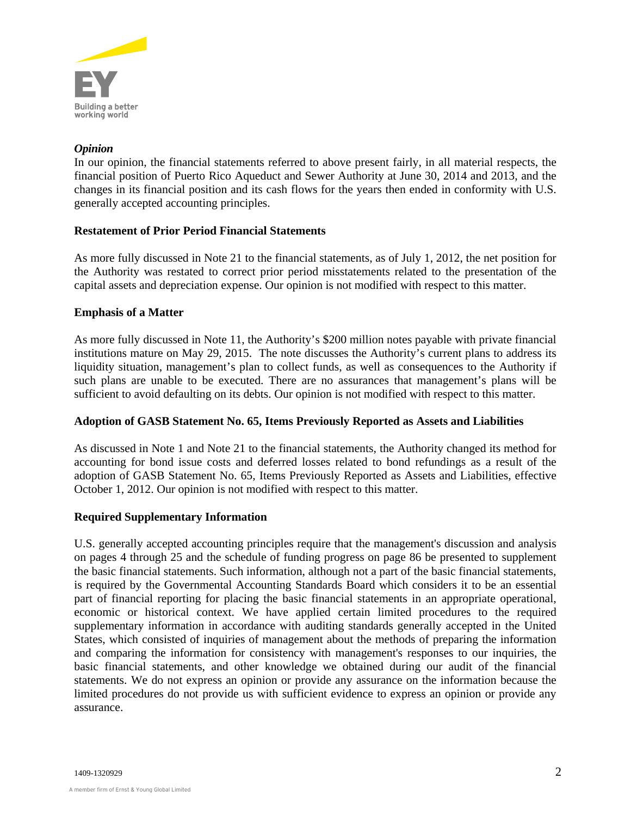

#### *Opinion*

In our opinion, the financial statements referred to above present fairly, in all material respects, the financial position of Puerto Rico Aqueduct and Sewer Authority at June 30, 2014 and 2013, and the changes in its financial position and its cash flows for the years then ended in conformity with U.S. generally accepted accounting principles.

#### **Restatement of Prior Period Financial Statements**

As more fully discussed in Note 21 to the financial statements, as of July 1, 2012, the net position for the Authority was restated to correct prior period misstatements related to the presentation of the capital assets and depreciation expense. Our opinion is not modified with respect to this matter.

#### **Emphasis of a Matter**

As more fully discussed in Note 11, the Authority's \$200 million notes payable with private financial institutions mature on May 29, 2015. The note discusses the Authority's current plans to address its liquidity situation, management's plan to collect funds, as well as consequences to the Authority if such plans are unable to be executed. There are no assurances that management's plans will be sufficient to avoid defaulting on its debts. Our opinion is not modified with respect to this matter.

#### **Adoption of GASB Statement No. 65, Items Previously Reported as Assets and Liabilities**

As discussed in Note 1 and Note 21 to the financial statements, the Authority changed its method for accounting for bond issue costs and deferred losses related to bond refundings as a result of the adoption of GASB Statement No. 65, Items Previously Reported as Assets and Liabilities, effective October 1, 2012. Our opinion is not modified with respect to this matter.

#### **Required Supplementary Information**

U.S. generally accepted accounting principles require that the management's discussion and analysis on pages 4 through 25 and the schedule of funding progress on page 86 be presented to supplement the basic financial statements. Such information, although not a part of the basic financial statements, is required by the Governmental Accounting Standards Board which considers it to be an essential part of financial reporting for placing the basic financial statements in an appropriate operational, economic or historical context. We have applied certain limited procedures to the required supplementary information in accordance with auditing standards generally accepted in the United States, which consisted of inquiries of management about the methods of preparing the information and comparing the information for consistency with management's responses to our inquiries, the basic financial statements, and other knowledge we obtained during our audit of the financial statements. We do not express an opinion or provide any assurance on the information because the limited procedures do not provide us with sufficient evidence to express an opinion or provide any assurance.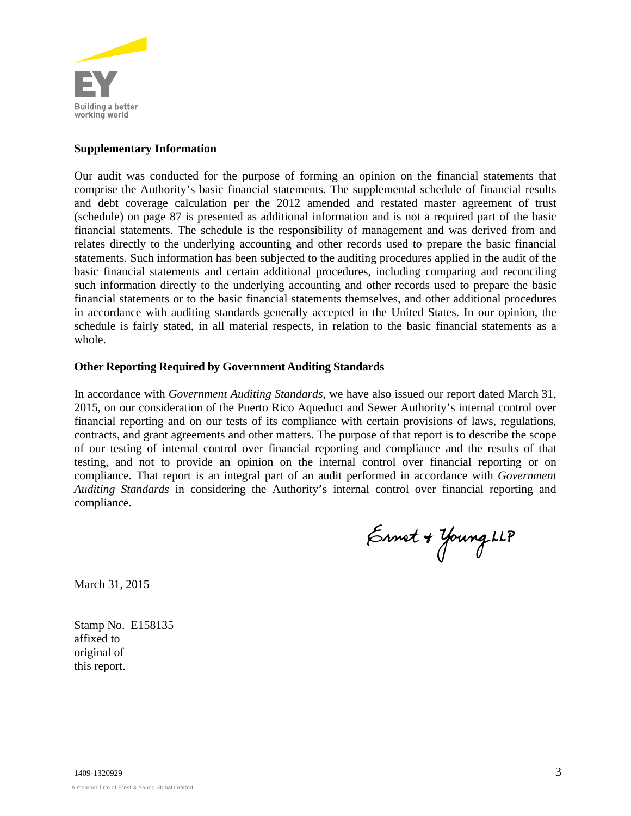

#### **Supplementary Information**

Our audit was conducted for the purpose of forming an opinion on the financial statements that comprise the Authority's basic financial statements. The supplemental schedule of financial results and debt coverage calculation per the 2012 amended and restated master agreement of trust (schedule) on page 87 is presented as additional information and is not a required part of the basic financial statements. The schedule is the responsibility of management and was derived from and relates directly to the underlying accounting and other records used to prepare the basic financial statements. Such information has been subjected to the auditing procedures applied in the audit of the basic financial statements and certain additional procedures, including comparing and reconciling such information directly to the underlying accounting and other records used to prepare the basic financial statements or to the basic financial statements themselves, and other additional procedures in accordance with auditing standards generally accepted in the United States. In our opinion, the schedule is fairly stated, in all material respects, in relation to the basic financial statements as a whole.

#### **Other Reporting Required by Government Auditing Standards**

In accordance with *Government Auditing Standards*, we have also issued our report dated March 31, 2015, on our consideration of the Puerto Rico Aqueduct and Sewer Authority's internal control over financial reporting and on our tests of its compliance with certain provisions of laws, regulations, contracts, and grant agreements and other matters. The purpose of that report is to describe the scope of our testing of internal control over financial reporting and compliance and the results of that testing, and not to provide an opinion on the internal control over financial reporting or on compliance. That report is an integral part of an audit performed in accordance with *Government Auditing Standards* in considering the Authority's internal control over financial reporting and compliance.

Ernet + Young LLP

March 31, 2015

Stamp No. E158135 affixed to original of this report.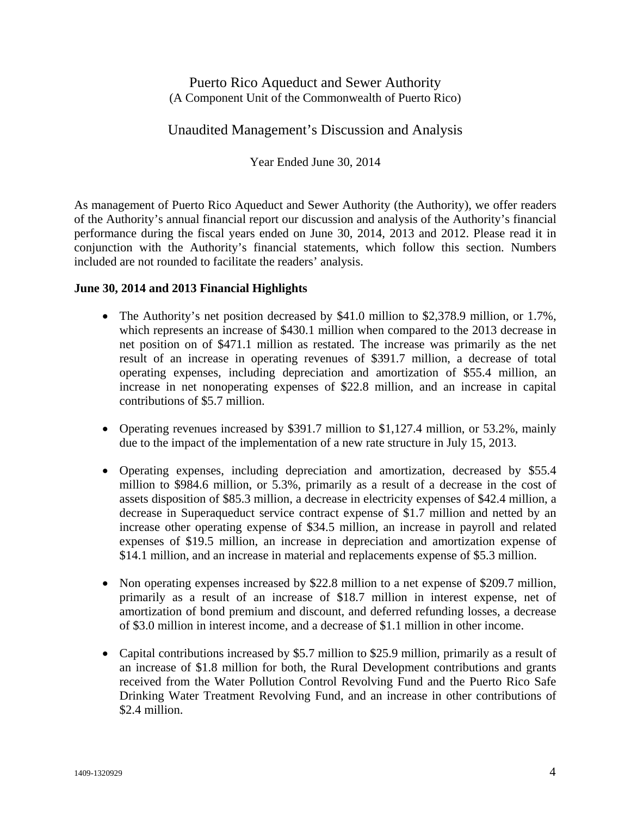Unaudited Management's Discussion and Analysis

Year Ended June 30, 2014

As management of Puerto Rico Aqueduct and Sewer Authority (the Authority), we offer readers of the Authority's annual financial report our discussion and analysis of the Authority's financial performance during the fiscal years ended on June 30, 2014, 2013 and 2012. Please read it in conjunction with the Authority's financial statements, which follow this section. Numbers included are not rounded to facilitate the readers' analysis.

### **June 30, 2014 and 2013 Financial Highlights**

- The Authority's net position decreased by \$41.0 million to \$2,378.9 million, or 1.7%, which represents an increase of \$430.1 million when compared to the 2013 decrease in net position on of \$471.1 million as restated. The increase was primarily as the net result of an increase in operating revenues of \$391.7 million, a decrease of total operating expenses, including depreciation and amortization of \$55.4 million, an increase in net nonoperating expenses of \$22.8 million, and an increase in capital contributions of \$5.7 million.
- Operating revenues increased by \$391.7 million to \$1,127.4 million, or 53.2%, mainly due to the impact of the implementation of a new rate structure in July 15, 2013.
- Operating expenses, including depreciation and amortization, decreased by \$55.4 million to \$984.6 million, or 5.3%, primarily as a result of a decrease in the cost of assets disposition of \$85.3 million, a decrease in electricity expenses of \$42.4 million, a decrease in Superaqueduct service contract expense of \$1.7 million and netted by an increase other operating expense of \$34.5 million, an increase in payroll and related expenses of \$19.5 million, an increase in depreciation and amortization expense of \$14.1 million, and an increase in material and replacements expense of \$5.3 million.
- Non operating expenses increased by \$22.8 million to a net expense of \$209.7 million, primarily as a result of an increase of \$18.7 million in interest expense, net of amortization of bond premium and discount, and deferred refunding losses, a decrease of \$3.0 million in interest income, and a decrease of \$1.1 million in other income.
- Capital contributions increased by \$5.7 million to \$25.9 million, primarily as a result of an increase of \$1.8 million for both, the Rural Development contributions and grants received from the Water Pollution Control Revolving Fund and the Puerto Rico Safe Drinking Water Treatment Revolving Fund, and an increase in other contributions of \$2.4 million.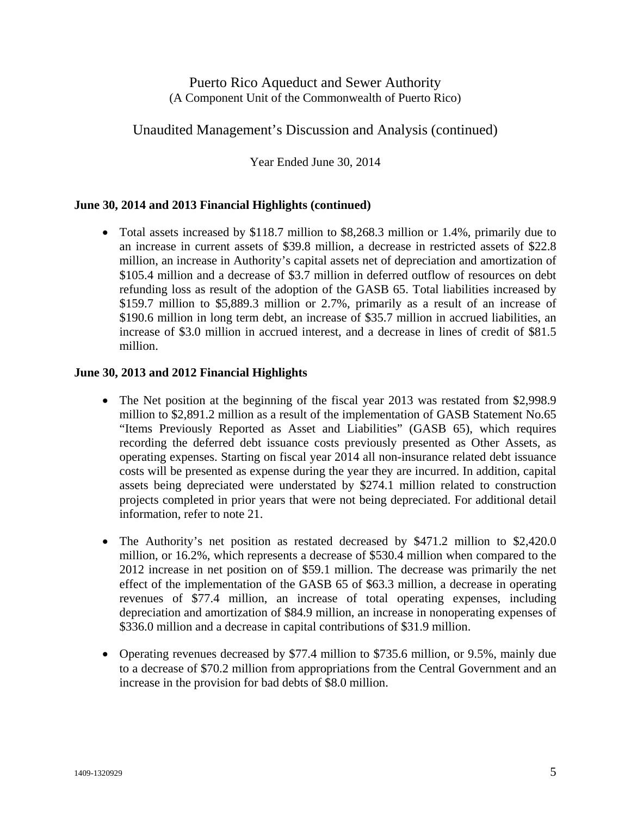## Unaudited Management's Discussion and Analysis (continued)

Year Ended June 30, 2014

#### **June 30, 2014 and 2013 Financial Highlights (continued)**

 Total assets increased by \$118.7 million to \$8,268.3 million or 1.4%, primarily due to an increase in current assets of \$39.8 million, a decrease in restricted assets of \$22.8 million, an increase in Authority's capital assets net of depreciation and amortization of \$105.4 million and a decrease of \$3.7 million in deferred outflow of resources on debt refunding loss as result of the adoption of the GASB 65. Total liabilities increased by \$159.7 million to \$5,889.3 million or 2.7%, primarily as a result of an increase of \$190.6 million in long term debt, an increase of \$35.7 million in accrued liabilities, an increase of \$3.0 million in accrued interest, and a decrease in lines of credit of \$81.5 million.

#### **June 30, 2013 and 2012 Financial Highlights**

- The Net position at the beginning of the fiscal year 2013 was restated from \$2,998.9 million to \$2,891.2 million as a result of the implementation of GASB Statement No.65 "Items Previously Reported as Asset and Liabilities" (GASB 65), which requires recording the deferred debt issuance costs previously presented as Other Assets, as operating expenses. Starting on fiscal year 2014 all non-insurance related debt issuance costs will be presented as expense during the year they are incurred. In addition, capital assets being depreciated were understated by \$274.1 million related to construction projects completed in prior years that were not being depreciated. For additional detail information, refer to note 21.
- The Authority's net position as restated decreased by \$471.2 million to \$2,420.0 million, or 16.2%, which represents a decrease of \$530.4 million when compared to the 2012 increase in net position on of \$59.1 million. The decrease was primarily the net effect of the implementation of the GASB 65 of \$63.3 million, a decrease in operating revenues of \$77.4 million, an increase of total operating expenses, including depreciation and amortization of \$84.9 million, an increase in nonoperating expenses of \$336.0 million and a decrease in capital contributions of \$31.9 million.
- Operating revenues decreased by \$77.4 million to \$735.6 million, or 9.5%, mainly due to a decrease of \$70.2 million from appropriations from the Central Government and an increase in the provision for bad debts of \$8.0 million.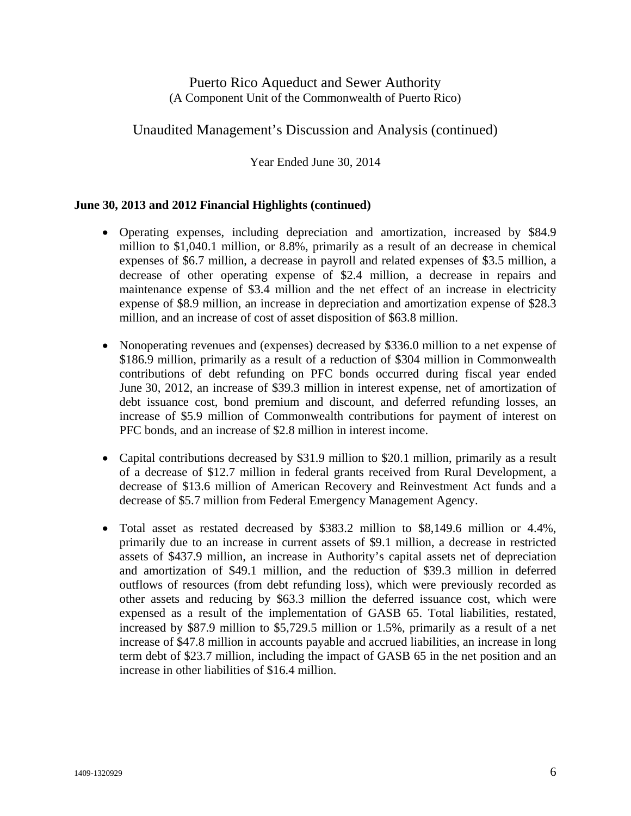## Unaudited Management's Discussion and Analysis (continued)

Year Ended June 30, 2014

#### **June 30, 2013 and 2012 Financial Highlights (continued)**

- Operating expenses, including depreciation and amortization, increased by \$84.9 million to \$1,040.1 million, or 8.8%, primarily as a result of an decrease in chemical expenses of \$6.7 million, a decrease in payroll and related expenses of \$3.5 million, a decrease of other operating expense of \$2.4 million, a decrease in repairs and maintenance expense of \$3.4 million and the net effect of an increase in electricity expense of \$8.9 million, an increase in depreciation and amortization expense of \$28.3 million, and an increase of cost of asset disposition of \$63.8 million.
- Nonoperating revenues and (expenses) decreased by \$336.0 million to a net expense of \$186.9 million, primarily as a result of a reduction of \$304 million in Commonwealth contributions of debt refunding on PFC bonds occurred during fiscal year ended June 30, 2012, an increase of \$39.3 million in interest expense, net of amortization of debt issuance cost, bond premium and discount, and deferred refunding losses, an increase of \$5.9 million of Commonwealth contributions for payment of interest on PFC bonds, and an increase of \$2.8 million in interest income.
- Capital contributions decreased by \$31.9 million to \$20.1 million, primarily as a result of a decrease of \$12.7 million in federal grants received from Rural Development, a decrease of \$13.6 million of American Recovery and Reinvestment Act funds and a decrease of \$5.7 million from Federal Emergency Management Agency.
- Total asset as restated decreased by \$383.2 million to \$8,149.6 million or 4.4%, primarily due to an increase in current assets of \$9.1 million, a decrease in restricted assets of \$437.9 million, an increase in Authority's capital assets net of depreciation and amortization of \$49.1 million, and the reduction of \$39.3 million in deferred outflows of resources (from debt refunding loss), which were previously recorded as other assets and reducing by \$63.3 million the deferred issuance cost, which were expensed as a result of the implementation of GASB 65. Total liabilities, restated, increased by \$87.9 million to \$5,729.5 million or 1.5%, primarily as a result of a net increase of \$47.8 million in accounts payable and accrued liabilities, an increase in long term debt of \$23.7 million, including the impact of GASB 65 in the net position and an increase in other liabilities of \$16.4 million.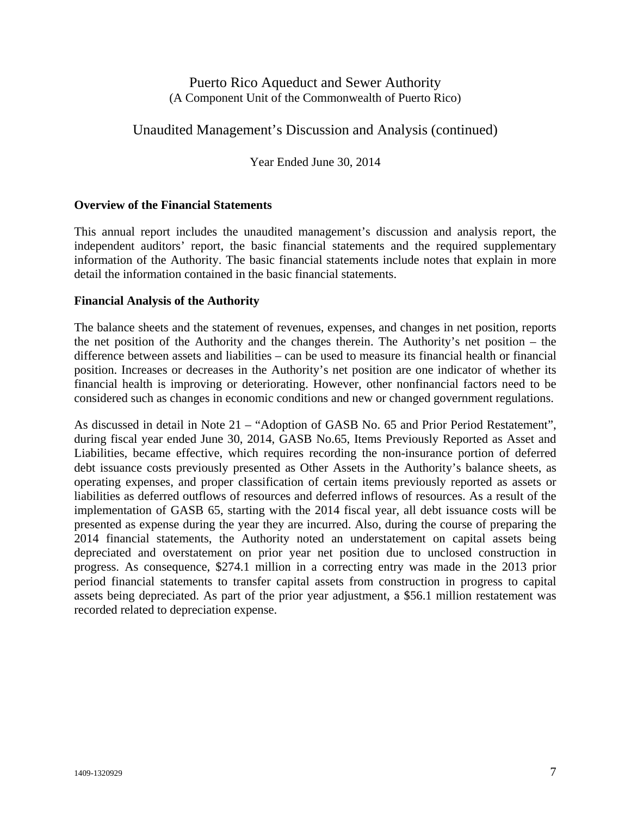### Unaudited Management's Discussion and Analysis (continued)

Year Ended June 30, 2014

#### **Overview of the Financial Statements**

This annual report includes the unaudited management's discussion and analysis report, the independent auditors' report, the basic financial statements and the required supplementary information of the Authority. The basic financial statements include notes that explain in more detail the information contained in the basic financial statements.

#### **Financial Analysis of the Authority**

The balance sheets and the statement of revenues, expenses, and changes in net position, reports the net position of the Authority and the changes therein. The Authority's net position – the difference between assets and liabilities – can be used to measure its financial health or financial position. Increases or decreases in the Authority's net position are one indicator of whether its financial health is improving or deteriorating. However, other nonfinancial factors need to be considered such as changes in economic conditions and new or changed government regulations.

As discussed in detail in Note 21 – "Adoption of GASB No. 65 and Prior Period Restatement", during fiscal year ended June 30, 2014, GASB No.65, Items Previously Reported as Asset and Liabilities, became effective, which requires recording the non-insurance portion of deferred debt issuance costs previously presented as Other Assets in the Authority's balance sheets, as operating expenses, and proper classification of certain items previously reported as assets or liabilities as deferred outflows of resources and deferred inflows of resources. As a result of the implementation of GASB 65, starting with the 2014 fiscal year, all debt issuance costs will be presented as expense during the year they are incurred. Also, during the course of preparing the 2014 financial statements, the Authority noted an understatement on capital assets being depreciated and overstatement on prior year net position due to unclosed construction in progress. As consequence, \$274.1 million in a correcting entry was made in the 2013 prior period financial statements to transfer capital assets from construction in progress to capital assets being depreciated. As part of the prior year adjustment, a \$56.1 million restatement was recorded related to depreciation expense.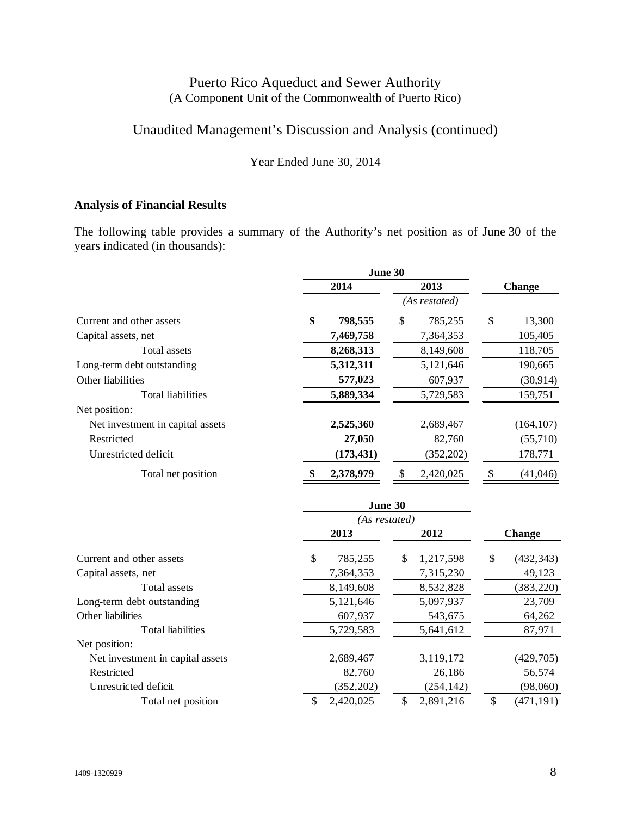## Unaudited Management's Discussion and Analysis (continued)

Year Ended June 30, 2014

## **Analysis of Financial Results**

The following table provides a summary of the Authority's net position as of June 30 of the years indicated (in thousands):

|                                  | June 30         |                 |                |
|----------------------------------|-----------------|-----------------|----------------|
|                                  | 2014            | 2013            | <b>Change</b>  |
|                                  |                 | (As restated)   |                |
| Current and other assets         | \$<br>798,555   | \$<br>785,255   | \$<br>13,300   |
| Capital assets, net              | 7,469,758       | 7,364,353       | 105,405        |
| Total assets                     | 8,268,313       | 8,149,608       | 118,705        |
| Long-term debt outstanding       | 5,312,311       | 5,121,646       | 190,665        |
| Other liabilities                | 577,023         | 607,937         | (30, 914)      |
| Total liabilities                | 5,889,334       | 5,729,583       | 159,751        |
| Net position:                    |                 |                 |                |
| Net investment in capital assets | 2,525,360       | 2,689,467       | (164, 107)     |
| Restricted                       | 27,050          | 82,760          | (55,710)       |
| Unrestricted deficit             | (173, 431)      | (352, 202)      | 178,771        |
| Total net position               | 2,378,979<br>\$ | \$<br>2,420,025 | \$<br>(41,046) |

|                                  | June 30       |                 |                  |
|----------------------------------|---------------|-----------------|------------------|
|                                  | (As restated) |                 |                  |
|                                  | 2013          | 2012            | <b>Change</b>    |
| Current and other assets         | \$<br>785,255 | \$<br>1,217,598 | \$<br>(432, 343) |
| Capital assets, net              | 7,364,353     | 7,315,230       | 49,123           |
| Total assets                     | 8,149,608     | 8,532,828       | (383, 220)       |
| Long-term debt outstanding       | 5,121,646     | 5,097,937       | 23,709           |
| Other liabilities                | 607,937       | 543,675         | 64,262           |
| <b>Total liabilities</b>         | 5,729,583     | 5,641,612       | 87,971           |
| Net position:                    |               |                 |                  |
| Net investment in capital assets | 2,689,467     | 3,119,172       | (429, 705)       |
| Restricted                       | 82,760        | 26,186          | 56,574           |
| Unrestricted deficit             | (352, 202)    | (254, 142)      | (98,060)         |
| Total net position               | 2,420,025     | 2,891,216       | (471, 191)       |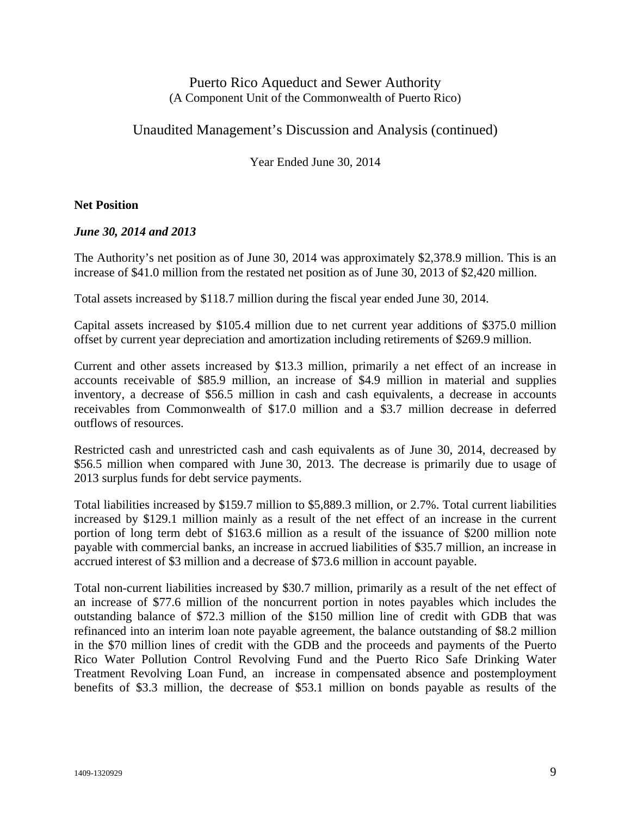## Unaudited Management's Discussion and Analysis (continued)

Year Ended June 30, 2014

#### **Net Position**

#### *June 30, 2014 and 2013*

The Authority's net position as of June 30, 2014 was approximately \$2,378.9 million. This is an increase of \$41.0 million from the restated net position as of June 30, 2013 of \$2,420 million.

Total assets increased by \$118.7 million during the fiscal year ended June 30, 2014.

Capital assets increased by \$105.4 million due to net current year additions of \$375.0 million offset by current year depreciation and amortization including retirements of \$269.9 million.

Current and other assets increased by \$13.3 million, primarily a net effect of an increase in accounts receivable of \$85.9 million, an increase of \$4.9 million in material and supplies inventory, a decrease of \$56.5 million in cash and cash equivalents, a decrease in accounts receivables from Commonwealth of \$17.0 million and a \$3.7 million decrease in deferred outflows of resources.

Restricted cash and unrestricted cash and cash equivalents as of June 30, 2014, decreased by \$56.5 million when compared with June 30, 2013. The decrease is primarily due to usage of 2013 surplus funds for debt service payments.

Total liabilities increased by \$159.7 million to \$5,889.3 million, or 2.7%. Total current liabilities increased by \$129.1 million mainly as a result of the net effect of an increase in the current portion of long term debt of \$163.6 million as a result of the issuance of \$200 million note payable with commercial banks, an increase in accrued liabilities of \$35.7 million, an increase in accrued interest of \$3 million and a decrease of \$73.6 million in account payable.

Total non-current liabilities increased by \$30.7 million, primarily as a result of the net effect of an increase of \$77.6 million of the noncurrent portion in notes payables which includes the outstanding balance of \$72.3 million of the \$150 million line of credit with GDB that was refinanced into an interim loan note payable agreement, the balance outstanding of \$8.2 million in the \$70 million lines of credit with the GDB and the proceeds and payments of the Puerto Rico Water Pollution Control Revolving Fund and the Puerto Rico Safe Drinking Water Treatment Revolving Loan Fund, an increase in compensated absence and postemployment benefits of \$3.3 million, the decrease of \$53.1 million on bonds payable as results of the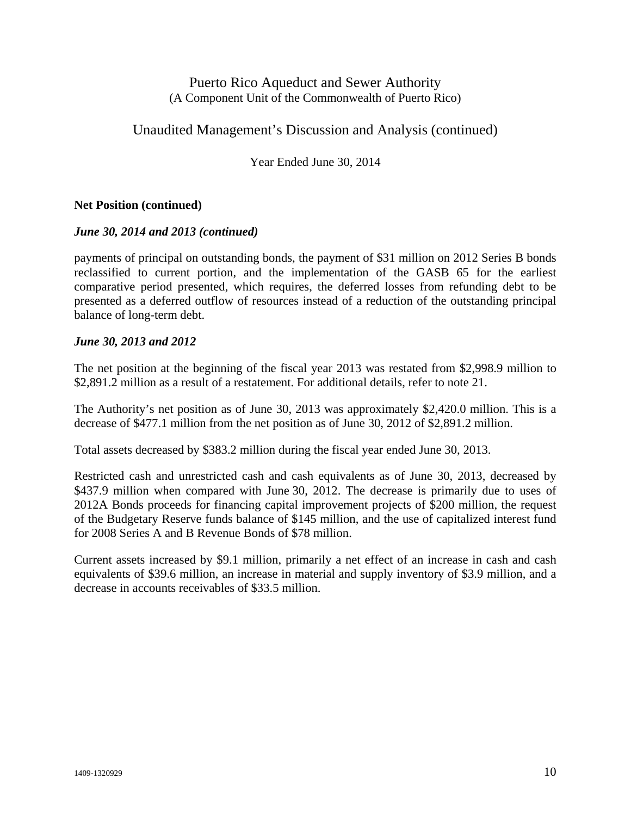## Unaudited Management's Discussion and Analysis (continued)

Year Ended June 30, 2014

#### **Net Position (continued)**

#### *June 30, 2014 and 2013 (continued)*

payments of principal on outstanding bonds, the payment of \$31 million on 2012 Series B bonds reclassified to current portion, and the implementation of the GASB 65 for the earliest comparative period presented, which requires, the deferred losses from refunding debt to be presented as a deferred outflow of resources instead of a reduction of the outstanding principal balance of long-term debt.

#### *June 30, 2013 and 2012*

The net position at the beginning of the fiscal year 2013 was restated from \$2,998.9 million to \$2,891.2 million as a result of a restatement. For additional details, refer to note 21.

The Authority's net position as of June 30, 2013 was approximately \$2,420.0 million. This is a decrease of \$477.1 million from the net position as of June 30, 2012 of \$2,891.2 million.

Total assets decreased by \$383.2 million during the fiscal year ended June 30, 2013.

Restricted cash and unrestricted cash and cash equivalents as of June 30, 2013, decreased by \$437.9 million when compared with June 30, 2012. The decrease is primarily due to uses of 2012A Bonds proceeds for financing capital improvement projects of \$200 million, the request of the Budgetary Reserve funds balance of \$145 million, and the use of capitalized interest fund for 2008 Series A and B Revenue Bonds of \$78 million.

Current assets increased by \$9.1 million, primarily a net effect of an increase in cash and cash equivalents of \$39.6 million, an increase in material and supply inventory of \$3.9 million, and a decrease in accounts receivables of \$33.5 million.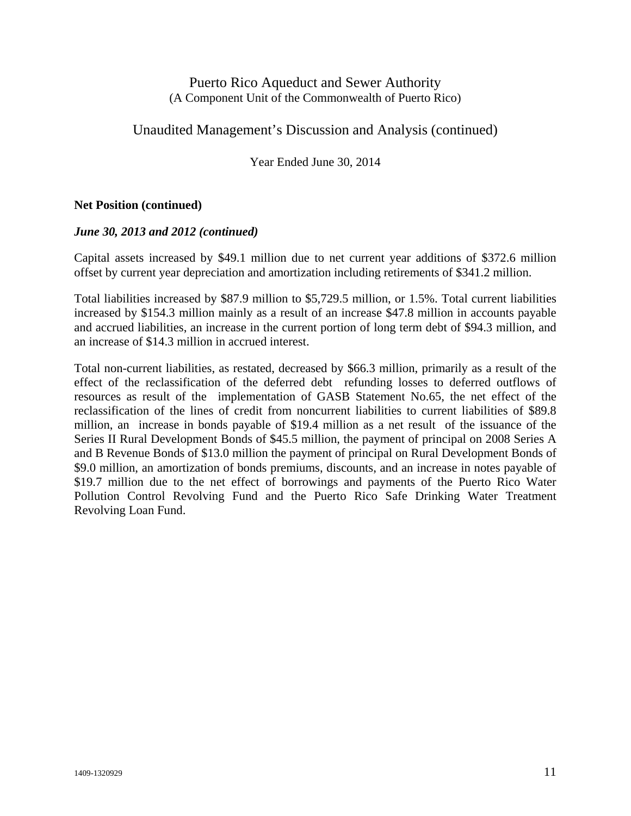## Unaudited Management's Discussion and Analysis (continued)

Year Ended June 30, 2014

#### **Net Position (continued)**

#### *June 30, 2013 and 2012 (continued)*

Capital assets increased by \$49.1 million due to net current year additions of \$372.6 million offset by current year depreciation and amortization including retirements of \$341.2 million.

Total liabilities increased by \$87.9 million to \$5,729.5 million, or 1.5%. Total current liabilities increased by \$154.3 million mainly as a result of an increase \$47.8 million in accounts payable and accrued liabilities, an increase in the current portion of long term debt of \$94.3 million, and an increase of \$14.3 million in accrued interest.

Total non-current liabilities, as restated, decreased by \$66.3 million, primarily as a result of the effect of the reclassification of the deferred debt refunding losses to deferred outflows of resources as result of the implementation of GASB Statement No.65, the net effect of the reclassification of the lines of credit from noncurrent liabilities to current liabilities of \$89.8 million, an increase in bonds payable of \$19.4 million as a net result of the issuance of the Series II Rural Development Bonds of \$45.5 million, the payment of principal on 2008 Series A and B Revenue Bonds of \$13.0 million the payment of principal on Rural Development Bonds of \$9.0 million, an amortization of bonds premiums, discounts, and an increase in notes payable of \$19.7 million due to the net effect of borrowings and payments of the Puerto Rico Water Pollution Control Revolving Fund and the Puerto Rico Safe Drinking Water Treatment Revolving Loan Fund.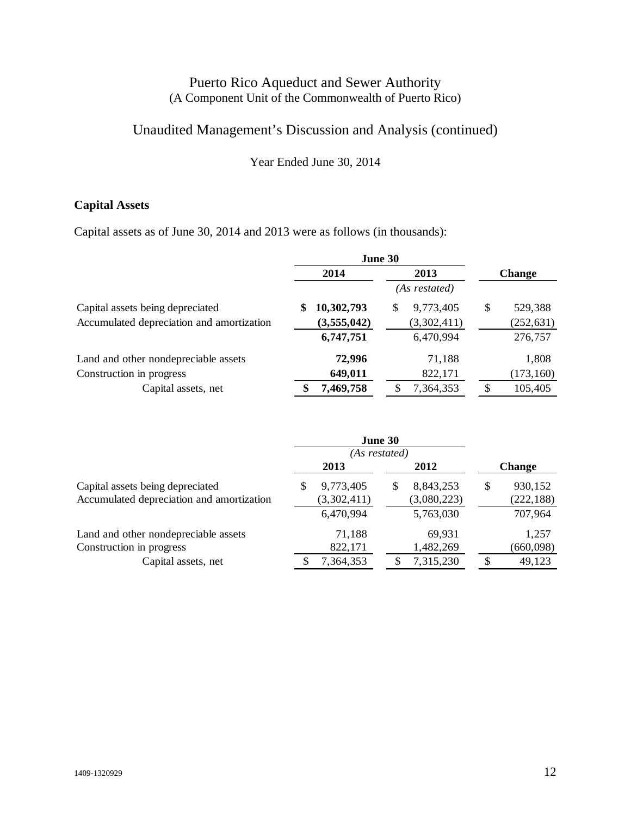# Unaudited Management's Discussion and Analysis (continued)

Year Ended June 30, 2014

## **Capital Assets**

Capital assets as of June 30, 2014 and 2013 were as follows (in thousands):

|                                           | June 30          |                 |               |
|-------------------------------------------|------------------|-----------------|---------------|
|                                           | 2014             | 2013            | <b>Change</b> |
|                                           |                  | (As restated)   |               |
| Capital assets being depreciated          | 10,302,793<br>\$ | 9,773,405<br>\$ | \$<br>529,388 |
| Accumulated depreciation and amortization | (3,555,042)      | (3,302,411)     | (252, 631)    |
|                                           | 6,747,751        | 6,470,994       | 276,757       |
| Land and other nondepreciable assets      | 72,996           | 71,188          | 1,808         |
| Construction in progress                  | 649,011          | 822,171         | (173, 160)    |
| Capital assets, net                       | 7,469,758        | 7,364,353       | 105,405       |

|                                           | June 30         |                |               |
|-------------------------------------------|-----------------|----------------|---------------|
|                                           | (As restated)   |                |               |
|                                           | 2013            | 2012           | <b>Change</b> |
| Capital assets being depreciated          | 9,773,405<br>\$ | 8,843,253<br>S | 930,152<br>\$ |
| Accumulated depreciation and amortization | (3,302,411)     | (3,080,223)    | (222, 188)    |
|                                           | 6,470,994       | 5,763,030      | 707,964       |
| Land and other nondepreciable assets      | 71,188          | 69,931         | 1,257         |
| Construction in progress                  | 822,171         | 1,482,269      | (660,098)     |
| Capital assets, net                       | 7,364,353       | 7,315,230      | 49,123<br>S   |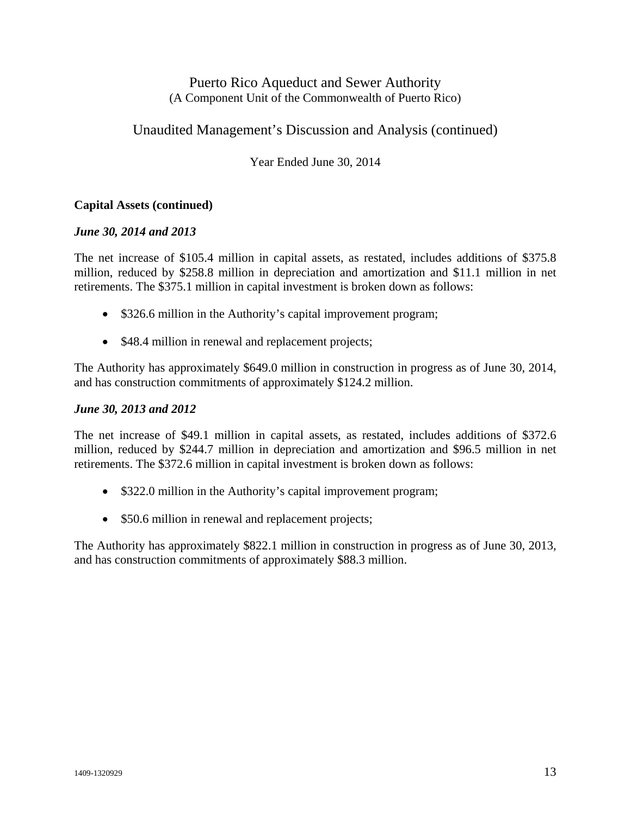## Unaudited Management's Discussion and Analysis (continued)

Year Ended June 30, 2014

#### **Capital Assets (continued)**

#### *June 30, 2014 and 2013*

The net increase of \$105.4 million in capital assets, as restated, includes additions of \$375.8 million, reduced by \$258.8 million in depreciation and amortization and \$11.1 million in net retirements. The \$375.1 million in capital investment is broken down as follows:

- \$326.6 million in the Authority's capital improvement program;
- \$48.4 million in renewal and replacement projects;

The Authority has approximately \$649.0 million in construction in progress as of June 30, 2014, and has construction commitments of approximately \$124.2 million.

#### *June 30, 2013 and 2012*

The net increase of \$49.1 million in capital assets, as restated, includes additions of \$372.6 million, reduced by \$244.7 million in depreciation and amortization and \$96.5 million in net retirements. The \$372.6 million in capital investment is broken down as follows:

- \$322.0 million in the Authority's capital improvement program;
- \$50.6 million in renewal and replacement projects;

The Authority has approximately \$822.1 million in construction in progress as of June 30, 2013, and has construction commitments of approximately \$88.3 million.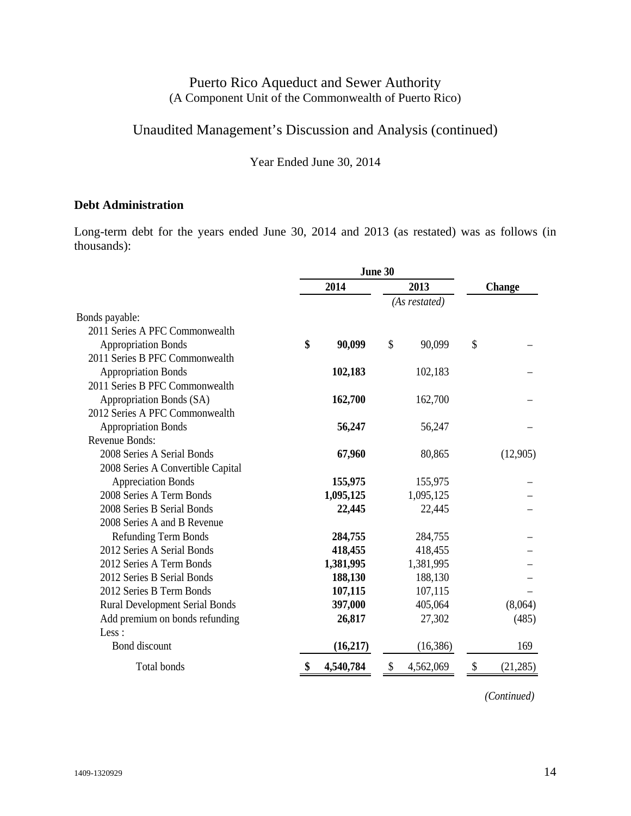## Unaudited Management's Discussion and Analysis (continued)

Year Ended June 30, 2014

### **Debt Administration**

Long-term debt for the years ended June 30, 2014 and 2013 (as restated) was as follows (in thousands):

|                                       | June 30      |           |    |               |                 |  |               |
|---------------------------------------|--------------|-----------|----|---------------|-----------------|--|---------------|
|                                       | 2014<br>2013 |           |    |               |                 |  | <b>Change</b> |
|                                       |              |           |    | (As restated) |                 |  |               |
| Bonds payable:                        |              |           |    |               |                 |  |               |
| 2011 Series A PFC Commonwealth        |              |           |    |               |                 |  |               |
| <b>Appropriation Bonds</b>            | \$           | 90,099    | \$ | 90,099        | \$              |  |               |
| 2011 Series B PFC Commonwealth        |              |           |    |               |                 |  |               |
| <b>Appropriation Bonds</b>            |              | 102,183   |    | 102,183       |                 |  |               |
| 2011 Series B PFC Commonwealth        |              |           |    |               |                 |  |               |
| Appropriation Bonds (SA)              |              | 162,700   |    | 162,700       |                 |  |               |
| 2012 Series A PFC Commonwealth        |              |           |    |               |                 |  |               |
| <b>Appropriation Bonds</b>            |              | 56,247    |    | 56,247        |                 |  |               |
| Revenue Bonds:                        |              |           |    |               |                 |  |               |
| 2008 Series A Serial Bonds            |              | 67,960    |    | 80,865        | (12,905)        |  |               |
| 2008 Series A Convertible Capital     |              |           |    |               |                 |  |               |
| <b>Appreciation Bonds</b>             |              | 155,975   |    | 155,975       |                 |  |               |
| 2008 Series A Term Bonds              |              | 1,095,125 |    | 1,095,125     |                 |  |               |
| 2008 Series B Serial Bonds            |              | 22,445    |    | 22,445        |                 |  |               |
| 2008 Series A and B Revenue           |              |           |    |               |                 |  |               |
| <b>Refunding Term Bonds</b>           |              | 284,755   |    | 284,755       |                 |  |               |
| 2012 Series A Serial Bonds            |              | 418,455   |    | 418,455       |                 |  |               |
| 2012 Series A Term Bonds              |              | 1,381,995 |    | 1,381,995     |                 |  |               |
| 2012 Series B Serial Bonds            |              | 188,130   |    | 188,130       |                 |  |               |
| 2012 Series B Term Bonds              |              | 107,115   |    | 107,115       |                 |  |               |
| <b>Rural Development Serial Bonds</b> |              | 397,000   |    | 405,064       | (8,064)         |  |               |
| Add premium on bonds refunding        |              | 26,817    |    | 27,302        | (485)           |  |               |
| Less:                                 |              |           |    |               |                 |  |               |
| Bond discount                         |              | (16,217)  |    | (16, 386)     | 169             |  |               |
| Total bonds                           | \$           | 4,540,784 | \$ | 4,562,069     | \$<br>(21, 285) |  |               |

*(Continued)*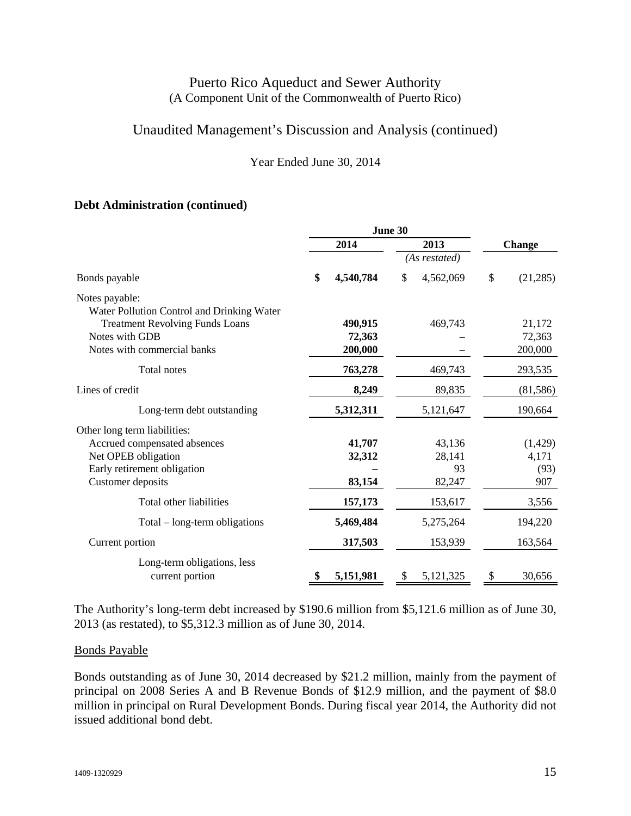## Unaudited Management's Discussion and Analysis (continued)

Year Ended June 30, 2014

#### **Debt Administration (continued)**

|                                            | June 30 |              |    |               |    |               |
|--------------------------------------------|---------|--------------|----|---------------|----|---------------|
|                                            |         | 2014<br>2013 |    |               |    | <b>Change</b> |
|                                            |         |              |    | (As restated) |    |               |
| Bonds payable                              | \$      | 4,540,784    | \$ | 4,562,069     | \$ | (21, 285)     |
| Notes payable:                             |         |              |    |               |    |               |
| Water Pollution Control and Drinking Water |         |              |    |               |    |               |
| <b>Treatment Revolving Funds Loans</b>     |         | 490,915      |    | 469,743       |    | 21,172        |
| Notes with GDB                             |         | 72,363       |    |               |    | 72,363        |
| Notes with commercial banks                |         | 200,000      |    |               |    | 200,000       |
| Total notes                                |         | 763,278      |    | 469,743       |    | 293,535       |
| Lines of credit                            |         | 8,249        |    | 89,835        |    | (81, 586)     |
| Long-term debt outstanding                 |         | 5,312,311    |    | 5,121,647     |    | 190,664       |
| Other long term liabilities:               |         |              |    |               |    |               |
| Accrued compensated absences               |         | 41,707       |    | 43,136        |    | (1,429)       |
| Net OPEB obligation                        |         | 32,312       |    | 28,141        |    | 4,171         |
| Early retirement obligation                |         |              |    | 93            |    | (93)          |
| Customer deposits                          |         | 83,154       |    | 82,247        |    | 907           |
| Total other liabilities                    |         | 157,173      |    | 153,617       |    | 3,556         |
| Total – long-term obligations              |         | 5,469,484    |    | 5,275,264     |    | 194,220       |
| Current portion                            |         | 317,503      |    | 153,939       |    | 163,564       |
| Long-term obligations, less                |         |              |    |               |    |               |
| current portion                            |         | 5,151,981    |    | 5,121,325     | \$ | 30,656        |

The Authority's long-term debt increased by \$190.6 million from \$5,121.6 million as of June 30, 2013 (as restated), to \$5,312.3 million as of June 30, 2014.

#### Bonds Payable

Bonds outstanding as of June 30, 2014 decreased by \$21.2 million, mainly from the payment of principal on 2008 Series A and B Revenue Bonds of \$12.9 million, and the payment of \$8.0 million in principal on Rural Development Bonds. During fiscal year 2014, the Authority did not issued additional bond debt.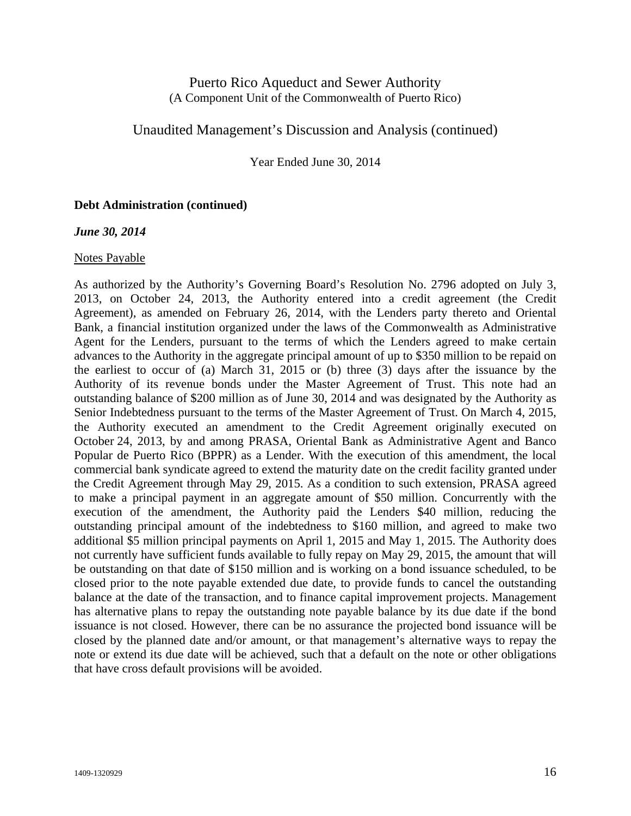#### Unaudited Management's Discussion and Analysis (continued)

Year Ended June 30, 2014

#### **Debt Administration (continued)**

#### *June 30, 2014*

#### Notes Payable

As authorized by the Authority's Governing Board's Resolution No. 2796 adopted on July 3, 2013, on October 24, 2013, the Authority entered into a credit agreement (the Credit Agreement), as amended on February 26, 2014, with the Lenders party thereto and Oriental Bank, a financial institution organized under the laws of the Commonwealth as Administrative Agent for the Lenders, pursuant to the terms of which the Lenders agreed to make certain advances to the Authority in the aggregate principal amount of up to \$350 million to be repaid on the earliest to occur of (a) March 31, 2015 or (b) three (3) days after the issuance by the Authority of its revenue bonds under the Master Agreement of Trust. This note had an outstanding balance of \$200 million as of June 30, 2014 and was designated by the Authority as Senior Indebtedness pursuant to the terms of the Master Agreement of Trust. On March 4, 2015, the Authority executed an amendment to the Credit Agreement originally executed on October 24, 2013, by and among PRASA, Oriental Bank as Administrative Agent and Banco Popular de Puerto Rico (BPPR) as a Lender. With the execution of this amendment, the local commercial bank syndicate agreed to extend the maturity date on the credit facility granted under the Credit Agreement through May 29, 2015. As a condition to such extension, PRASA agreed to make a principal payment in an aggregate amount of \$50 million. Concurrently with the execution of the amendment, the Authority paid the Lenders \$40 million, reducing the outstanding principal amount of the indebtedness to \$160 million, and agreed to make two additional \$5 million principal payments on April 1, 2015 and May 1, 2015. The Authority does not currently have sufficient funds available to fully repay on May 29, 2015, the amount that will be outstanding on that date of \$150 million and is working on a bond issuance scheduled, to be closed prior to the note payable extended due date, to provide funds to cancel the outstanding balance at the date of the transaction, and to finance capital improvement projects. Management has alternative plans to repay the outstanding note payable balance by its due date if the bond issuance is not closed. However, there can be no assurance the projected bond issuance will be closed by the planned date and/or amount, or that management's alternative ways to repay the note or extend its due date will be achieved, such that a default on the note or other obligations that have cross default provisions will be avoided.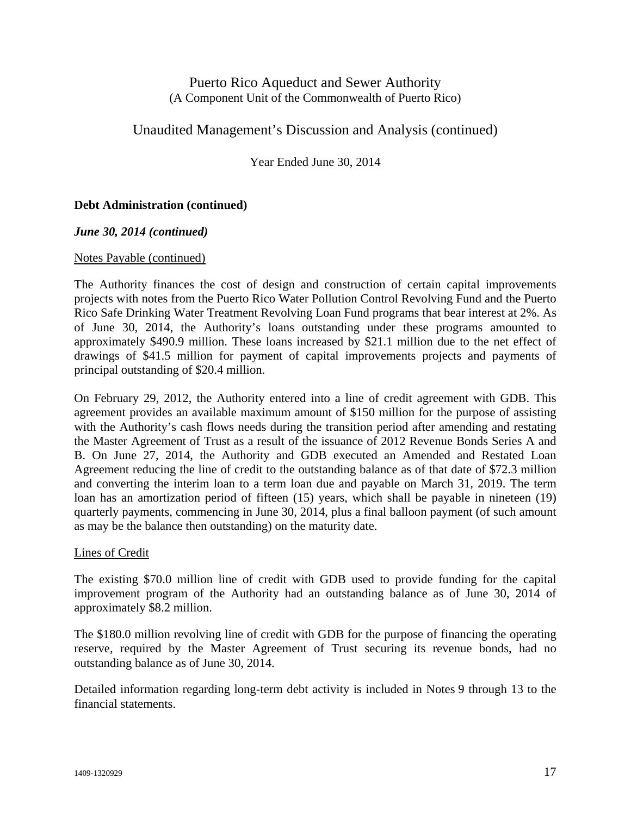## Unaudited Management's Discussion and Analysis (continued)

Year Ended June 30, 2014

#### **Debt Administration (continued)**

#### *June 30, 2014 (continued)*

#### Notes Payable (continued)

The Authority finances the cost of design and construction of certain capital improvements projects with notes from the Puerto Rico Water Pollution Control Revolving Fund and the Puerto Rico Safe Drinking Water Treatment Revolving Loan Fund programs that bear interest at 2%. As of June 30, 2014, the Authority's loans outstanding under these programs amounted to approximately \$490.9 million. These loans increased by \$21.1 million due to the net effect of drawings of \$41.5 million for payment of capital improvements projects and payments of principal outstanding of \$20.4 million.

On February 29, 2012, the Authority entered into a line of credit agreement with GDB. This agreement provides an available maximum amount of \$150 million for the purpose of assisting with the Authority's cash flows needs during the transition period after amending and restating the Master Agreement of Trust as a result of the issuance of 2012 Revenue Bonds Series A and B. On June 27, 2014, the Authority and GDB executed an Amended and Restated Loan Agreement reducing the line of credit to the outstanding balance as of that date of \$72.3 million and converting the interim loan to a term loan due and payable on March 31, 2019. The term loan has an amortization period of fifteen (15) years, which shall be payable in nineteen (19) quarterly payments, commencing in June 30, 2014, plus a final balloon payment (of such amount as may be the balance then outstanding) on the maturity date.

#### Lines of Credit

The existing \$70.0 million line of credit with GDB used to provide funding for the capital improvement program of the Authority had an outstanding balance as of June 30, 2014 of approximately \$8.2 million.

The \$180.0 million revolving line of credit with GDB for the purpose of financing the operating reserve, required by the Master Agreement of Trust securing its revenue bonds, had no outstanding balance as of June 30, 2014.

Detailed information regarding long-term debt activity is included in Notes 9 through 13 to the financial statements.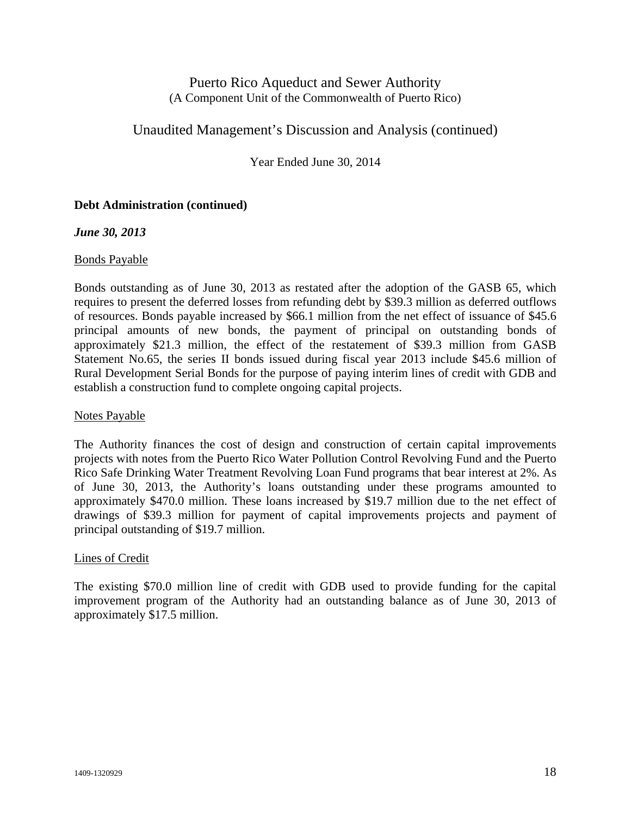## Unaudited Management's Discussion and Analysis (continued)

Year Ended June 30, 2014

#### **Debt Administration (continued)**

#### *June 30, 2013*

#### Bonds Payable

Bonds outstanding as of June 30, 2013 as restated after the adoption of the GASB 65, which requires to present the deferred losses from refunding debt by \$39.3 million as deferred outflows of resources. Bonds payable increased by \$66.1 million from the net effect of issuance of \$45.6 principal amounts of new bonds, the payment of principal on outstanding bonds of approximately \$21.3 million, the effect of the restatement of \$39.3 million from GASB Statement No.65, the series II bonds issued during fiscal year 2013 include \$45.6 million of Rural Development Serial Bonds for the purpose of paying interim lines of credit with GDB and establish a construction fund to complete ongoing capital projects.

#### Notes Payable

The Authority finances the cost of design and construction of certain capital improvements projects with notes from the Puerto Rico Water Pollution Control Revolving Fund and the Puerto Rico Safe Drinking Water Treatment Revolving Loan Fund programs that bear interest at 2%. As of June 30, 2013, the Authority's loans outstanding under these programs amounted to approximately \$470.0 million. These loans increased by \$19.7 million due to the net effect of drawings of \$39.3 million for payment of capital improvements projects and payment of principal outstanding of \$19.7 million.

#### Lines of Credit

The existing \$70.0 million line of credit with GDB used to provide funding for the capital improvement program of the Authority had an outstanding balance as of June 30, 2013 of approximately \$17.5 million.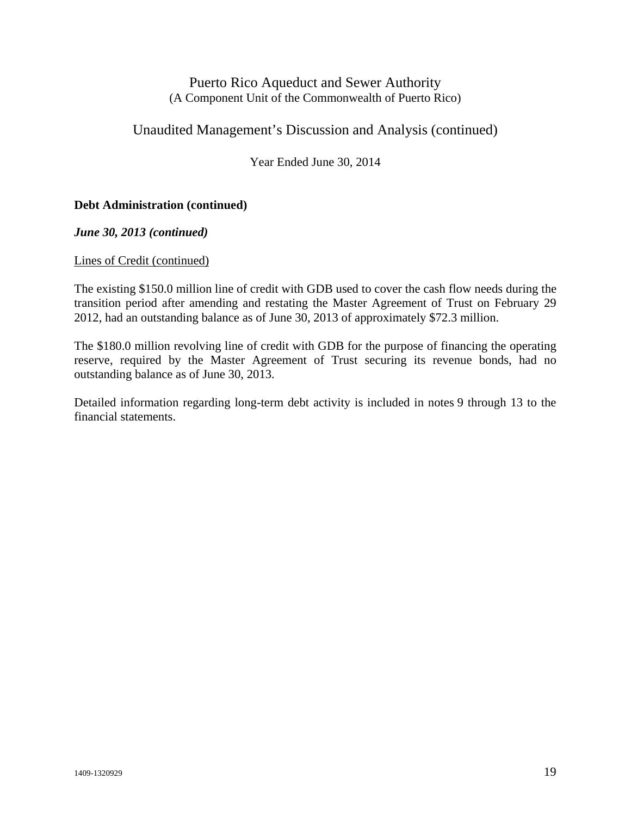## Unaudited Management's Discussion and Analysis (continued)

Year Ended June 30, 2014

#### **Debt Administration (continued)**

*June 30, 2013 (continued)* 

#### Lines of Credit (continued)

The existing \$150.0 million line of credit with GDB used to cover the cash flow needs during the transition period after amending and restating the Master Agreement of Trust on February 29 2012, had an outstanding balance as of June 30, 2013 of approximately \$72.3 million.

The \$180.0 million revolving line of credit with GDB for the purpose of financing the operating reserve, required by the Master Agreement of Trust securing its revenue bonds, had no outstanding balance as of June 30, 2013.

Detailed information regarding long-term debt activity is included in notes 9 through 13 to the financial statements.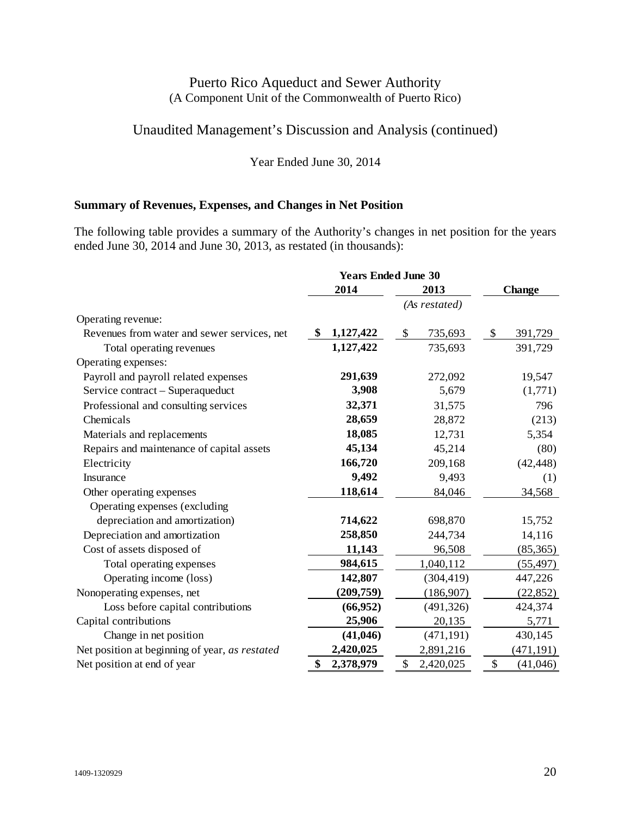## Unaudited Management's Discussion and Analysis (continued)

Year Ended June 30, 2014

## **Summary of Revenues, Expenses, and Changes in Net Position**

The following table provides a summary of the Authority's changes in net position for the years ended June 30, 2014 and June 30, 2013, as restated (in thousands):

|                                                | <b>Years Ended June 30</b> |                 |                |  |
|------------------------------------------------|----------------------------|-----------------|----------------|--|
|                                                | 2014                       | 2013            | <b>Change</b>  |  |
|                                                |                            | (As restated)   |                |  |
| Operating revenue:                             |                            |                 |                |  |
| Revenues from water and sewer services, net    | 1,127,422<br>\$            | \$<br>735,693   | \$<br>391,729  |  |
| Total operating revenues                       | 1,127,422                  | 735,693         | 391,729        |  |
| Operating expenses:                            |                            |                 |                |  |
| Payroll and payroll related expenses           | 291,639                    | 272,092         | 19,547         |  |
| Service contract - Superaqueduct               | 3,908                      | 5,679           | (1,771)        |  |
| Professional and consulting services           | 32,371                     | 31,575          | 796            |  |
| Chemicals                                      | 28,659                     | 28,872          | (213)          |  |
| Materials and replacements                     | 18,085                     | 12,731          | 5,354          |  |
| Repairs and maintenance of capital assets      | 45,134                     | 45,214          | (80)           |  |
| Electricity                                    | 166,720                    | 209,168         | (42, 448)      |  |
| Insurance                                      | 9,492                      | 9,493           | (1)            |  |
| Other operating expenses                       | 118,614                    | 84,046          | 34,568         |  |
| Operating expenses (excluding                  |                            |                 |                |  |
| depreciation and amortization)                 | 714,622                    | 698,870         | 15,752         |  |
| Depreciation and amortization                  | 258,850                    | 244,734         | 14,116         |  |
| Cost of assets disposed of                     | 11,143                     | 96,508          | (85, 365)      |  |
| Total operating expenses                       | 984,615                    | 1,040,112       | (55, 497)      |  |
| Operating income (loss)                        | 142,807                    | (304, 419)      | 447,226        |  |
| Nonoperating expenses, net                     | (209, 759)                 | (186,907)       | (22, 852)      |  |
| Loss before capital contributions              | (66, 952)                  | (491, 326)      | 424,374        |  |
| Capital contributions                          | 25,906                     | 20,135          | 5,771          |  |
| Change in net position                         | (41, 046)                  | (471, 191)      | 430,145        |  |
| Net position at beginning of year, as restated | 2,420,025                  | 2,891,216       | (471, 191)     |  |
| Net position at end of year                    | \$<br>2,378,979            | \$<br>2,420,025 | \$<br>(41,046) |  |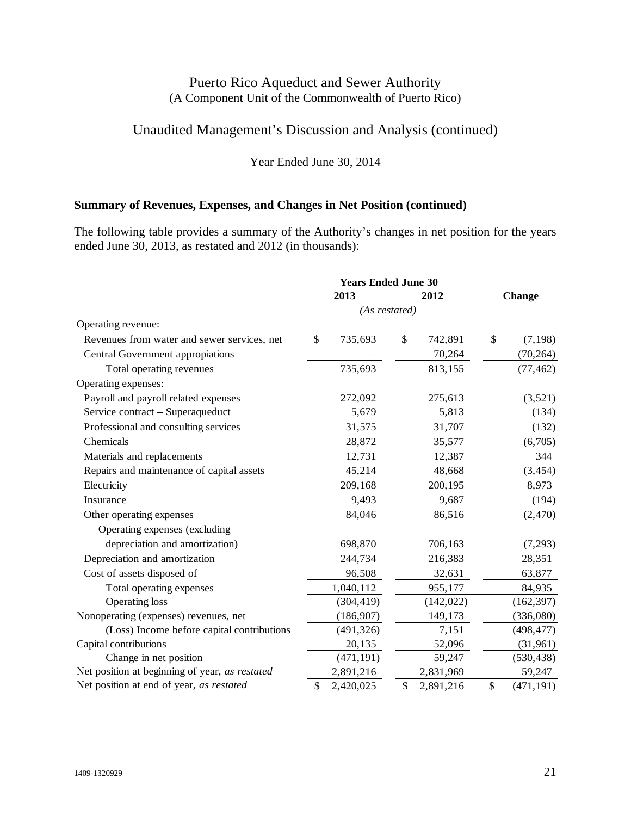## Unaudited Management's Discussion and Analysis (continued)

Year Ended June 30, 2014

## **Summary of Revenues, Expenses, and Changes in Net Position (continued)**

The following table provides a summary of the Authority's changes in net position for the years ended June 30, 2013, as restated and 2012 (in thousands):

|                                                | <b>Years Ended June 30</b><br>2013 | 2012 |            | Change |            |
|------------------------------------------------|------------------------------------|------|------------|--------|------------|
|                                                | (As restated)                      |      |            |        |            |
| Operating revenue:                             |                                    |      |            |        |            |
| Revenues from water and sewer services, net    | \$<br>735,693                      | \$   | 742,891    | \$     | (7, 198)   |
| Central Government appropiations               |                                    |      | 70,264     |        | (70, 264)  |
| Total operating revenues                       | 735,693                            |      | 813,155    |        | (77, 462)  |
| Operating expenses:                            |                                    |      |            |        |            |
| Payroll and payroll related expenses           | 272,092                            |      | 275,613    |        | (3,521)    |
| Service contract - Superaqueduct               | 5,679                              |      | 5,813      |        | (134)      |
| Professional and consulting services           | 31,575                             |      | 31,707     |        | (132)      |
| Chemicals                                      | 28,872                             |      | 35,577     |        | (6,705)    |
| Materials and replacements                     | 12,731                             |      | 12,387     |        | 344        |
| Repairs and maintenance of capital assets      | 45,214                             |      | 48,668     |        | (3, 454)   |
| Electricity                                    | 209,168                            |      | 200,195    |        | 8,973      |
| Insurance                                      | 9,493                              |      | 9,687      |        | (194)      |
| Other operating expenses                       | 84,046                             |      | 86,516     |        | (2,470)    |
| Operating expenses (excluding                  |                                    |      |            |        |            |
| depreciation and amortization)                 | 698,870                            |      | 706,163    |        | (7,293)    |
| Depreciation and amortization                  | 244,734                            |      | 216,383    |        | 28,351     |
| Cost of assets disposed of                     | 96,508                             |      | 32,631     |        | 63,877     |
| Total operating expenses                       | 1,040,112                          |      | 955,177    |        | 84,935     |
| Operating loss                                 | (304, 419)                         |      | (142, 022) |        | (162, 397) |
| Nonoperating (expenses) revenues, net          | (186,907)                          |      | 149,173    |        | (336,080)  |
| (Loss) Income before capital contributions     | (491, 326)                         |      | 7,151      |        | (498, 477) |
| Capital contributions                          | 20,135                             |      | 52,096     |        | (31,961)   |
| Change in net position                         | (471, 191)                         |      | 59,247     |        | (530, 438) |
| Net position at beginning of year, as restated | 2,891,216                          |      | 2,831,969  |        | 59,247     |
| Net position at end of year, as restated       | \$<br>2,420,025                    | \$   | 2,891,216  | \$     | (471, 191) |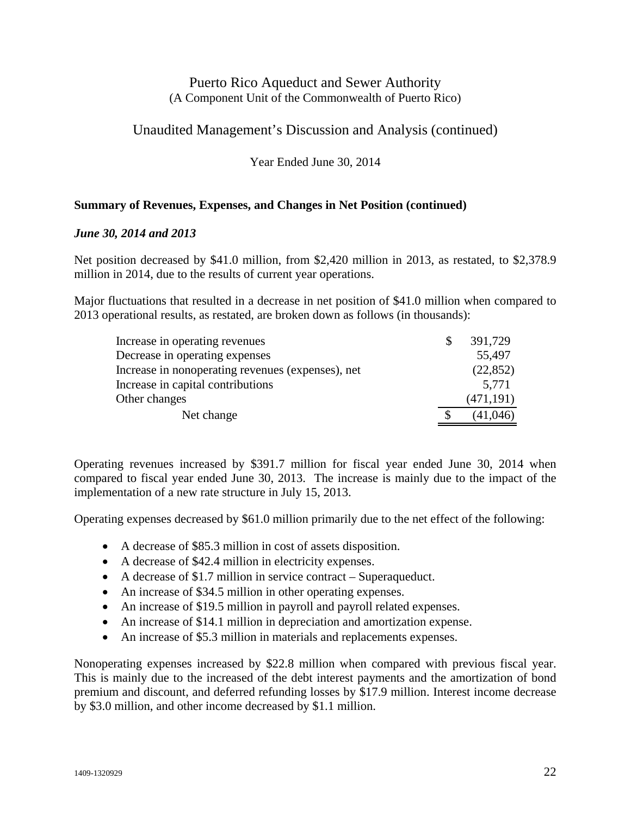## Unaudited Management's Discussion and Analysis (continued)

Year Ended June 30, 2014

### **Summary of Revenues, Expenses, and Changes in Net Position (continued)**

#### *June 30, 2014 and 2013*

Net position decreased by \$41.0 million, from \$2,420 million in 2013, as restated, to \$2,378.9 million in 2014, due to the results of current year operations.

Major fluctuations that resulted in a decrease in net position of \$41.0 million when compared to 2013 operational results, as restated, are broken down as follows (in thousands):

| Increase in operating revenues                    | \$. | 391,729    |
|---------------------------------------------------|-----|------------|
| Decrease in operating expenses                    |     | 55,497     |
| Increase in nonoperating revenues (expenses), net |     | (22, 852)  |
| Increase in capital contributions                 |     | 5,771      |
| Other changes                                     |     | (471, 191) |
| Net change                                        |     | (41,046)   |

Operating revenues increased by \$391.7 million for fiscal year ended June 30, 2014 when compared to fiscal year ended June 30, 2013. The increase is mainly due to the impact of the implementation of a new rate structure in July 15, 2013.

Operating expenses decreased by \$61.0 million primarily due to the net effect of the following:

- A decrease of \$85.3 million in cost of assets disposition.
- A decrease of \$42.4 million in electricity expenses.
- A decrease of \$1.7 million in service contract Superaqueduct.
- An increase of \$34.5 million in other operating expenses.
- An increase of \$19.5 million in payroll and payroll related expenses.
- An increase of \$14.1 million in depreciation and amortization expense.
- An increase of \$5.3 million in materials and replacements expenses.

Nonoperating expenses increased by \$22.8 million when compared with previous fiscal year. This is mainly due to the increased of the debt interest payments and the amortization of bond premium and discount, and deferred refunding losses by \$17.9 million. Interest income decrease by \$3.0 million, and other income decreased by \$1.1 million.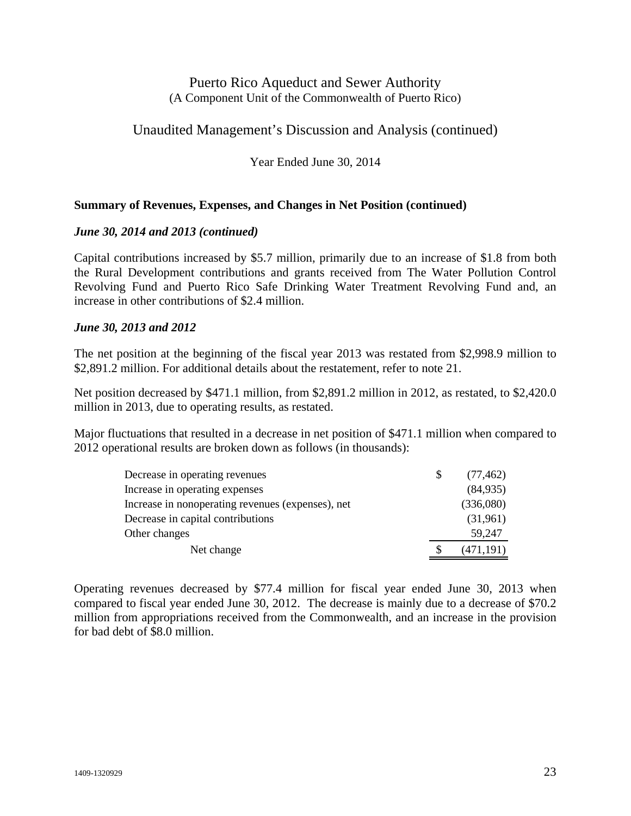## Unaudited Management's Discussion and Analysis (continued)

Year Ended June 30, 2014

#### **Summary of Revenues, Expenses, and Changes in Net Position (continued)**

#### *June 30, 2014 and 2013 (continued)*

Capital contributions increased by \$5.7 million, primarily due to an increase of \$1.8 from both the Rural Development contributions and grants received from The Water Pollution Control Revolving Fund and Puerto Rico Safe Drinking Water Treatment Revolving Fund and, an increase in other contributions of \$2.4 million.

#### *June 30, 2013 and 2012*

The net position at the beginning of the fiscal year 2013 was restated from \$2,998.9 million to \$2,891.2 million. For additional details about the restatement, refer to note 21.

Net position decreased by \$471.1 million, from \$2,891.2 million in 2012, as restated, to \$2,420.0 million in 2013, due to operating results, as restated.

Major fluctuations that resulted in a decrease in net position of \$471.1 million when compared to 2012 operational results are broken down as follows (in thousands):

| Decrease in operating revenues                    | (77, 462)  |
|---------------------------------------------------|------------|
| Increase in operating expenses                    | (84,935)   |
| Increase in nonoperating revenues (expenses), net | (336,080)  |
| Decrease in capital contributions                 | (31,961)   |
| Other changes                                     | 59,247     |
| Net change                                        | (471, 191) |

Operating revenues decreased by \$77.4 million for fiscal year ended June 30, 2013 when compared to fiscal year ended June 30, 2012. The decrease is mainly due to a decrease of \$70.2 million from appropriations received from the Commonwealth, and an increase in the provision for bad debt of \$8.0 million.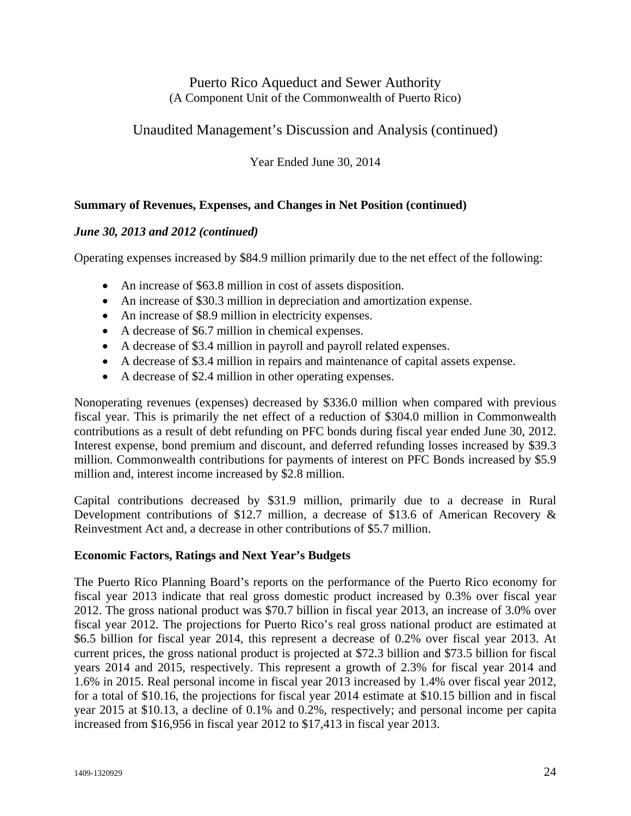## Unaudited Management's Discussion and Analysis (continued)

Year Ended June 30, 2014

### **Summary of Revenues, Expenses, and Changes in Net Position (continued)**

#### *June 30, 2013 and 2012 (continued)*

Operating expenses increased by \$84.9 million primarily due to the net effect of the following:

- An increase of \$63.8 million in cost of assets disposition.
- An increase of \$30.3 million in depreciation and amortization expense.
- An increase of \$8.9 million in electricity expenses.
- A decrease of \$6.7 million in chemical expenses.
- A decrease of \$3.4 million in payroll and payroll related expenses.
- A decrease of \$3.4 million in repairs and maintenance of capital assets expense.
- A decrease of \$2.4 million in other operating expenses.

Nonoperating revenues (expenses) decreased by \$336.0 million when compared with previous fiscal year. This is primarily the net effect of a reduction of \$304.0 million in Commonwealth contributions as a result of debt refunding on PFC bonds during fiscal year ended June 30, 2012. Interest expense, bond premium and discount, and deferred refunding losses increased by \$39.3 million. Commonwealth contributions for payments of interest on PFC Bonds increased by \$5.9 million and, interest income increased by \$2.8 million.

Capital contributions decreased by \$31.9 million, primarily due to a decrease in Rural Development contributions of \$12.7 million, a decrease of \$13.6 of American Recovery & Reinvestment Act and, a decrease in other contributions of \$5.7 million.

#### **Economic Factors, Ratings and Next Year's Budgets**

The Puerto Rico Planning Board's reports on the performance of the Puerto Rico economy for fiscal year 2013 indicate that real gross domestic product increased by 0.3% over fiscal year 2012. The gross national product was \$70.7 billion in fiscal year 2013, an increase of 3.0% over fiscal year 2012. The projections for Puerto Rico's real gross national product are estimated at \$6.5 billion for fiscal year 2014, this represent a decrease of 0.2% over fiscal year 2013. At current prices, the gross national product is projected at \$72.3 billion and \$73.5 billion for fiscal years 2014 and 2015, respectively. This represent a growth of 2.3% for fiscal year 2014 and 1.6% in 2015. Real personal income in fiscal year 2013 increased by 1.4% over fiscal year 2012, for a total of \$10.16, the projections for fiscal year 2014 estimate at \$10.15 billion and in fiscal year 2015 at \$10.13, a decline of 0.1% and 0.2%, respectively; and personal income per capita increased from \$16,956 in fiscal year 2012 to \$17,413 in fiscal year 2013.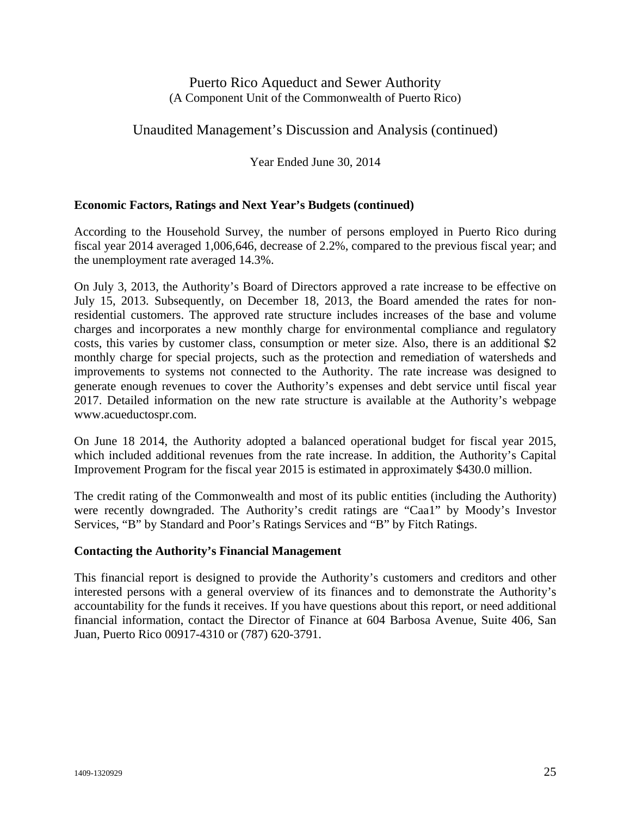## Unaudited Management's Discussion and Analysis (continued)

Year Ended June 30, 2014

#### **Economic Factors, Ratings and Next Year's Budgets (continued)**

According to the Household Survey, the number of persons employed in Puerto Rico during fiscal year 2014 averaged 1,006,646, decrease of 2.2%, compared to the previous fiscal year; and the unemployment rate averaged 14.3%.

On July 3, 2013, the Authority's Board of Directors approved a rate increase to be effective on July 15, 2013. Subsequently, on December 18, 2013, the Board amended the rates for nonresidential customers. The approved rate structure includes increases of the base and volume charges and incorporates a new monthly charge for environmental compliance and regulatory costs, this varies by customer class, consumption or meter size. Also, there is an additional \$2 monthly charge for special projects, such as the protection and remediation of watersheds and improvements to systems not connected to the Authority. The rate increase was designed to generate enough revenues to cover the Authority's expenses and debt service until fiscal year 2017. Detailed information on the new rate structure is available at the Authority's webpage www.acueductospr.com.

On June 18 2014, the Authority adopted a balanced operational budget for fiscal year 2015, which included additional revenues from the rate increase. In addition, the Authority's Capital Improvement Program for the fiscal year 2015 is estimated in approximately \$430.0 million.

The credit rating of the Commonwealth and most of its public entities (including the Authority) were recently downgraded. The Authority's credit ratings are "Caa1" by Moody's Investor Services, "B" by Standard and Poor's Ratings Services and "B" by Fitch Ratings.

#### **Contacting the Authority's Financial Management**

This financial report is designed to provide the Authority's customers and creditors and other interested persons with a general overview of its finances and to demonstrate the Authority's accountability for the funds it receives. If you have questions about this report, or need additional financial information, contact the Director of Finance at 604 Barbosa Avenue, Suite 406, San Juan, Puerto Rico 00917-4310 or (787) 620-3791.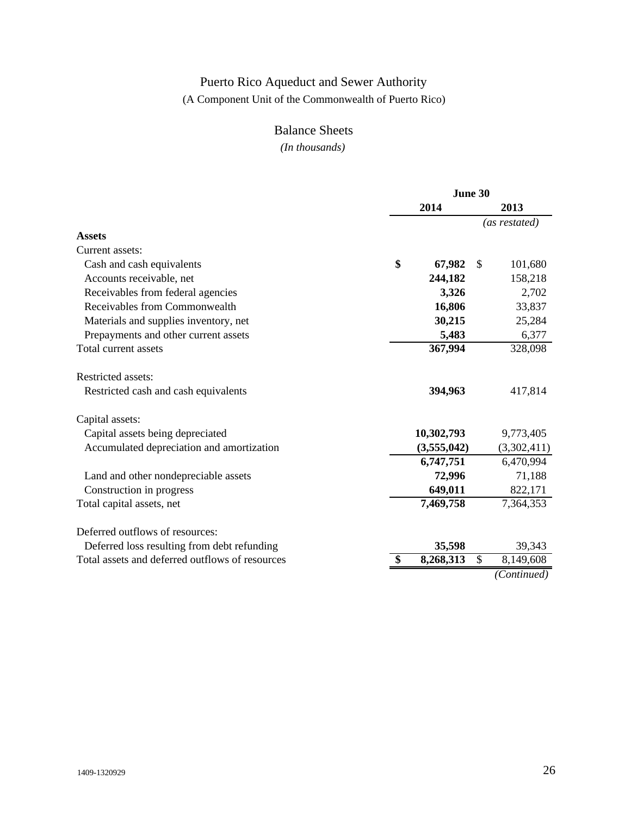### Balance Sheets

*(In thousands)*

|                                                 | June 30 |             |    |               |
|-------------------------------------------------|---------|-------------|----|---------------|
|                                                 |         | 2014        |    | 2013          |
|                                                 |         |             |    | (as restated) |
| <b>Assets</b>                                   |         |             |    |               |
| Current assets:                                 |         |             |    |               |
| Cash and cash equivalents                       | \$      | 67,982      | \$ | 101,680       |
| Accounts receivable, net                        |         | 244,182     |    | 158,218       |
| Receivables from federal agencies               |         | 3,326       |    | 2,702         |
| Receivables from Commonwealth                   |         | 16,806      |    | 33,837        |
| Materials and supplies inventory, net           |         | 30,215      |    | 25,284        |
| Prepayments and other current assets            |         | 5,483       |    | 6,377         |
| Total current assets                            |         | 367,994     |    | 328,098       |
| Restricted assets:                              |         |             |    |               |
| Restricted cash and cash equivalents            |         | 394,963     |    | 417,814       |
| Capital assets:                                 |         |             |    |               |
| Capital assets being depreciated                |         | 10,302,793  |    | 9,773,405     |
| Accumulated depreciation and amortization       |         | (3,555,042) |    | (3,302,411)   |
|                                                 |         | 6,747,751   |    | 6,470,994     |
| Land and other nondepreciable assets            |         | 72,996      |    | 71,188        |
| Construction in progress                        |         | 649,011     |    | 822,171       |
| Total capital assets, net                       |         | 7,469,758   |    | 7,364,353     |
| Deferred outflows of resources:                 |         |             |    |               |
| Deferred loss resulting from debt refunding     |         | 35,598      |    | 39,343        |
| Total assets and deferred outflows of resources |         | 8,268,313   | \$ | 8,149,608     |
|                                                 |         |             |    | (Continued)   |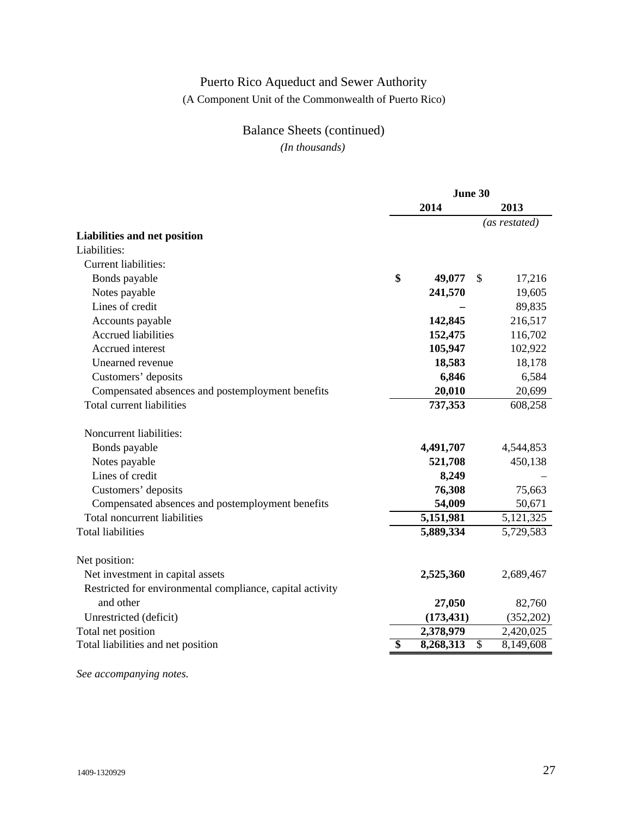# Balance Sheets (continued)

*(In thousands)*

|                                                           | June 30         |            |                          |               |
|-----------------------------------------------------------|-----------------|------------|--------------------------|---------------|
|                                                           |                 | 2014       |                          | 2013          |
|                                                           |                 |            |                          | (as restated) |
| Liabilities and net position                              |                 |            |                          |               |
| Liabilities:                                              |                 |            |                          |               |
| Current liabilities:                                      |                 |            |                          |               |
| Bonds payable                                             | \$              | 49,077     | \$                       | 17,216        |
| Notes payable                                             |                 | 241,570    |                          | 19,605        |
| Lines of credit                                           |                 |            |                          | 89,835        |
| Accounts payable                                          |                 | 142,845    |                          | 216,517       |
| <b>Accrued liabilities</b>                                |                 | 152,475    |                          | 116,702       |
| Accrued interest                                          |                 | 105,947    |                          | 102,922       |
| Unearned revenue                                          |                 | 18,583     |                          | 18,178        |
| Customers' deposits                                       |                 | 6,846      |                          | 6,584         |
| Compensated absences and postemployment benefits          |                 | 20,010     |                          | 20,699        |
| Total current liabilities                                 |                 | 737,353    |                          | 608,258       |
| Noncurrent liabilities:                                   |                 |            |                          |               |
| Bonds payable                                             |                 | 4,491,707  |                          | 4,544,853     |
| Notes payable                                             |                 | 521,708    |                          | 450,138       |
| Lines of credit                                           |                 | 8,249      |                          |               |
| Customers' deposits                                       |                 | 76,308     |                          | 75,663        |
| Compensated absences and postemployment benefits          |                 | 54,009     |                          | 50,671        |
| Total noncurrent liabilities                              |                 | 5,151,981  |                          | 5,121,325     |
| <b>Total liabilities</b>                                  |                 | 5,889,334  |                          | 5,729,583     |
| Net position:                                             |                 |            |                          |               |
| Net investment in capital assets                          |                 | 2,525,360  |                          | 2,689,467     |
| Restricted for environmental compliance, capital activity |                 |            |                          |               |
| and other                                                 |                 | 27,050     |                          | 82,760        |
| Unrestricted (deficit)                                    |                 | (173, 431) |                          | (352,202)     |
| Total net position                                        |                 | 2,378,979  |                          | 2,420,025     |
| Total liabilities and net position                        | $\overline{\$}$ | 8,268,313  | $\overline{\mathcal{S}}$ | 8,149,608     |

*See accompanying notes.*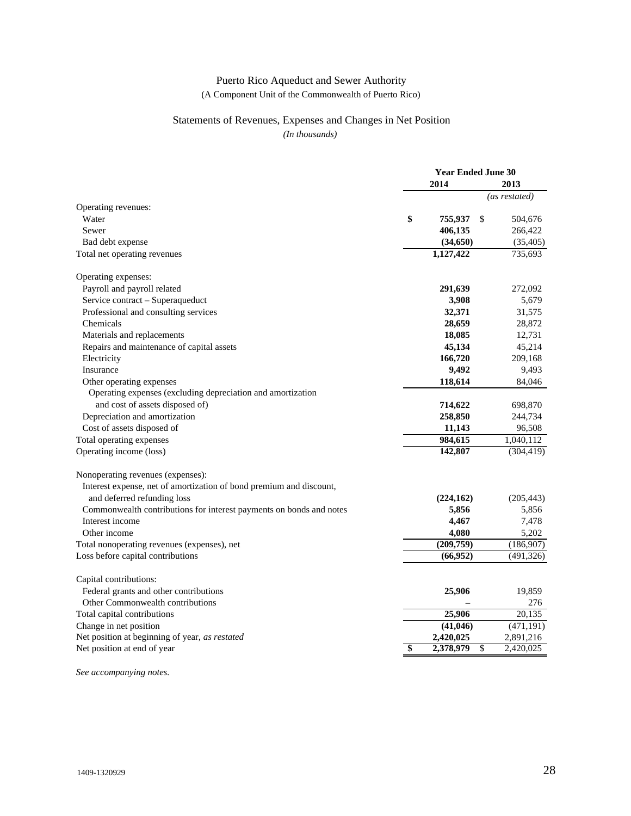# Puerto Rico Aqueduct and Sewer Authority

### (A Component Unit of the Commonwealth of Puerto Rico)

### Statements of Revenues, Expenses and Changes in Net Position *(In thousands)*

|                                                                     |              | <b>Year Ended June 30</b> |    |               |
|---------------------------------------------------------------------|--------------|---------------------------|----|---------------|
|                                                                     | 2014<br>2013 |                           |    |               |
|                                                                     |              |                           |    | (as restated) |
| Operating revenues:                                                 |              |                           |    |               |
| Water                                                               | \$           | 755,937                   | S  | 504,676       |
| Sewer                                                               |              | 406,135                   |    | 266,422       |
| Bad debt expense                                                    |              | (34, 650)                 |    | (35, 405)     |
| Total net operating revenues                                        |              | 1,127,422                 |    | 735,693       |
| Operating expenses:                                                 |              |                           |    |               |
| Payroll and payroll related                                         |              | 291,639                   |    | 272,092       |
| Service contract - Superaqueduct                                    |              | 3,908                     |    | 5,679         |
| Professional and consulting services                                |              | 32,371                    |    | 31,575        |
| Chemicals                                                           |              | 28,659                    |    | 28,872        |
| Materials and replacements                                          |              | 18,085                    |    | 12,731        |
| Repairs and maintenance of capital assets                           |              | 45,134                    |    | 45,214        |
| Electricity                                                         |              | 166,720                   |    | 209,168       |
| Insurance                                                           |              | 9,492                     |    | 9,493         |
| Other operating expenses                                            |              | 118,614                   |    | 84,046        |
| Operating expenses (excluding depreciation and amortization         |              |                           |    |               |
| and cost of assets disposed of)                                     |              | 714,622                   |    | 698,870       |
| Depreciation and amortization                                       |              | 258,850                   |    | 244,734       |
| Cost of assets disposed of                                          |              | 11,143                    |    | 96,508        |
| Total operating expenses                                            |              | 984,615                   |    | 1,040,112     |
| Operating income (loss)                                             |              | 142,807                   |    | (304, 419)    |
| Nonoperating revenues (expenses):                                   |              |                           |    |               |
| Interest expense, net of amortization of bond premium and discount, |              |                           |    |               |
| and deferred refunding loss                                         |              | (224, 162)                |    | (205, 443)    |
| Commonwealth contributions for interest payments on bonds and notes |              | 5,856                     |    | 5,856         |
| Interest income                                                     |              | 4,467                     |    | 7,478         |
| Other income                                                        |              | 4,080                     |    | 5,202         |
| Total nonoperating revenues (expenses), net                         |              | (209,759)                 |    | (186,907)     |
| Loss before capital contributions                                   |              | (66, 952)                 |    | (491, 326)    |
| Capital contributions:                                              |              |                           |    |               |
| Federal grants and other contributions                              |              | 25,906                    |    | 19,859        |
| Other Commonwealth contributions                                    |              |                           |    | 276           |
| Total capital contributions                                         |              | 25,906                    |    | 20,135        |
| Change in net position                                              |              | (41, 046)                 |    | (471, 191)    |
| Net position at beginning of year, as restated                      |              | 2,420,025                 |    | 2,891,216     |
| Net position at end of year                                         | \$           | 2,378,979                 | \$ | 2,420,025     |
|                                                                     |              |                           |    |               |

*See accompanying notes.*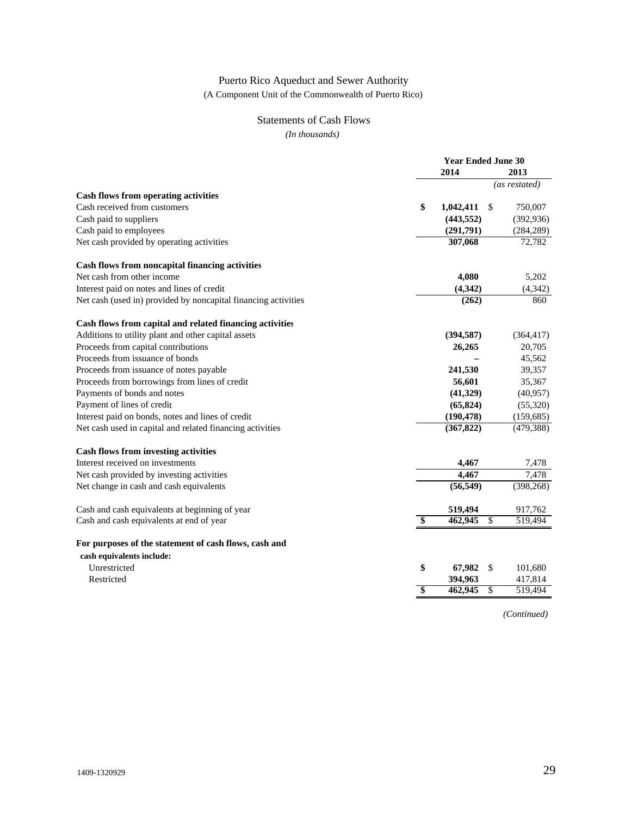# Puerto Rico Aqueduct and Sewer Authority

(A Component Unit of the Commonwealth of Puerto Rico)

#### Statements of Cash Flows

*(In thousands)*

|                                                                | <b>Year Ended June 30</b> |            |               |  |
|----------------------------------------------------------------|---------------------------|------------|---------------|--|
|                                                                | 2014<br>2013              |            |               |  |
|                                                                |                           |            | (as restated) |  |
| <b>Cash flows from operating activities</b>                    |                           |            |               |  |
| Cash received from customers                                   | \$                        | 1,042,411  | \$<br>750,007 |  |
| Cash paid to suppliers                                         |                           | (443, 552) | (392, 936)    |  |
| Cash paid to employees                                         |                           | (291,791)  | (284, 289)    |  |
| Net cash provided by operating activities                      |                           | 307,068    | 72,782        |  |
| Cash flows from noncapital financing activities                |                           |            |               |  |
| Net cash from other income                                     |                           | 4,080      | 5,202         |  |
| Interest paid on notes and lines of credit                     |                           | (4, 342)   | (4, 342)      |  |
| Net cash (used in) provided by noncapital financing activities |                           | (262)      | 860           |  |
| Cash flows from capital and related financing activities       |                           |            |               |  |
| Additions to utility plant and other capital assets            |                           | (394, 587) | (364, 417)    |  |
| Proceeds from capital contributions                            |                           | 26,265     | 20,705        |  |
| Proceeds from issuance of bonds                                |                           |            | 45,562        |  |
| Proceeds from issuance of notes payable                        |                           | 241,530    | 39,357        |  |
| Proceeds from borrowings from lines of credit                  |                           | 56,601     | 35,367        |  |
| Payments of bonds and notes                                    |                           | (41,329)   | (40, 957)     |  |
| Payment of lines of credit                                     |                           | (65, 824)  | (55, 320)     |  |
| Interest paid on bonds, notes and lines of credit              |                           | (190, 478) | (159, 685)    |  |
| Net cash used in capital and related financing activities      |                           | (367, 822) | (479, 388)    |  |
| <b>Cash flows from investing activities</b>                    |                           |            |               |  |
| Interest received on investments                               |                           | 4,467      | 7,478         |  |
| Net cash provided by investing activities                      |                           | 4,467      | 7,478         |  |
| Net change in cash and cash equivalents                        |                           | (56, 549)  | (398, 268)    |  |
| Cash and cash equivalents at beginning of year                 |                           | 519,494    | 917,762       |  |
| Cash and cash equivalents at end of year                       | \$                        | 462,945    | 519,494<br>\$ |  |
| For purposes of the statement of cash flows, cash and          |                           |            |               |  |
| cash equivalents include:                                      |                           |            |               |  |
| Unrestricted                                                   | \$                        | 67,982     | \$<br>101,680 |  |
| Restricted                                                     |                           | 394,963    | 417,814       |  |
|                                                                | \$                        | 462,945    | \$<br>519,494 |  |
|                                                                |                           |            |               |  |

*(Continued)*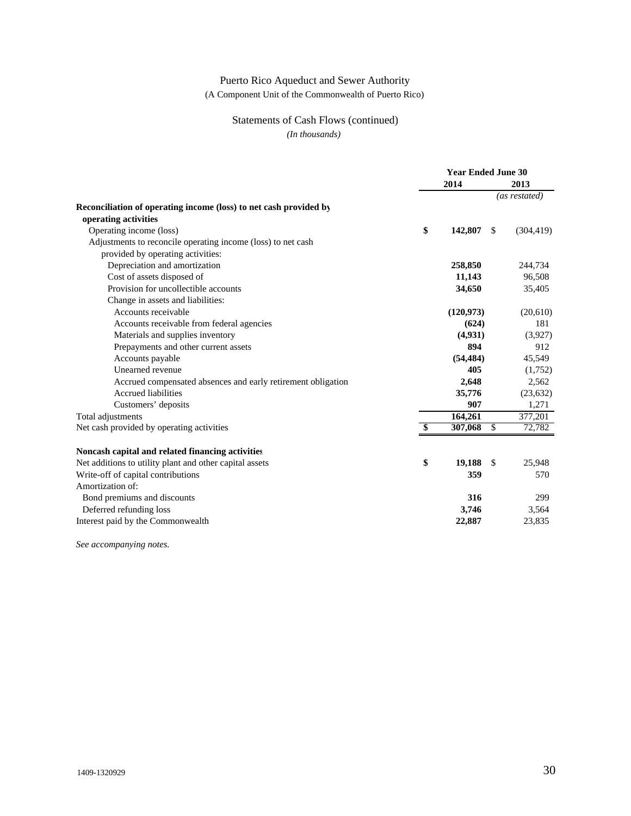# Statements of Cash Flows (continued)

*(In thousands)*

|                                                                   | <b>Year Ended June 30</b> |            |               |               |
|-------------------------------------------------------------------|---------------------------|------------|---------------|---------------|
|                                                                   |                           | 2014       |               | 2013          |
|                                                                   |                           |            |               | (as restated) |
| Reconciliation of operating income (loss) to net cash provided by |                           |            |               |               |
| operating activities                                              |                           |            |               |               |
| Operating income (loss)                                           | \$                        | 142,807    | <sup>\$</sup> | (304, 419)    |
| Adjustments to reconcile operating income (loss) to net cash      |                           |            |               |               |
| provided by operating activities:                                 |                           |            |               |               |
| Depreciation and amortization                                     |                           | 258,850    |               | 244,734       |
| Cost of assets disposed of                                        |                           | 11,143     |               | 96,508        |
| Provision for uncollectible accounts                              |                           | 34,650     |               | 35,405        |
| Change in assets and liabilities:                                 |                           |            |               |               |
| Accounts receivable                                               |                           | (120, 973) |               | (20,610)      |
| Accounts receivable from federal agencies                         |                           | (624)      |               | 181           |
| Materials and supplies inventory                                  |                           | (4,931)    |               | (3,927)       |
| Prepayments and other current assets                              |                           | 894        |               | 912           |
| Accounts payable                                                  |                           | (54, 484)  |               | 45,549        |
| Unearned revenue                                                  |                           | 405        |               | (1,752)       |
| Accrued compensated absences and early retirement obligation      |                           | 2,648      |               | 2,562         |
| <b>Accrued liabilities</b>                                        |                           | 35,776     |               | (23, 632)     |
| Customers' deposits                                               |                           | 907        |               | 1,271         |
| Total adjustments                                                 |                           | 164,261    |               | 377,201       |
| Net cash provided by operating activities                         | \$                        | 307,068    | $\mathbb{S}$  | 72,782        |
| Noncash capital and related financing activities                  |                           |            |               |               |
| Net additions to utility plant and other capital assets           | \$                        | 19,188     | \$            | 25,948        |
| Write-off of capital contributions                                |                           | 359        |               | 570           |
| Amortization of:                                                  |                           |            |               |               |
| Bond premiums and discounts                                       |                           | 316        |               | 299           |
| Deferred refunding loss                                           |                           | 3,746      |               | 3,564         |
| Interest paid by the Commonwealth                                 |                           | 22,887     |               | 23,835        |
|                                                                   |                           |            |               |               |

*See accompanying notes.*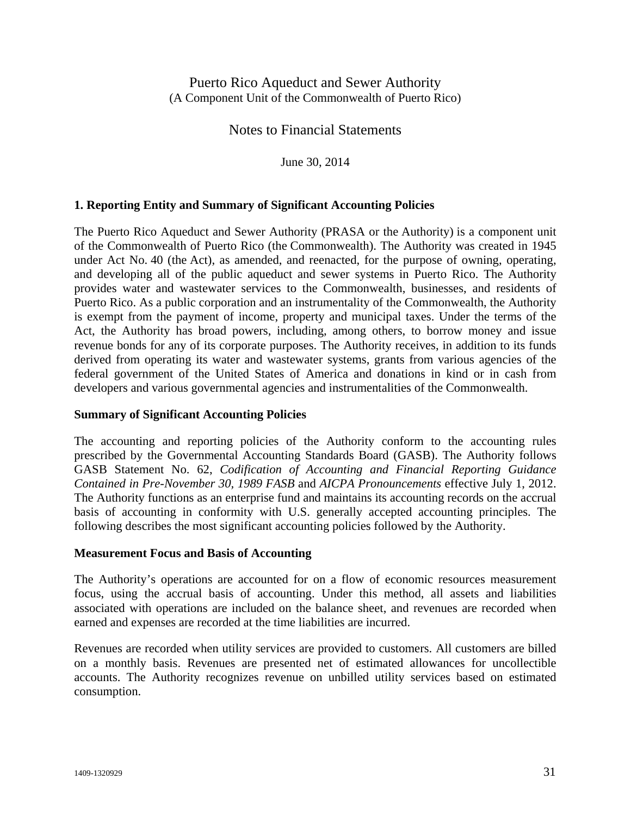Notes to Financial Statements

June 30, 2014

#### **1. Reporting Entity and Summary of Significant Accounting Policies**

The Puerto Rico Aqueduct and Sewer Authority (PRASA or the Authority) is a component unit of the Commonwealth of Puerto Rico (the Commonwealth). The Authority was created in 1945 under Act No. 40 (the Act), as amended, and reenacted, for the purpose of owning, operating, and developing all of the public aqueduct and sewer systems in Puerto Rico. The Authority provides water and wastewater services to the Commonwealth, businesses, and residents of Puerto Rico. As a public corporation and an instrumentality of the Commonwealth, the Authority is exempt from the payment of income, property and municipal taxes. Under the terms of the Act, the Authority has broad powers, including, among others, to borrow money and issue revenue bonds for any of its corporate purposes. The Authority receives, in addition to its funds derived from operating its water and wastewater systems, grants from various agencies of the federal government of the United States of America and donations in kind or in cash from developers and various governmental agencies and instrumentalities of the Commonwealth.

#### **Summary of Significant Accounting Policies**

The accounting and reporting policies of the Authority conform to the accounting rules prescribed by the Governmental Accounting Standards Board (GASB). The Authority follows GASB Statement No. 62, *Codification of Accounting and Financial Reporting Guidance Contained in Pre-November 30, 1989 FASB* and *AICPA Pronouncements* effective July 1, 2012. The Authority functions as an enterprise fund and maintains its accounting records on the accrual basis of accounting in conformity with U.S. generally accepted accounting principles. The following describes the most significant accounting policies followed by the Authority.

#### **Measurement Focus and Basis of Accounting**

The Authority's operations are accounted for on a flow of economic resources measurement focus, using the accrual basis of accounting. Under this method, all assets and liabilities associated with operations are included on the balance sheet, and revenues are recorded when earned and expenses are recorded at the time liabilities are incurred.

Revenues are recorded when utility services are provided to customers. All customers are billed on a monthly basis. Revenues are presented net of estimated allowances for uncollectible accounts. The Authority recognizes revenue on unbilled utility services based on estimated consumption.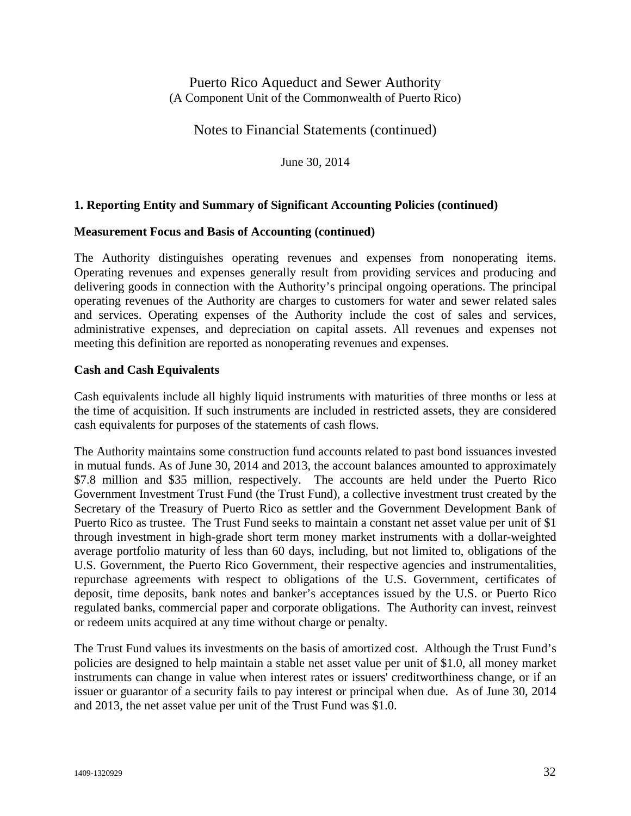Notes to Financial Statements (continued)

June 30, 2014

#### **1. Reporting Entity and Summary of Significant Accounting Policies (continued)**

#### **Measurement Focus and Basis of Accounting (continued)**

The Authority distinguishes operating revenues and expenses from nonoperating items. Operating revenues and expenses generally result from providing services and producing and delivering goods in connection with the Authority's principal ongoing operations. The principal operating revenues of the Authority are charges to customers for water and sewer related sales and services. Operating expenses of the Authority include the cost of sales and services, administrative expenses, and depreciation on capital assets. All revenues and expenses not meeting this definition are reported as nonoperating revenues and expenses.

#### **Cash and Cash Equivalents**

Cash equivalents include all highly liquid instruments with maturities of three months or less at the time of acquisition. If such instruments are included in restricted assets, they are considered cash equivalents for purposes of the statements of cash flows.

The Authority maintains some construction fund accounts related to past bond issuances invested in mutual funds. As of June 30, 2014 and 2013, the account balances amounted to approximately \$7.8 million and \$35 million, respectively. The accounts are held under the Puerto Rico Government Investment Trust Fund (the Trust Fund), a collective investment trust created by the Secretary of the Treasury of Puerto Rico as settler and the Government Development Bank of Puerto Rico as trustee. The Trust Fund seeks to maintain a constant net asset value per unit of \$1 through investment in high-grade short term money market instruments with a dollar-weighted average portfolio maturity of less than 60 days, including, but not limited to, obligations of the U.S. Government, the Puerto Rico Government, their respective agencies and instrumentalities, repurchase agreements with respect to obligations of the U.S. Government, certificates of deposit, time deposits, bank notes and banker's acceptances issued by the U.S. or Puerto Rico regulated banks, commercial paper and corporate obligations. The Authority can invest, reinvest or redeem units acquired at any time without charge or penalty.

The Trust Fund values its investments on the basis of amortized cost. Although the Trust Fund's policies are designed to help maintain a stable net asset value per unit of \$1.0, all money market instruments can change in value when interest rates or issuers' creditworthiness change, or if an issuer or guarantor of a security fails to pay interest or principal when due. As of June 30, 2014 and 2013, the net asset value per unit of the Trust Fund was \$1.0.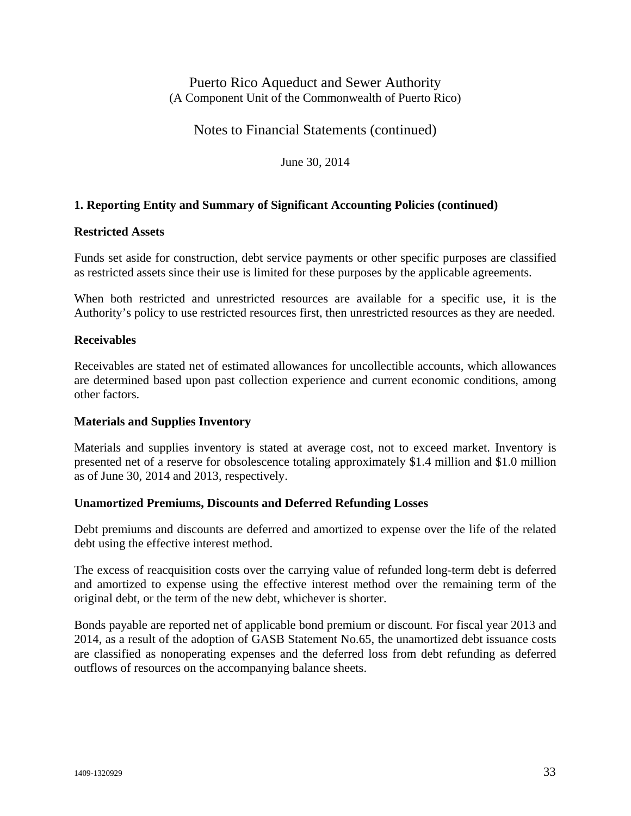Notes to Financial Statements (continued)

June 30, 2014

### **1. Reporting Entity and Summary of Significant Accounting Policies (continued)**

#### **Restricted Assets**

Funds set aside for construction, debt service payments or other specific purposes are classified as restricted assets since their use is limited for these purposes by the applicable agreements.

When both restricted and unrestricted resources are available for a specific use, it is the Authority's policy to use restricted resources first, then unrestricted resources as they are needed.

#### **Receivables**

Receivables are stated net of estimated allowances for uncollectible accounts, which allowances are determined based upon past collection experience and current economic conditions, among other factors.

#### **Materials and Supplies Inventory**

Materials and supplies inventory is stated at average cost, not to exceed market. Inventory is presented net of a reserve for obsolescence totaling approximately \$1.4 million and \$1.0 million as of June 30, 2014 and 2013, respectively.

#### **Unamortized Premiums, Discounts and Deferred Refunding Losses**

Debt premiums and discounts are deferred and amortized to expense over the life of the related debt using the effective interest method.

The excess of reacquisition costs over the carrying value of refunded long-term debt is deferred and amortized to expense using the effective interest method over the remaining term of the original debt, or the term of the new debt, whichever is shorter.

Bonds payable are reported net of applicable bond premium or discount. For fiscal year 2013 and 2014, as a result of the adoption of GASB Statement No.65, the unamortized debt issuance costs are classified as nonoperating expenses and the deferred loss from debt refunding as deferred outflows of resources on the accompanying balance sheets.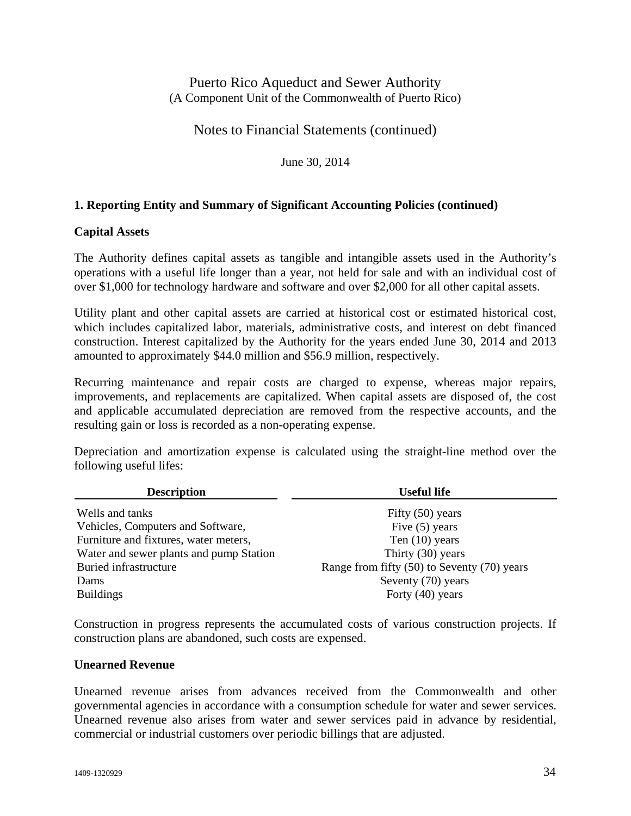Notes to Financial Statements (continued)

June 30, 2014

### **1. Reporting Entity and Summary of Significant Accounting Policies (continued)**

#### **Capital Assets**

The Authority defines capital assets as tangible and intangible assets used in the Authority's operations with a useful life longer than a year, not held for sale and with an individual cost of over \$1,000 for technology hardware and software and over \$2,000 for all other capital assets.

Utility plant and other capital assets are carried at historical cost or estimated historical cost, which includes capitalized labor, materials, administrative costs, and interest on debt financed construction. Interest capitalized by the Authority for the years ended June 30, 2014 and 2013 amounted to approximately \$44.0 million and \$56.9 million, respectively.

Recurring maintenance and repair costs are charged to expense, whereas major repairs, improvements, and replacements are capitalized. When capital assets are disposed of, the cost and applicable accumulated depreciation are removed from the respective accounts, and the resulting gain or loss is recorded as a non-operating expense.

Depreciation and amortization expense is calculated using the straight-line method over the following useful lifes:

| <b>Description</b>                      | <b>Useful life</b>                          |
|-----------------------------------------|---------------------------------------------|
| Wells and tanks                         | Fifty $(50)$ years                          |
| Vehicles, Computers and Software,       | Five $(5)$ years                            |
| Furniture and fixtures, water meters,   | Ten $(10)$ years                            |
| Water and sewer plants and pump Station | Thirty (30) years                           |
| Buried infrastructure                   | Range from fifty (50) to Seventy (70) years |
| Dams                                    | Seventy (70) years                          |
| <b>Buildings</b>                        | Forty (40) years                            |

Construction in progress represents the accumulated costs of various construction projects. If construction plans are abandoned, such costs are expensed.

#### **Unearned Revenue**

Unearned revenue arises from advances received from the Commonwealth and other governmental agencies in accordance with a consumption schedule for water and sewer services. Unearned revenue also arises from water and sewer services paid in advance by residential, commercial or industrial customers over periodic billings that are adjusted.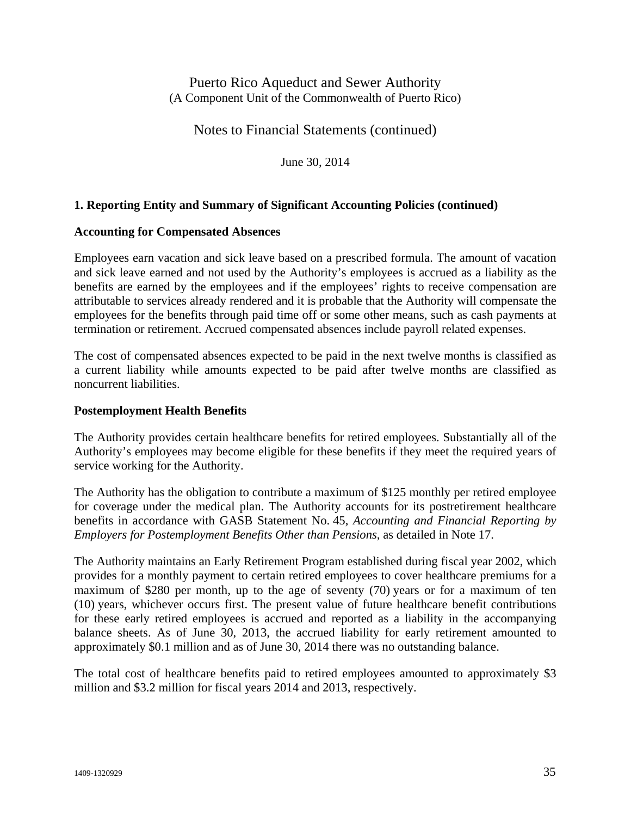Notes to Financial Statements (continued)

June 30, 2014

### **1. Reporting Entity and Summary of Significant Accounting Policies (continued)**

### **Accounting for Compensated Absences**

Employees earn vacation and sick leave based on a prescribed formula. The amount of vacation and sick leave earned and not used by the Authority's employees is accrued as a liability as the benefits are earned by the employees and if the employees' rights to receive compensation are attributable to services already rendered and it is probable that the Authority will compensate the employees for the benefits through paid time off or some other means, such as cash payments at termination or retirement. Accrued compensated absences include payroll related expenses.

The cost of compensated absences expected to be paid in the next twelve months is classified as a current liability while amounts expected to be paid after twelve months are classified as noncurrent liabilities.

### **Postemployment Health Benefits**

The Authority provides certain healthcare benefits for retired employees. Substantially all of the Authority's employees may become eligible for these benefits if they meet the required years of service working for the Authority.

The Authority has the obligation to contribute a maximum of \$125 monthly per retired employee for coverage under the medical plan. The Authority accounts for its postretirement healthcare benefits in accordance with GASB Statement No. 45, *Accounting and Financial Reporting by Employers for Postemployment Benefits Other than Pensions,* as detailed in Note 17.

The Authority maintains an Early Retirement Program established during fiscal year 2002, which provides for a monthly payment to certain retired employees to cover healthcare premiums for a maximum of \$280 per month, up to the age of seventy (70) years or for a maximum of ten (10) years, whichever occurs first. The present value of future healthcare benefit contributions for these early retired employees is accrued and reported as a liability in the accompanying balance sheets. As of June 30, 2013, the accrued liability for early retirement amounted to approximately \$0.1 million and as of June 30, 2014 there was no outstanding balance.

The total cost of healthcare benefits paid to retired employees amounted to approximately \$3 million and \$3.2 million for fiscal years 2014 and 2013, respectively.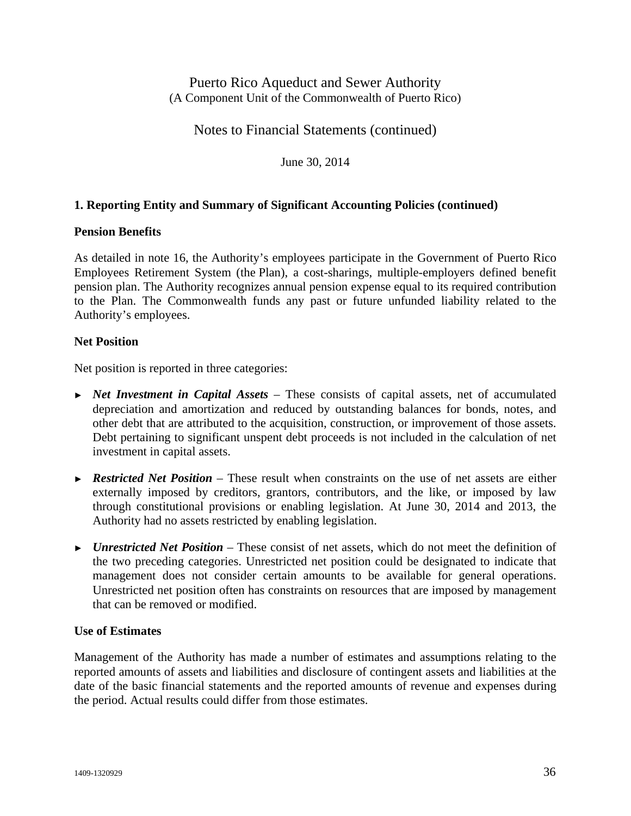Notes to Financial Statements (continued)

June 30, 2014

### **1. Reporting Entity and Summary of Significant Accounting Policies (continued)**

#### **Pension Benefits**

As detailed in note 16, the Authority's employees participate in the Government of Puerto Rico Employees Retirement System (the Plan), a cost-sharings, multiple-employers defined benefit pension plan. The Authority recognizes annual pension expense equal to its required contribution to the Plan. The Commonwealth funds any past or future unfunded liability related to the Authority's employees.

#### **Net Position**

Net position is reported in three categories:

- ► *Net Investment in Capital Assets* These consists of capital assets, net of accumulated depreciation and amortization and reduced by outstanding balances for bonds, notes, and other debt that are attributed to the acquisition, construction, or improvement of those assets. Debt pertaining to significant unspent debt proceeds is not included in the calculation of net investment in capital assets.
- ► *Restricted Net Position* These result when constraints on the use of net assets are either externally imposed by creditors, grantors, contributors, and the like, or imposed by law through constitutional provisions or enabling legislation. At June 30, 2014 and 2013, the Authority had no assets restricted by enabling legislation.
- ► *Unrestricted Net Position* These consist of net assets, which do not meet the definition of the two preceding categories. Unrestricted net position could be designated to indicate that management does not consider certain amounts to be available for general operations. Unrestricted net position often has constraints on resources that are imposed by management that can be removed or modified.

#### **Use of Estimates**

Management of the Authority has made a number of estimates and assumptions relating to the reported amounts of assets and liabilities and disclosure of contingent assets and liabilities at the date of the basic financial statements and the reported amounts of revenue and expenses during the period. Actual results could differ from those estimates.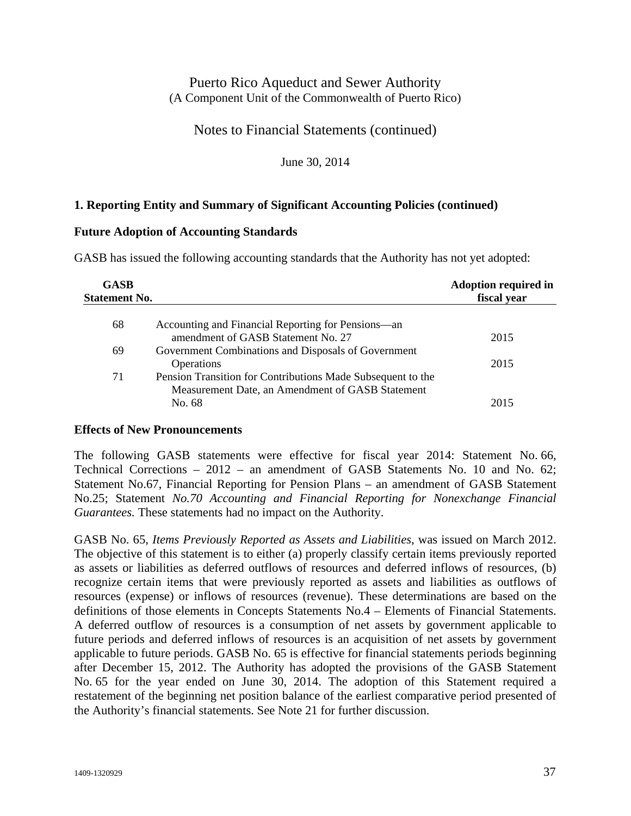Notes to Financial Statements (continued)

June 30, 2014

## **1. Reporting Entity and Summary of Significant Accounting Policies (continued)**

### **Future Adoption of Accounting Standards**

GASB has issued the following accounting standards that the Authority has not yet adopted:

| <b>GASB</b><br><b>Statement No.</b> |                                                             | <b>Adoption required in</b><br>fiscal year |
|-------------------------------------|-------------------------------------------------------------|--------------------------------------------|
| 68                                  | Accounting and Financial Reporting for Pensions—an          |                                            |
|                                     | amendment of GASB Statement No. 27                          | 2015                                       |
| 69                                  | Government Combinations and Disposals of Government         |                                            |
|                                     | Operations                                                  | 2015                                       |
| 71                                  | Pension Transition for Contributions Made Subsequent to the |                                            |
|                                     | Measurement Date, an Amendment of GASB Statement            |                                            |
|                                     | No. 68                                                      | 2015                                       |
|                                     |                                                             |                                            |

#### **Effects of New Pronouncements**

The following GASB statements were effective for fiscal year 2014: Statement No. 66, Technical Corrections – 2012 – an amendment of GASB Statements No. 10 and No. 62; Statement No.67, Financial Reporting for Pension Plans – an amendment of GASB Statement No.25; Statement *No.70 Accounting and Financial Reporting for Nonexchange Financial Guarantees.* These statements had no impact on the Authority.

GASB No. 65, *Items Previously Reported as Assets and Liabilities*, was issued on March 2012. The objective of this statement is to either (a) properly classify certain items previously reported as assets or liabilities as deferred outflows of resources and deferred inflows of resources, (b) recognize certain items that were previously reported as assets and liabilities as outflows of resources (expense) or inflows of resources (revenue). These determinations are based on the definitions of those elements in Concepts Statements No.4 – Elements of Financial Statements. A deferred outflow of resources is a consumption of net assets by government applicable to future periods and deferred inflows of resources is an acquisition of net assets by government applicable to future periods. GASB No. 65 is effective for financial statements periods beginning after December 15, 2012. The Authority has adopted the provisions of the GASB Statement No. 65 for the year ended on June 30, 2014. The adoption of this Statement required a restatement of the beginning net position balance of the earliest comparative period presented of the Authority's financial statements. See Note 21 for further discussion.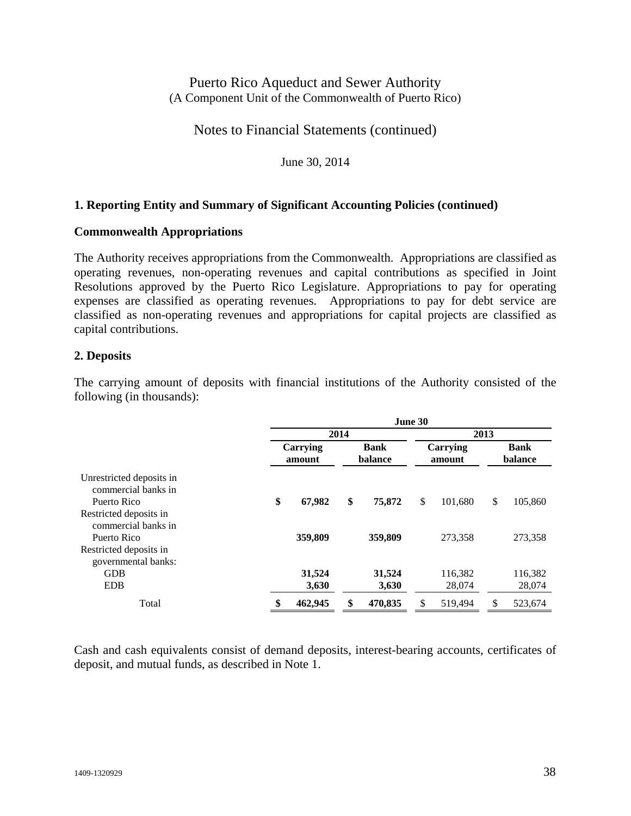Notes to Financial Statements (continued)

June 30, 2014

### **1. Reporting Entity and Summary of Significant Accounting Policies (continued)**

#### **Commonwealth Appropriations**

The Authority receives appropriations from the Commonwealth. Appropriations are classified as operating revenues, non-operating revenues and capital contributions as specified in Joint Resolutions approved by the Puerto Rico Legislature. Appropriations to pay for operating expenses are classified as operating revenues. Appropriations to pay for debt service are classified as non-operating revenues and appropriations for capital projects are classified as capital contributions.

### **2. Deposits**

The carrying amount of deposits with financial institutions of the Authority consisted of the following (in thousands):

|                                                                | June 30            |      |                        |    |                    |                        |         |  |
|----------------------------------------------------------------|--------------------|------|------------------------|----|--------------------|------------------------|---------|--|
|                                                                |                    | 2014 |                        |    |                    | 2013                   |         |  |
|                                                                | Carrying<br>amount |      | <b>Bank</b><br>balance |    | Carrying<br>amount | <b>Bank</b><br>balance |         |  |
| Unrestricted deposits in<br>commercial banks in<br>Puerto Rico | \$<br>67,982       | \$   | 75,872                 | \$ | 101,680            | \$                     | 105,860 |  |
| Restricted deposits in<br>commercial banks in                  |                    |      |                        |    |                    |                        |         |  |
| Puerto Rico                                                    | 359,809            |      | 359,809                |    | 273,358            |                        | 273,358 |  |
| Restricted deposits in<br>governmental banks:                  |                    |      |                        |    |                    |                        |         |  |
| <b>GDB</b>                                                     | 31,524             |      | 31,524                 |    | 116,382            |                        | 116,382 |  |
| <b>EDB</b>                                                     | 3,630              |      | 3,630                  |    | 28,074             |                        | 28,074  |  |
| Total                                                          | 462,945            | \$   | 470,835                | \$ | 519,494            |                        | 523,674 |  |

Cash and cash equivalents consist of demand deposits, interest-bearing accounts, certificates of deposit, and mutual funds, as described in Note 1.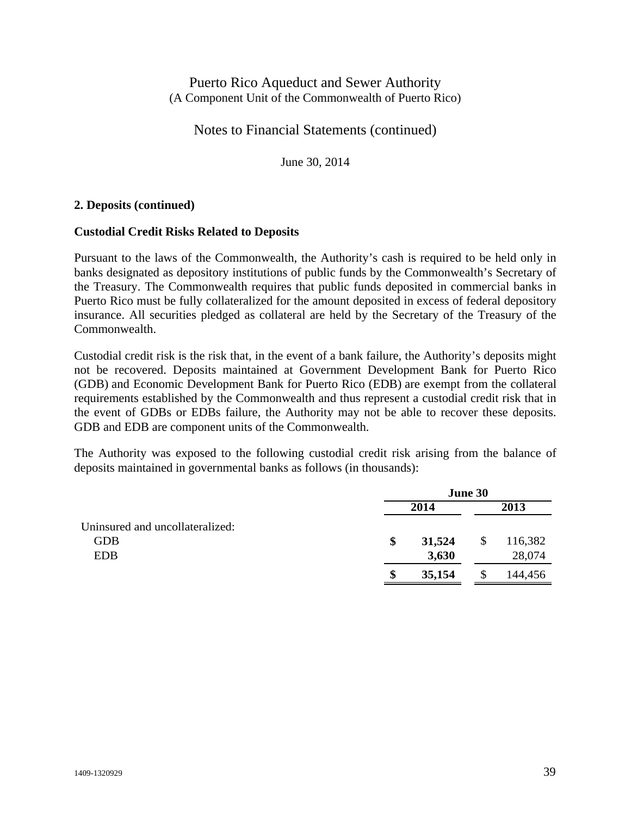Notes to Financial Statements (continued)

June 30, 2014

### **2. Deposits (continued)**

### **Custodial Credit Risks Related to Deposits**

Pursuant to the laws of the Commonwealth, the Authority's cash is required to be held only in banks designated as depository institutions of public funds by the Commonwealth's Secretary of the Treasury. The Commonwealth requires that public funds deposited in commercial banks in Puerto Rico must be fully collateralized for the amount deposited in excess of federal depository insurance. All securities pledged as collateral are held by the Secretary of the Treasury of the Commonwealth.

Custodial credit risk is the risk that, in the event of a bank failure, the Authority's deposits might not be recovered. Deposits maintained at Government Development Bank for Puerto Rico (GDB) and Economic Development Bank for Puerto Rico (EDB) are exempt from the collateral requirements established by the Commonwealth and thus represent a custodial credit risk that in the event of GDBs or EDBs failure, the Authority may not be able to recover these deposits. GDB and EDB are component units of the Commonwealth.

The Authority was exposed to the following custodial credit risk arising from the balance of deposits maintained in governmental banks as follows (in thousands):

|                                 |                   | June 30 |      |         |  |  |
|---------------------------------|-------------------|---------|------|---------|--|--|
|                                 | $20\overline{14}$ |         | 2013 |         |  |  |
| Uninsured and uncollateralized: |                   |         |      |         |  |  |
| <b>GDB</b>                      | \$                | 31,524  | \$   | 116,382 |  |  |
| <b>EDB</b>                      |                   | 3,630   |      | 28,074  |  |  |
|                                 | \$                | 35,154  |      | 144,456 |  |  |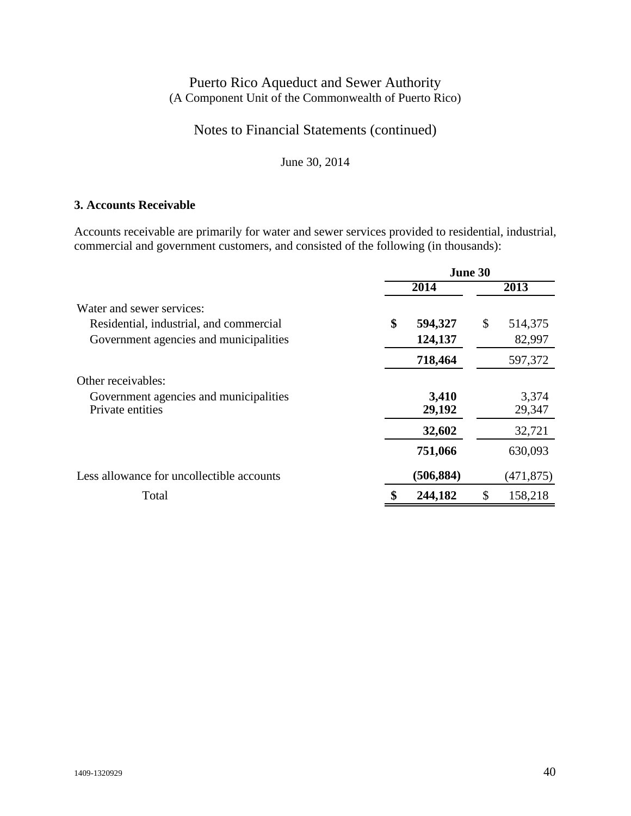Notes to Financial Statements (continued)

June 30, 2014

## **3. Accounts Receivable**

Accounts receivable are primarily for water and sewer services provided to residential, industrial, commercial and government customers, and consisted of the following (in thousands):

|                                           | June 30 |            |    |            |
|-------------------------------------------|---------|------------|----|------------|
|                                           |         | 2013       |    |            |
| Water and sewer services:                 |         |            |    |            |
| Residential, industrial, and commercial   | \$      | 594,327    | \$ | 514,375    |
| Government agencies and municipalities    |         | 124,137    |    | 82,997     |
|                                           |         | 718,464    |    | 597,372    |
| Other receivables:                        |         |            |    |            |
| Government agencies and municipalities    |         | 3,410      |    | 3,374      |
| Private entities                          |         | 29,192     |    | 29,347     |
|                                           |         | 32,602     |    | 32,721     |
|                                           |         | 751,066    |    | 630,093    |
| Less allowance for uncollectible accounts |         | (506, 884) |    | (471, 875) |
| Total                                     |         | 244,182    | \$ | 158,218    |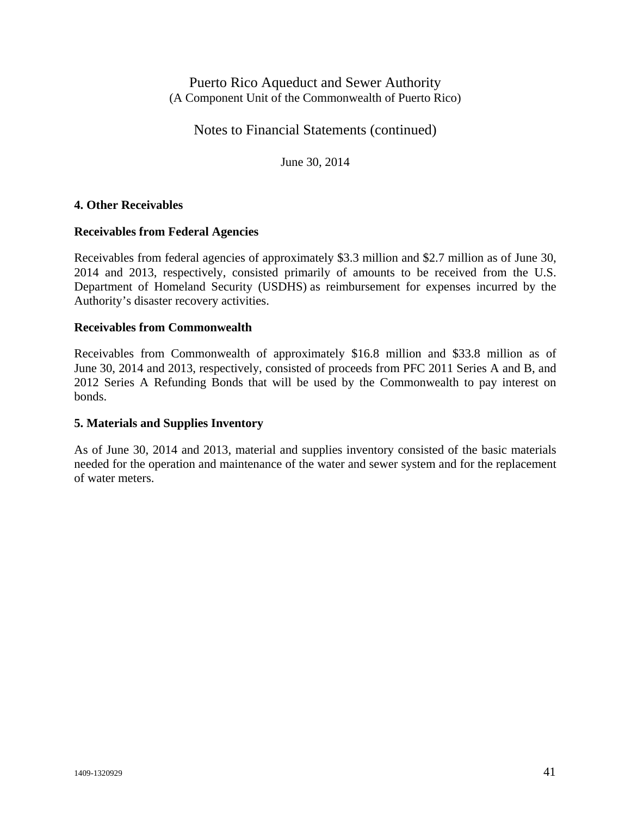Notes to Financial Statements (continued)

June 30, 2014

### **4. Other Receivables**

### **Receivables from Federal Agencies**

Receivables from federal agencies of approximately \$3.3 million and \$2.7 million as of June 30, 2014 and 2013, respectively, consisted primarily of amounts to be received from the U.S. Department of Homeland Security (USDHS) as reimbursement for expenses incurred by the Authority's disaster recovery activities.

#### **Receivables from Commonwealth**

Receivables from Commonwealth of approximately \$16.8 million and \$33.8 million as of June 30, 2014 and 2013, respectively, consisted of proceeds from PFC 2011 Series A and B, and 2012 Series A Refunding Bonds that will be used by the Commonwealth to pay interest on bonds.

### **5. Materials and Supplies Inventory**

As of June 30, 2014 and 2013, material and supplies inventory consisted of the basic materials needed for the operation and maintenance of the water and sewer system and for the replacement of water meters.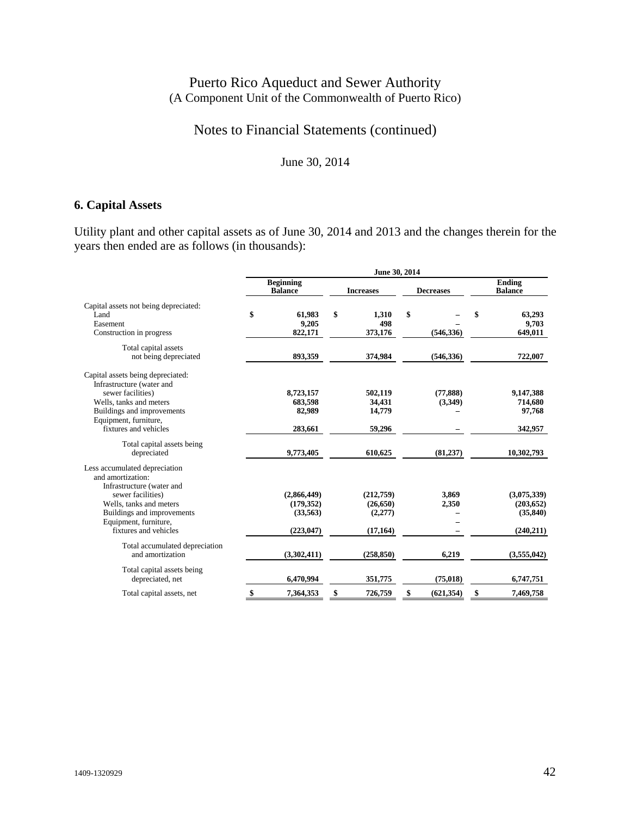# Notes to Financial Statements (continued)

June 30, 2014

#### **6. Capital Assets**

Utility plant and other capital assets as of June 30, 2014 and 2013 and the changes therein for the years then ended are as follows (in thousands):

|                                                                                                                                                                                                                 | June 30, 2014 |                                                     |    |                                                |    |                      |    |                                                      |  |
|-----------------------------------------------------------------------------------------------------------------------------------------------------------------------------------------------------------------|---------------|-----------------------------------------------------|----|------------------------------------------------|----|----------------------|----|------------------------------------------------------|--|
|                                                                                                                                                                                                                 |               | <b>Beginning</b><br><b>Balance</b>                  |    | <b>Increases</b>                               |    | <b>Decreases</b>     |    | <b>Ending</b><br><b>Balance</b>                      |  |
| Capital assets not being depreciated:<br>Land<br>Easement<br>Construction in progress                                                                                                                           | \$            | 61.983<br>9.205<br>822,171                          | \$ | 1.310<br>498<br>373,176                        | \$ | (546, 336)           | \$ | 63,293<br>9.703<br>649,011                           |  |
| Total capital assets<br>not being depreciated                                                                                                                                                                   |               | 893,359                                             |    | 374,984                                        |    | (546, 336)           |    | 722,007                                              |  |
| Capital assets being depreciated:<br>Infrastructure (water and<br>sewer facilities)<br>Wells, tanks and meters<br>Buildings and improvements<br>Equipment, furniture,<br>fixtures and vehicles                  |               | 8,723,157<br>683,598<br>82,989<br>283,661           |    | 502,119<br>34.431<br>14,779<br>59,296          |    | (77, 888)<br>(3,349) |    | 9,147,388<br>714,680<br>97,768<br>342,957            |  |
| Total capital assets being<br>depreciated                                                                                                                                                                       |               | 9,773,405                                           |    | 610,625                                        |    | (81, 237)            |    | 10,302,793                                           |  |
| Less accumulated depreciation<br>and amortization:<br>Infrastructure (water and<br>sewer facilities)<br>Wells, tanks and meters<br>Buildings and improvements<br>Equipment, furniture,<br>fixtures and vehicles |               | (2,866,449)<br>(179, 352)<br>(33,563)<br>(223, 047) |    | (212,759)<br>(26, 650)<br>(2,277)<br>(17, 164) |    | 3,869<br>2,350       |    | (3,075,339)<br>(203, 652)<br>(35, 840)<br>(240, 211) |  |
| Total accumulated depreciation<br>and amortization                                                                                                                                                              |               | (3,302,411)                                         |    | (258, 850)                                     |    | 6,219                |    | (3,555,042)                                          |  |
| Total capital assets being<br>depreciated, net                                                                                                                                                                  |               | 6,470,994                                           |    | 351,775                                        |    | (75, 018)            |    | 6,747,751                                            |  |
| Total capital assets, net                                                                                                                                                                                       | \$            | 7,364,353                                           | \$ | 726,759                                        | \$ | (621, 354)           | \$ | 7,469,758                                            |  |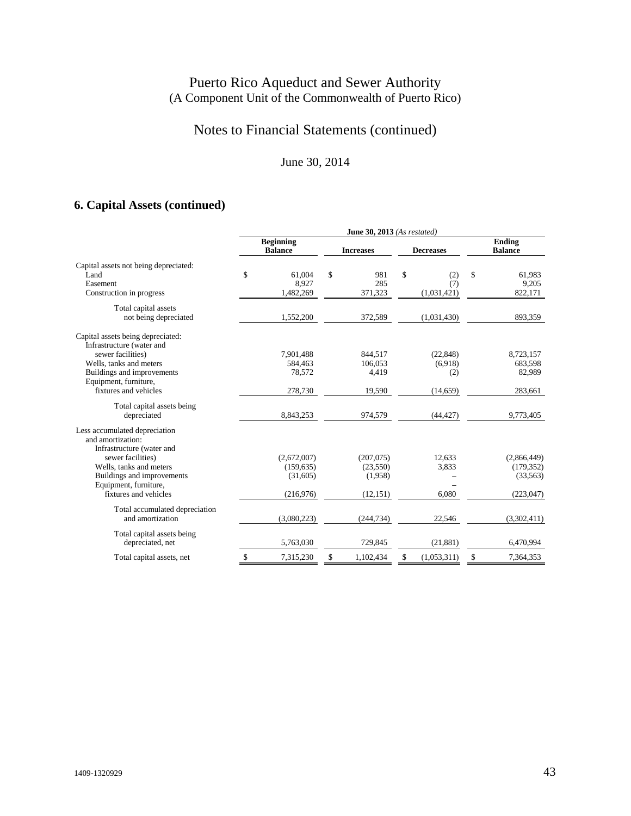# Notes to Financial Statements (continued)

# June 30, 2014

# **6. Capital Assets (continued)**

|                                                     | <b>June 30, 2013</b> (As restated) |                                    |    |                  |    |                  |    |                          |
|-----------------------------------------------------|------------------------------------|------------------------------------|----|------------------|----|------------------|----|--------------------------|
|                                                     |                                    | <b>Beginning</b><br><b>Balance</b> |    | <b>Increases</b> |    | <b>Decreases</b> |    | Ending<br><b>Balance</b> |
| Capital assets not being depreciated:<br>Land       | \$                                 | 61.004                             | \$ | 981              | \$ | (2)              | \$ | 61.983                   |
| Easement                                            |                                    | 8.927                              |    | 285              |    | (7)              |    | 9.205                    |
| Construction in progress                            |                                    | 1,482,269                          |    | 371,323          |    | (1,031,421)      |    | 822,171                  |
| Total capital assets                                |                                    |                                    |    |                  |    |                  |    |                          |
| not being depreciated                               |                                    | 1,552,200                          |    | 372,589          |    | (1,031,430)      |    | 893,359                  |
| Capital assets being depreciated:                   |                                    |                                    |    |                  |    |                  |    |                          |
| Infrastructure (water and                           |                                    |                                    |    |                  |    |                  |    |                          |
| sewer facilities)                                   |                                    | 7,901,488                          |    | 844,517          |    | (22, 848)        |    | 8,723,157                |
| Wells, tanks and meters                             |                                    | 584,463                            |    | 106,053          |    | (6.918)          |    | 683,598                  |
| Buildings and improvements                          |                                    | 78,572                             |    | 4,419            |    | (2)              |    | 82,989                   |
| Equipment, furniture,                               |                                    |                                    |    |                  |    |                  |    |                          |
| fixtures and vehicles                               |                                    | 278,730                            |    | 19,590           |    | (14, 659)        |    | 283,661                  |
| Total capital assets being                          |                                    |                                    |    |                  |    |                  |    |                          |
| depreciated                                         |                                    | 8,843,253                          |    | 974,579          |    | (44, 427)        |    | 9,773,405                |
| Less accumulated depreciation                       |                                    |                                    |    |                  |    |                  |    |                          |
| and amortization:                                   |                                    |                                    |    |                  |    |                  |    |                          |
| Infrastructure (water and                           |                                    |                                    |    |                  |    |                  |    |                          |
| sewer facilities)                                   |                                    | (2,672,007)                        |    | (207,075)        |    | 12,633           |    | (2,866,449)              |
| Wells, tanks and meters                             |                                    | (159, 635)                         |    | (23,550)         |    | 3,833            |    | (179, 352)               |
| Buildings and improvements<br>Equipment, furniture, |                                    | (31,605)                           |    | (1,958)          |    |                  |    | (33, 563)                |
| fixtures and vehicles                               |                                    | (216,976)                          |    | (12, 151)        |    | 6,080            |    | (223, 047)               |
|                                                     |                                    |                                    |    |                  |    |                  |    |                          |
| Total accumulated depreciation                      |                                    |                                    |    |                  |    |                  |    |                          |
| and amortization                                    |                                    | (3,080,223)                        |    | (244, 734)       |    | 22,546           |    | (3,302,411)              |
| Total capital assets being                          |                                    |                                    |    |                  |    |                  |    |                          |
| depreciated, net                                    |                                    | 5,763,030                          |    | 729,845          |    | (21, 881)        |    | 6,470,994                |
| Total capital assets, net                           | \$                                 | 7,315,230                          | S  | 1,102,434        | S  | (1,053,311)      | \$ | 7,364,353                |
|                                                     |                                    |                                    |    |                  |    |                  |    |                          |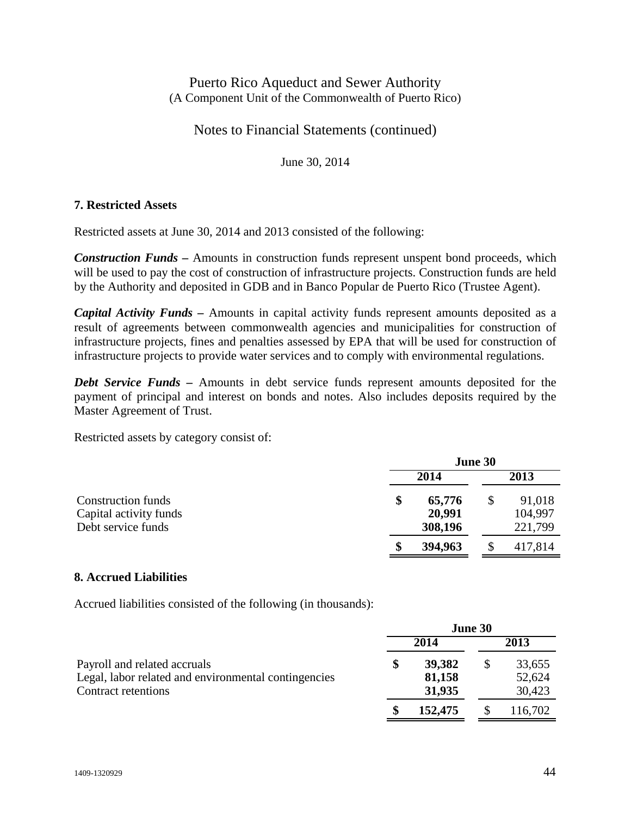Notes to Financial Statements (continued)

June 30, 2014

### **7. Restricted Assets**

Restricted assets at June 30, 2014 and 2013 consisted of the following:

*Construction Funds –* Amounts in construction funds represent unspent bond proceeds, which will be used to pay the cost of construction of infrastructure projects. Construction funds are held by the Authority and deposited in GDB and in Banco Popular de Puerto Rico (Trustee Agent).

*Capital Activity Funds –* Amounts in capital activity funds represent amounts deposited as a result of agreements between commonwealth agencies and municipalities for construction of infrastructure projects, fines and penalties assessed by EPA that will be used for construction of infrastructure projects to provide water services and to comply with environmental regulations.

**Debt Service Funds** – Amounts in debt service funds represent amounts deposited for the payment of principal and interest on bonds and notes. Also includes deposits required by the Master Agreement of Trust.

Restricted assets by category consist of:

|                                                                           | June 30 |                             |    |                              |  |
|---------------------------------------------------------------------------|---------|-----------------------------|----|------------------------------|--|
|                                                                           |         | 2014                        |    | 2013                         |  |
| <b>Construction funds</b><br>Capital activity funds<br>Debt service funds | \$      | 65,776<br>20,991<br>308,196 | \$ | 91,018<br>104,997<br>221,799 |  |
|                                                                           | \$      | 394,963                     |    | 417,814                      |  |

#### **8. Accrued Liabilities**

Accrued liabilities consisted of the following (in thousands):

|                                                                                                             | <b>June 30</b> |                            |      |                            |  |
|-------------------------------------------------------------------------------------------------------------|----------------|----------------------------|------|----------------------------|--|
|                                                                                                             |                | 2014                       | 2013 |                            |  |
| Payroll and related accruals<br>Legal, labor related and environmental contingencies<br>Contract retentions | \$             | 39,382<br>81,158<br>31,935 | \$   | 33,655<br>52,624<br>30,423 |  |
|                                                                                                             |                | 152,475                    |      | 116,702                    |  |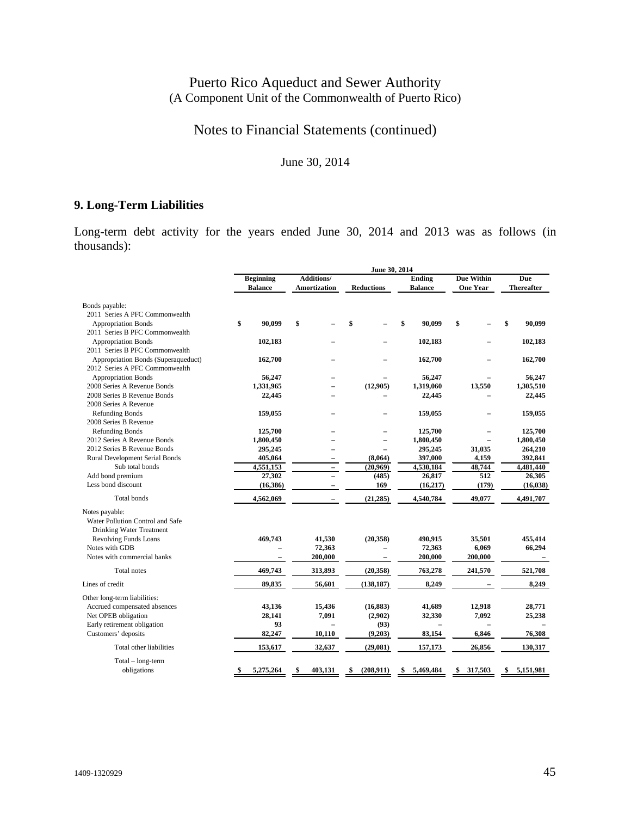Notes to Financial Statements (continued)

June 30, 2014

# **9. Long-Term Liabilities**

Long-term debt activity for the years ended June 30, 2014 and 2013 was as follows (in thousands):

|                                       | June 30, 2014 |                  |                   |                          |                   |                |                 |                   |                          |            |                   |
|---------------------------------------|---------------|------------------|-------------------|--------------------------|-------------------|----------------|-----------------|-------------------|--------------------------|------------|-------------------|
|                                       |               | <b>Beginning</b> | <b>Additions/</b> |                          |                   |                | <b>Ending</b>   | <b>Due Within</b> |                          | <b>Due</b> |                   |
|                                       |               | <b>Balance</b>   | Amortization      |                          | <b>Reductions</b> |                | <b>Balance</b>  | <b>One Year</b>   |                          |            | <b>Thereafter</b> |
|                                       |               |                  |                   |                          |                   |                |                 |                   |                          |            |                   |
| Bonds payable:                        |               |                  |                   |                          |                   |                |                 |                   |                          |            |                   |
| 2011 Series A PFC Commonwealth        |               |                  |                   |                          |                   |                |                 |                   |                          |            |                   |
| Appropriation Bonds                   | \$            | 90,099           | \$                |                          | \$                |                | \$<br>90,099    | \$                |                          | \$         | 90,099            |
| 2011 Series B PFC Commonwealth        |               |                  |                   |                          |                   |                |                 |                   |                          |            |                   |
| Appropriation Bonds                   |               | 102,183          |                   |                          |                   |                | 102,183         |                   |                          |            | 102,183           |
| 2011 Series B PFC Commonwealth        |               |                  |                   |                          |                   |                |                 |                   |                          |            |                   |
| Appropriation Bonds (Superaqueduct)   |               | 162,700          |                   |                          |                   |                | 162,700         |                   |                          |            | 162,700           |
| 2012 Series A PFC Commonwealth        |               |                  |                   |                          |                   |                |                 |                   |                          |            |                   |
| <b>Appropriation Bonds</b>            |               | 56,247           |                   | L.                       |                   |                | 56,247          |                   |                          |            | 56,247            |
| 2008 Series A Revenue Bonds           |               | 1,331,965        |                   |                          | (12,905)          |                | 1,319,060       | 13,550            |                          |            | 1,305,510         |
| 2008 Series B Revenue Bonds           |               | 22,445           |                   | $\overline{\phantom{0}}$ |                   |                | 22,445          |                   |                          |            | 22,445            |
| 2008 Series A Revenue                 |               |                  |                   |                          |                   |                |                 |                   |                          |            |                   |
| <b>Refunding Bonds</b>                |               | 159,055          |                   |                          |                   | ۳              | 159,055         |                   | $\overline{\phantom{0}}$ |            | 159,055           |
| 2008 Series B Revenue                 |               |                  |                   |                          |                   |                |                 |                   |                          |            |                   |
| <b>Refunding Bonds</b>                |               | 125,700          |                   |                          |                   | L.             | 125,700         |                   | ÷                        |            | 125,700           |
| 2012 Series A Revenue Bonds           |               | 1,800,450        |                   |                          |                   | $\overline{a}$ | 1,800,450       |                   | $\overline{a}$           |            | 1,800,450         |
| 2012 Series B Revenue Bonds           |               | 295,245          |                   |                          |                   |                | 295,245         | 31,035            |                          |            | 264,210           |
| <b>Rural Development Serial Bonds</b> |               | 405,064          |                   | -                        | (8,064)           |                | 397,000         | 4,159             |                          |            | 392,841           |
| Sub total bonds                       |               | 4,551,153        |                   | $\overline{\phantom{m}}$ | (20,969)          |                | 4,530,184       | 48,744            |                          |            | 4,481,440         |
| Add bond premium                      |               | 27,302           |                   |                          | (485)             |                | 26,817          |                   | 512                      |            | 26,305            |
| Less bond discount                    |               | (16, 386)        |                   |                          | 169               |                | (16, 217)       |                   | (179)                    |            | (16, 038)         |
| <b>Total bonds</b>                    |               | 4,562,069        |                   | $\overline{\phantom{0}}$ | (21, 285)         |                | 4,540,784       | 49,077            |                          |            | 4,491,707         |
| Notes payable:                        |               |                  |                   |                          |                   |                |                 |                   |                          |            |                   |
| Water Pollution Control and Safe      |               |                  |                   |                          |                   |                |                 |                   |                          |            |                   |
| Drinking Water Treatment              |               |                  |                   |                          |                   |                |                 |                   |                          |            |                   |
| <b>Revolving Funds Loans</b>          |               | 469,743          |                   | 41,530                   | (20, 358)         |                | 490,915         | 35,501            |                          |            | 455,414           |
| Notes with GDB                        |               |                  |                   | 72,363                   |                   |                | 72,363          | 6,069             |                          |            | 66,294            |
| Notes with commercial banks           |               |                  |                   | 200,000                  |                   |                | 200,000         | 200,000           |                          |            |                   |
| <b>Total</b> notes                    |               | 469,743          |                   | 313,893                  | (20, 358)         |                | 763,278         | 241,570           |                          |            | 521,708           |
| Lines of credit                       |               | 89,835           |                   | 56,601                   | (138, 187)        |                | 8,249           |                   |                          |            | 8,249             |
| Other long-term liabilities:          |               |                  |                   |                          |                   |                |                 |                   |                          |            |                   |
| Accrued compensated absences          |               | 43,136           |                   | 15,436                   | (16, 883)         |                | 41,689          | 12,918            |                          |            | 28,771            |
| Net OPEB obligation                   |               | 28,141           |                   | 7,091                    | (2,902)           |                | 32,330          | 7,092             |                          |            | 25,238            |
| Early retirement obligation           |               | 93               |                   |                          |                   | (93)           |                 |                   |                          |            |                   |
| Customers' deposits                   |               | 82,247           |                   | 10,110                   | (9,203)           |                | 83,154          |                   | 6,846                    |            | 76,308            |
| Total other liabilities               |               | 153,617          |                   | 32,637                   | (29, 081)         |                | 157,173         | 26,856            |                          |            | 130,317           |
|                                       |               |                  |                   |                          |                   |                |                 |                   |                          |            |                   |
| Total - long-term                     |               |                  |                   |                          |                   |                |                 |                   |                          |            |                   |
| obligations                           | S             | 5,275,264        | \$                | 403,131                  | (208, 911)<br>\$  |                | 5,469,484<br>\$ | 317,503<br>S      |                          | \$         | 5,151,981         |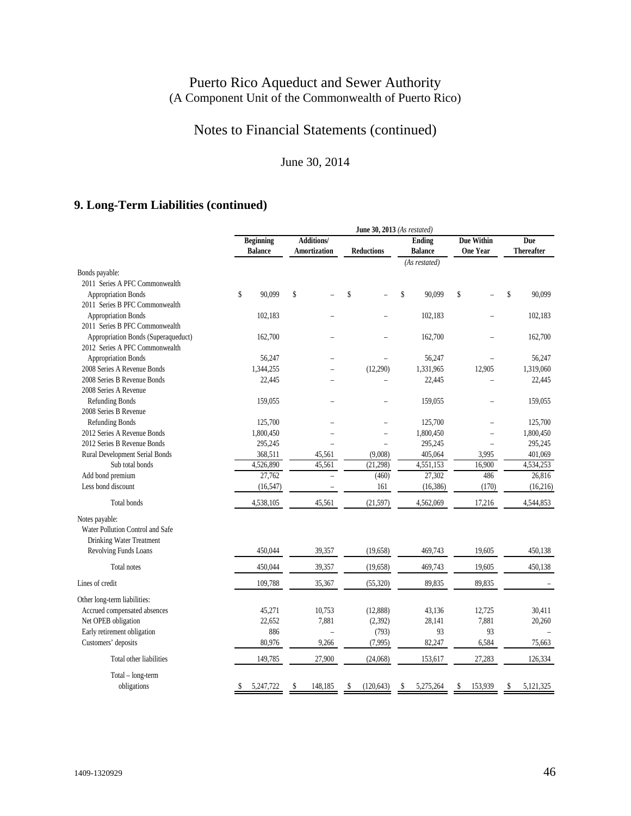# Notes to Financial Statements (continued)

# June 30, 2014

# **9. Long-Term Liabilities (continued)**

| <b>Due Within</b><br><b>Additions/</b><br><b>Beginning</b><br><b>Ending</b><br><b>Due</b><br><b>Balance</b><br><b>Reductions</b><br><b>One Year</b><br><b>Thereafter</b><br>Amortization<br><b>Balance</b><br>(As restated)<br>Bonds payable:<br>2011 Series A PFC Commonwealth<br>$\mathsf{\$}$<br>$\mathbb{S}$<br>\$<br>\$<br>90.099<br>\$<br>90.099<br>S<br>90.099<br>Appropriation Bonds<br>2011 Series B PFC Commonwealth<br><b>Appropriation Bonds</b><br>102,183<br>102,183<br>102,183<br>2011 Series B PFC Commonwealth<br>162,700<br>Appropriation Bonds (Superaqueduct)<br>162,700<br>162,700<br>2012 Series A PFC Commonwealth<br><b>Appropriation Bonds</b><br>56,247<br>56,247<br>56,247<br>(12,290)<br>12,905<br>2008 Series A Revenue Bonds<br>1,344,255<br>1,331,965<br>1,319,060<br>2008 Series B Revenue Bonds<br>22,445<br>22,445<br>22,445<br>2008 Series A Revenue<br><b>Refunding Bonds</b><br>159,055<br>159,055<br>159,055<br>2008 Series B Revenue<br><b>Refunding Bonds</b><br>125,700<br>125,700<br>125,700<br>1,800,450<br>2012 Series A Revenue Bonds<br>1,800,450<br>1,800,450<br>295,245<br>2012 Series B Revenue Bonds<br>295,245<br>295,245<br>Rural Development Serial Bonds<br>368,511<br>(9,008)<br>405,064<br>3,995<br>401,069<br>45,561<br>Sub total bonds<br>4,526,890<br>45,561<br>(21, 298)<br>4,551,153<br>16,900<br>4,534,253<br>27,762<br>27,302<br>486<br>26,816<br>Add bond premium<br>(460)<br>Less bond discount<br>(16, 547)<br>161<br>(16, 386)<br>(170)<br>(16,216)<br>Total bonds<br>4,538,105<br>45,561<br>(21, 597)<br>4,562,069<br>17,216<br>4,544,853<br>Notes payable:<br>Water Pollution Control and Safe<br>Drinking Water Treatment<br>450,044<br>Revolving Funds Loans<br>39,357<br>469,743<br>19,605<br>450,138<br>(19, 658)<br><b>Total notes</b><br>450.044<br>39,357<br>469,743<br>19,605<br>450,138<br>(19, 658)<br>Lines of credit<br>109,788<br>35,367<br>89,835<br>89,835<br>(55,320)<br>Other long-term liabilities:<br>45,271<br>43,136<br>12,725<br>30,411<br>Accrued compensated absences<br>10,753<br>(12, 888)<br>7,881<br>7,881<br>Net OPEB obligation<br>22,652<br>(2, 392)<br>28,141<br>20,260<br>886<br>Early retirement obligation<br>(793)<br>93<br>93<br>$\overline{a}$<br>80,976<br>9,266<br>6,584<br>Customers' deposits<br>(7,995)<br>82,247<br>75,663<br>149,785<br>27,900<br>27,283<br>126,334<br>Total other liabilities<br>(24,068)<br>153,617 |                   | June 30, 2013 (As restated) |  |  |  |  |  |  |  |  |  |  |
|-----------------------------------------------------------------------------------------------------------------------------------------------------------------------------------------------------------------------------------------------------------------------------------------------------------------------------------------------------------------------------------------------------------------------------------------------------------------------------------------------------------------------------------------------------------------------------------------------------------------------------------------------------------------------------------------------------------------------------------------------------------------------------------------------------------------------------------------------------------------------------------------------------------------------------------------------------------------------------------------------------------------------------------------------------------------------------------------------------------------------------------------------------------------------------------------------------------------------------------------------------------------------------------------------------------------------------------------------------------------------------------------------------------------------------------------------------------------------------------------------------------------------------------------------------------------------------------------------------------------------------------------------------------------------------------------------------------------------------------------------------------------------------------------------------------------------------------------------------------------------------------------------------------------------------------------------------------------------------------------------------------------------------------------------------------------------------------------------------------------------------------------------------------------------------------------------------------------------------------------------------------------------------------------------------------------------------------------------------------------------------------------------------------------------------------------|-------------------|-----------------------------|--|--|--|--|--|--|--|--|--|--|
|                                                                                                                                                                                                                                                                                                                                                                                                                                                                                                                                                                                                                                                                                                                                                                                                                                                                                                                                                                                                                                                                                                                                                                                                                                                                                                                                                                                                                                                                                                                                                                                                                                                                                                                                                                                                                                                                                                                                                                                                                                                                                                                                                                                                                                                                                                                                                                                                                                         |                   |                             |  |  |  |  |  |  |  |  |  |  |
|                                                                                                                                                                                                                                                                                                                                                                                                                                                                                                                                                                                                                                                                                                                                                                                                                                                                                                                                                                                                                                                                                                                                                                                                                                                                                                                                                                                                                                                                                                                                                                                                                                                                                                                                                                                                                                                                                                                                                                                                                                                                                                                                                                                                                                                                                                                                                                                                                                         |                   |                             |  |  |  |  |  |  |  |  |  |  |
|                                                                                                                                                                                                                                                                                                                                                                                                                                                                                                                                                                                                                                                                                                                                                                                                                                                                                                                                                                                                                                                                                                                                                                                                                                                                                                                                                                                                                                                                                                                                                                                                                                                                                                                                                                                                                                                                                                                                                                                                                                                                                                                                                                                                                                                                                                                                                                                                                                         |                   |                             |  |  |  |  |  |  |  |  |  |  |
|                                                                                                                                                                                                                                                                                                                                                                                                                                                                                                                                                                                                                                                                                                                                                                                                                                                                                                                                                                                                                                                                                                                                                                                                                                                                                                                                                                                                                                                                                                                                                                                                                                                                                                                                                                                                                                                                                                                                                                                                                                                                                                                                                                                                                                                                                                                                                                                                                                         |                   |                             |  |  |  |  |  |  |  |  |  |  |
|                                                                                                                                                                                                                                                                                                                                                                                                                                                                                                                                                                                                                                                                                                                                                                                                                                                                                                                                                                                                                                                                                                                                                                                                                                                                                                                                                                                                                                                                                                                                                                                                                                                                                                                                                                                                                                                                                                                                                                                                                                                                                                                                                                                                                                                                                                                                                                                                                                         |                   |                             |  |  |  |  |  |  |  |  |  |  |
|                                                                                                                                                                                                                                                                                                                                                                                                                                                                                                                                                                                                                                                                                                                                                                                                                                                                                                                                                                                                                                                                                                                                                                                                                                                                                                                                                                                                                                                                                                                                                                                                                                                                                                                                                                                                                                                                                                                                                                                                                                                                                                                                                                                                                                                                                                                                                                                                                                         |                   |                             |  |  |  |  |  |  |  |  |  |  |
|                                                                                                                                                                                                                                                                                                                                                                                                                                                                                                                                                                                                                                                                                                                                                                                                                                                                                                                                                                                                                                                                                                                                                                                                                                                                                                                                                                                                                                                                                                                                                                                                                                                                                                                                                                                                                                                                                                                                                                                                                                                                                                                                                                                                                                                                                                                                                                                                                                         |                   |                             |  |  |  |  |  |  |  |  |  |  |
|                                                                                                                                                                                                                                                                                                                                                                                                                                                                                                                                                                                                                                                                                                                                                                                                                                                                                                                                                                                                                                                                                                                                                                                                                                                                                                                                                                                                                                                                                                                                                                                                                                                                                                                                                                                                                                                                                                                                                                                                                                                                                                                                                                                                                                                                                                                                                                                                                                         |                   |                             |  |  |  |  |  |  |  |  |  |  |
|                                                                                                                                                                                                                                                                                                                                                                                                                                                                                                                                                                                                                                                                                                                                                                                                                                                                                                                                                                                                                                                                                                                                                                                                                                                                                                                                                                                                                                                                                                                                                                                                                                                                                                                                                                                                                                                                                                                                                                                                                                                                                                                                                                                                                                                                                                                                                                                                                                         |                   |                             |  |  |  |  |  |  |  |  |  |  |
|                                                                                                                                                                                                                                                                                                                                                                                                                                                                                                                                                                                                                                                                                                                                                                                                                                                                                                                                                                                                                                                                                                                                                                                                                                                                                                                                                                                                                                                                                                                                                                                                                                                                                                                                                                                                                                                                                                                                                                                                                                                                                                                                                                                                                                                                                                                                                                                                                                         |                   |                             |  |  |  |  |  |  |  |  |  |  |
|                                                                                                                                                                                                                                                                                                                                                                                                                                                                                                                                                                                                                                                                                                                                                                                                                                                                                                                                                                                                                                                                                                                                                                                                                                                                                                                                                                                                                                                                                                                                                                                                                                                                                                                                                                                                                                                                                                                                                                                                                                                                                                                                                                                                                                                                                                                                                                                                                                         |                   |                             |  |  |  |  |  |  |  |  |  |  |
|                                                                                                                                                                                                                                                                                                                                                                                                                                                                                                                                                                                                                                                                                                                                                                                                                                                                                                                                                                                                                                                                                                                                                                                                                                                                                                                                                                                                                                                                                                                                                                                                                                                                                                                                                                                                                                                                                                                                                                                                                                                                                                                                                                                                                                                                                                                                                                                                                                         |                   |                             |  |  |  |  |  |  |  |  |  |  |
|                                                                                                                                                                                                                                                                                                                                                                                                                                                                                                                                                                                                                                                                                                                                                                                                                                                                                                                                                                                                                                                                                                                                                                                                                                                                                                                                                                                                                                                                                                                                                                                                                                                                                                                                                                                                                                                                                                                                                                                                                                                                                                                                                                                                                                                                                                                                                                                                                                         |                   |                             |  |  |  |  |  |  |  |  |  |  |
|                                                                                                                                                                                                                                                                                                                                                                                                                                                                                                                                                                                                                                                                                                                                                                                                                                                                                                                                                                                                                                                                                                                                                                                                                                                                                                                                                                                                                                                                                                                                                                                                                                                                                                                                                                                                                                                                                                                                                                                                                                                                                                                                                                                                                                                                                                                                                                                                                                         |                   |                             |  |  |  |  |  |  |  |  |  |  |
|                                                                                                                                                                                                                                                                                                                                                                                                                                                                                                                                                                                                                                                                                                                                                                                                                                                                                                                                                                                                                                                                                                                                                                                                                                                                                                                                                                                                                                                                                                                                                                                                                                                                                                                                                                                                                                                                                                                                                                                                                                                                                                                                                                                                                                                                                                                                                                                                                                         |                   |                             |  |  |  |  |  |  |  |  |  |  |
|                                                                                                                                                                                                                                                                                                                                                                                                                                                                                                                                                                                                                                                                                                                                                                                                                                                                                                                                                                                                                                                                                                                                                                                                                                                                                                                                                                                                                                                                                                                                                                                                                                                                                                                                                                                                                                                                                                                                                                                                                                                                                                                                                                                                                                                                                                                                                                                                                                         |                   |                             |  |  |  |  |  |  |  |  |  |  |
|                                                                                                                                                                                                                                                                                                                                                                                                                                                                                                                                                                                                                                                                                                                                                                                                                                                                                                                                                                                                                                                                                                                                                                                                                                                                                                                                                                                                                                                                                                                                                                                                                                                                                                                                                                                                                                                                                                                                                                                                                                                                                                                                                                                                                                                                                                                                                                                                                                         |                   |                             |  |  |  |  |  |  |  |  |  |  |
|                                                                                                                                                                                                                                                                                                                                                                                                                                                                                                                                                                                                                                                                                                                                                                                                                                                                                                                                                                                                                                                                                                                                                                                                                                                                                                                                                                                                                                                                                                                                                                                                                                                                                                                                                                                                                                                                                                                                                                                                                                                                                                                                                                                                                                                                                                                                                                                                                                         |                   |                             |  |  |  |  |  |  |  |  |  |  |
|                                                                                                                                                                                                                                                                                                                                                                                                                                                                                                                                                                                                                                                                                                                                                                                                                                                                                                                                                                                                                                                                                                                                                                                                                                                                                                                                                                                                                                                                                                                                                                                                                                                                                                                                                                                                                                                                                                                                                                                                                                                                                                                                                                                                                                                                                                                                                                                                                                         |                   |                             |  |  |  |  |  |  |  |  |  |  |
|                                                                                                                                                                                                                                                                                                                                                                                                                                                                                                                                                                                                                                                                                                                                                                                                                                                                                                                                                                                                                                                                                                                                                                                                                                                                                                                                                                                                                                                                                                                                                                                                                                                                                                                                                                                                                                                                                                                                                                                                                                                                                                                                                                                                                                                                                                                                                                                                                                         |                   |                             |  |  |  |  |  |  |  |  |  |  |
|                                                                                                                                                                                                                                                                                                                                                                                                                                                                                                                                                                                                                                                                                                                                                                                                                                                                                                                                                                                                                                                                                                                                                                                                                                                                                                                                                                                                                                                                                                                                                                                                                                                                                                                                                                                                                                                                                                                                                                                                                                                                                                                                                                                                                                                                                                                                                                                                                                         |                   |                             |  |  |  |  |  |  |  |  |  |  |
|                                                                                                                                                                                                                                                                                                                                                                                                                                                                                                                                                                                                                                                                                                                                                                                                                                                                                                                                                                                                                                                                                                                                                                                                                                                                                                                                                                                                                                                                                                                                                                                                                                                                                                                                                                                                                                                                                                                                                                                                                                                                                                                                                                                                                                                                                                                                                                                                                                         |                   |                             |  |  |  |  |  |  |  |  |  |  |
|                                                                                                                                                                                                                                                                                                                                                                                                                                                                                                                                                                                                                                                                                                                                                                                                                                                                                                                                                                                                                                                                                                                                                                                                                                                                                                                                                                                                                                                                                                                                                                                                                                                                                                                                                                                                                                                                                                                                                                                                                                                                                                                                                                                                                                                                                                                                                                                                                                         |                   |                             |  |  |  |  |  |  |  |  |  |  |
|                                                                                                                                                                                                                                                                                                                                                                                                                                                                                                                                                                                                                                                                                                                                                                                                                                                                                                                                                                                                                                                                                                                                                                                                                                                                                                                                                                                                                                                                                                                                                                                                                                                                                                                                                                                                                                                                                                                                                                                                                                                                                                                                                                                                                                                                                                                                                                                                                                         |                   |                             |  |  |  |  |  |  |  |  |  |  |
|                                                                                                                                                                                                                                                                                                                                                                                                                                                                                                                                                                                                                                                                                                                                                                                                                                                                                                                                                                                                                                                                                                                                                                                                                                                                                                                                                                                                                                                                                                                                                                                                                                                                                                                                                                                                                                                                                                                                                                                                                                                                                                                                                                                                                                                                                                                                                                                                                                         |                   |                             |  |  |  |  |  |  |  |  |  |  |
|                                                                                                                                                                                                                                                                                                                                                                                                                                                                                                                                                                                                                                                                                                                                                                                                                                                                                                                                                                                                                                                                                                                                                                                                                                                                                                                                                                                                                                                                                                                                                                                                                                                                                                                                                                                                                                                                                                                                                                                                                                                                                                                                                                                                                                                                                                                                                                                                                                         |                   |                             |  |  |  |  |  |  |  |  |  |  |
|                                                                                                                                                                                                                                                                                                                                                                                                                                                                                                                                                                                                                                                                                                                                                                                                                                                                                                                                                                                                                                                                                                                                                                                                                                                                                                                                                                                                                                                                                                                                                                                                                                                                                                                                                                                                                                                                                                                                                                                                                                                                                                                                                                                                                                                                                                                                                                                                                                         |                   |                             |  |  |  |  |  |  |  |  |  |  |
|                                                                                                                                                                                                                                                                                                                                                                                                                                                                                                                                                                                                                                                                                                                                                                                                                                                                                                                                                                                                                                                                                                                                                                                                                                                                                                                                                                                                                                                                                                                                                                                                                                                                                                                                                                                                                                                                                                                                                                                                                                                                                                                                                                                                                                                                                                                                                                                                                                         |                   |                             |  |  |  |  |  |  |  |  |  |  |
|                                                                                                                                                                                                                                                                                                                                                                                                                                                                                                                                                                                                                                                                                                                                                                                                                                                                                                                                                                                                                                                                                                                                                                                                                                                                                                                                                                                                                                                                                                                                                                                                                                                                                                                                                                                                                                                                                                                                                                                                                                                                                                                                                                                                                                                                                                                                                                                                                                         |                   |                             |  |  |  |  |  |  |  |  |  |  |
|                                                                                                                                                                                                                                                                                                                                                                                                                                                                                                                                                                                                                                                                                                                                                                                                                                                                                                                                                                                                                                                                                                                                                                                                                                                                                                                                                                                                                                                                                                                                                                                                                                                                                                                                                                                                                                                                                                                                                                                                                                                                                                                                                                                                                                                                                                                                                                                                                                         |                   |                             |  |  |  |  |  |  |  |  |  |  |
|                                                                                                                                                                                                                                                                                                                                                                                                                                                                                                                                                                                                                                                                                                                                                                                                                                                                                                                                                                                                                                                                                                                                                                                                                                                                                                                                                                                                                                                                                                                                                                                                                                                                                                                                                                                                                                                                                                                                                                                                                                                                                                                                                                                                                                                                                                                                                                                                                                         |                   |                             |  |  |  |  |  |  |  |  |  |  |
|                                                                                                                                                                                                                                                                                                                                                                                                                                                                                                                                                                                                                                                                                                                                                                                                                                                                                                                                                                                                                                                                                                                                                                                                                                                                                                                                                                                                                                                                                                                                                                                                                                                                                                                                                                                                                                                                                                                                                                                                                                                                                                                                                                                                                                                                                                                                                                                                                                         |                   |                             |  |  |  |  |  |  |  |  |  |  |
|                                                                                                                                                                                                                                                                                                                                                                                                                                                                                                                                                                                                                                                                                                                                                                                                                                                                                                                                                                                                                                                                                                                                                                                                                                                                                                                                                                                                                                                                                                                                                                                                                                                                                                                                                                                                                                                                                                                                                                                                                                                                                                                                                                                                                                                                                                                                                                                                                                         |                   |                             |  |  |  |  |  |  |  |  |  |  |
|                                                                                                                                                                                                                                                                                                                                                                                                                                                                                                                                                                                                                                                                                                                                                                                                                                                                                                                                                                                                                                                                                                                                                                                                                                                                                                                                                                                                                                                                                                                                                                                                                                                                                                                                                                                                                                                                                                                                                                                                                                                                                                                                                                                                                                                                                                                                                                                                                                         |                   |                             |  |  |  |  |  |  |  |  |  |  |
|                                                                                                                                                                                                                                                                                                                                                                                                                                                                                                                                                                                                                                                                                                                                                                                                                                                                                                                                                                                                                                                                                                                                                                                                                                                                                                                                                                                                                                                                                                                                                                                                                                                                                                                                                                                                                                                                                                                                                                                                                                                                                                                                                                                                                                                                                                                                                                                                                                         |                   |                             |  |  |  |  |  |  |  |  |  |  |
|                                                                                                                                                                                                                                                                                                                                                                                                                                                                                                                                                                                                                                                                                                                                                                                                                                                                                                                                                                                                                                                                                                                                                                                                                                                                                                                                                                                                                                                                                                                                                                                                                                                                                                                                                                                                                                                                                                                                                                                                                                                                                                                                                                                                                                                                                                                                                                                                                                         |                   |                             |  |  |  |  |  |  |  |  |  |  |
|                                                                                                                                                                                                                                                                                                                                                                                                                                                                                                                                                                                                                                                                                                                                                                                                                                                                                                                                                                                                                                                                                                                                                                                                                                                                                                                                                                                                                                                                                                                                                                                                                                                                                                                                                                                                                                                                                                                                                                                                                                                                                                                                                                                                                                                                                                                                                                                                                                         |                   |                             |  |  |  |  |  |  |  |  |  |  |
|                                                                                                                                                                                                                                                                                                                                                                                                                                                                                                                                                                                                                                                                                                                                                                                                                                                                                                                                                                                                                                                                                                                                                                                                                                                                                                                                                                                                                                                                                                                                                                                                                                                                                                                                                                                                                                                                                                                                                                                                                                                                                                                                                                                                                                                                                                                                                                                                                                         |                   |                             |  |  |  |  |  |  |  |  |  |  |
|                                                                                                                                                                                                                                                                                                                                                                                                                                                                                                                                                                                                                                                                                                                                                                                                                                                                                                                                                                                                                                                                                                                                                                                                                                                                                                                                                                                                                                                                                                                                                                                                                                                                                                                                                                                                                                                                                                                                                                                                                                                                                                                                                                                                                                                                                                                                                                                                                                         | Total - long-term |                             |  |  |  |  |  |  |  |  |  |  |
| obligations<br>148,185<br>5,247,722<br>(120, 643)<br>5,275,264<br>153,939<br>5,121,325<br>\$<br>\$<br>S<br>S                                                                                                                                                                                                                                                                                                                                                                                                                                                                                                                                                                                                                                                                                                                                                                                                                                                                                                                                                                                                                                                                                                                                                                                                                                                                                                                                                                                                                                                                                                                                                                                                                                                                                                                                                                                                                                                                                                                                                                                                                                                                                                                                                                                                                                                                                                                            |                   |                             |  |  |  |  |  |  |  |  |  |  |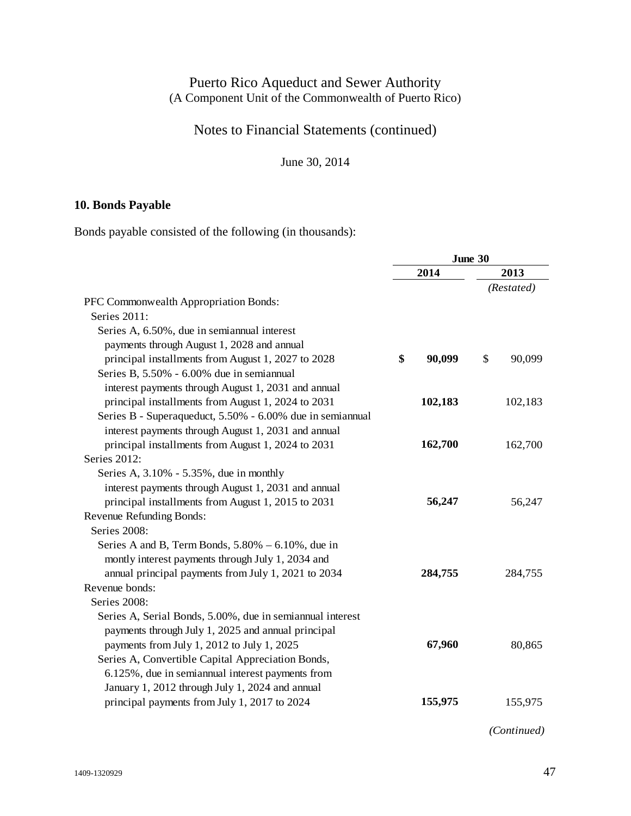# Notes to Financial Statements (continued)

June 30, 2014

# **10. Bonds Payable**

Bonds payable consisted of the following (in thousands):

|                                                           | June 30 |         |    |            |
|-----------------------------------------------------------|---------|---------|----|------------|
|                                                           |         | 2014    |    | 2013       |
|                                                           |         |         |    | (Restated) |
| PFC Commonwealth Appropriation Bonds:                     |         |         |    |            |
| Series 2011:                                              |         |         |    |            |
| Series A, 6.50%, due in semian nual interest              |         |         |    |            |
| payments through August 1, 2028 and annual                |         |         |    |            |
| principal installments from August 1, 2027 to 2028        | \$      | 90,099  | \$ | 90,099     |
| Series B, 5.50% - 6.00% due in semiannual                 |         |         |    |            |
| interest payments through August 1, 2031 and annual       |         |         |    |            |
| principal installments from August 1, 2024 to 2031        |         | 102,183 |    | 102,183    |
| Series B - Superaqueduct, 5.50% - 6.00% due in semiannual |         |         |    |            |
| interest payments through August 1, 2031 and annual       |         |         |    |            |
| principal installments from August 1, 2024 to 2031        |         | 162,700 |    | 162,700    |
| Series 2012:                                              |         |         |    |            |
| Series A, 3.10% - 5.35%, due in monthly                   |         |         |    |            |
| interest payments through August 1, 2031 and annual       |         |         |    |            |
| principal installments from August 1, 2015 to 2031        |         | 56,247  |    | 56,247     |
| Revenue Refunding Bonds:                                  |         |         |    |            |
| Series 2008:                                              |         |         |    |            |
| Series A and B, Term Bonds, $5.80\% - 6.10\%$ , due in    |         |         |    |            |
| montly interest payments through July 1, 2034 and         |         |         |    |            |
| annual principal payments from July 1, 2021 to 2034       |         | 284,755 |    | 284,755    |
| Revenue bonds:                                            |         |         |    |            |
| Series 2008:                                              |         |         |    |            |
| Series A, Serial Bonds, 5.00%, due in semiannual interest |         |         |    |            |
| payments through July 1, 2025 and annual principal        |         |         |    |            |
| payments from July 1, 2012 to July 1, 2025                |         | 67,960  |    | 80,865     |
| Series A, Convertible Capital Appreciation Bonds,         |         |         |    |            |
| 6.125%, due in semiannual interest payments from          |         |         |    |            |
| January 1, 2012 through July 1, 2024 and annual           |         |         |    |            |
| principal payments from July 1, 2017 to 2024              |         | 155,975 |    | 155,975    |

*(Continued)*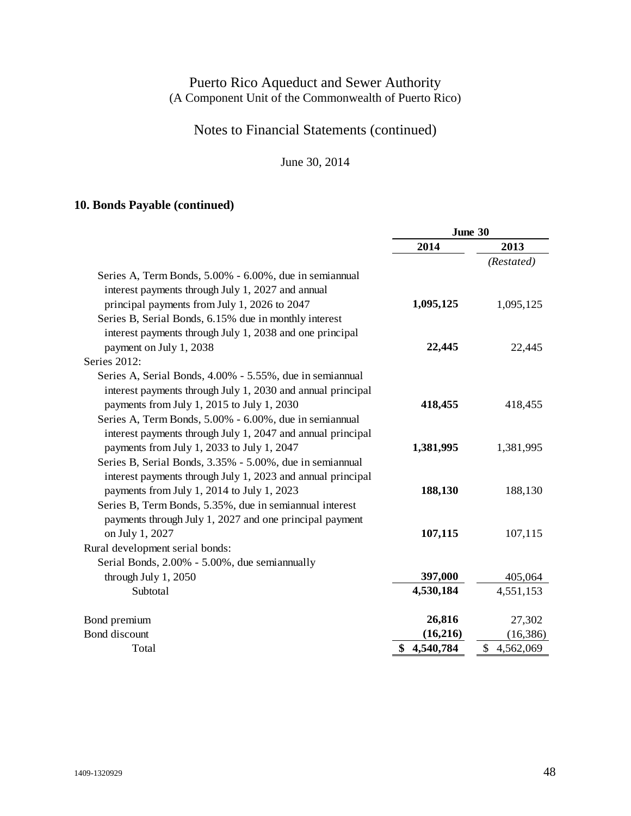# Notes to Financial Statements (continued)

# June 30, 2014

# **10. Bonds Payable (continued)**

|                                                             | June 30     |             |  |  |
|-------------------------------------------------------------|-------------|-------------|--|--|
|                                                             | 2014        | 2013        |  |  |
|                                                             |             | (Restated)  |  |  |
| Series A, Term Bonds, 5.00% - 6.00%, due in semiannual      |             |             |  |  |
| interest payments through July 1, 2027 and annual           |             |             |  |  |
| principal payments from July 1, 2026 to 2047                | 1,095,125   | 1,095,125   |  |  |
| Series B, Serial Bonds, 6.15% due in monthly interest       |             |             |  |  |
| interest payments through July 1, 2038 and one principal    |             |             |  |  |
| payment on July 1, 2038                                     | 22,445      | 22,445      |  |  |
| Series 2012:                                                |             |             |  |  |
| Series A, Serial Bonds, 4.00% - 5.55%, due in semiannual    |             |             |  |  |
| interest payments through July 1, 2030 and annual principal |             |             |  |  |
| payments from July 1, 2015 to July 1, 2030                  | 418,455     | 418,455     |  |  |
| Series A, Term Bonds, 5.00% - 6.00%, due in semiannual      |             |             |  |  |
| interest payments through July 1, 2047 and annual principal |             |             |  |  |
| payments from July 1, 2033 to July 1, 2047                  | 1,381,995   | 1,381,995   |  |  |
| Series B, Serial Bonds, 3.35% - 5.00%, due in semiannual    |             |             |  |  |
| interest payments through July 1, 2023 and annual principal |             |             |  |  |
| payments from July 1, 2014 to July 1, 2023                  | 188,130     | 188,130     |  |  |
| Series B, Term Bonds, 5.35%, due in semiannual interest     |             |             |  |  |
| payments through July 1, 2027 and one principal payment     |             |             |  |  |
| on July 1, 2027                                             | 107,115     | 107,115     |  |  |
| Rural development serial bonds:                             |             |             |  |  |
| Serial Bonds, 2.00% - 5.00%, due semiannually               |             |             |  |  |
| through July 1, 2050                                        | 397,000     | 405,064     |  |  |
| Subtotal                                                    | 4,530,184   | 4,551,153   |  |  |
| Bond premium                                                | 26,816      | 27,302      |  |  |
| Bond discount                                               | (16,216)    | (16, 386)   |  |  |
| Total                                                       | \$4,540,784 | \$4,562,069 |  |  |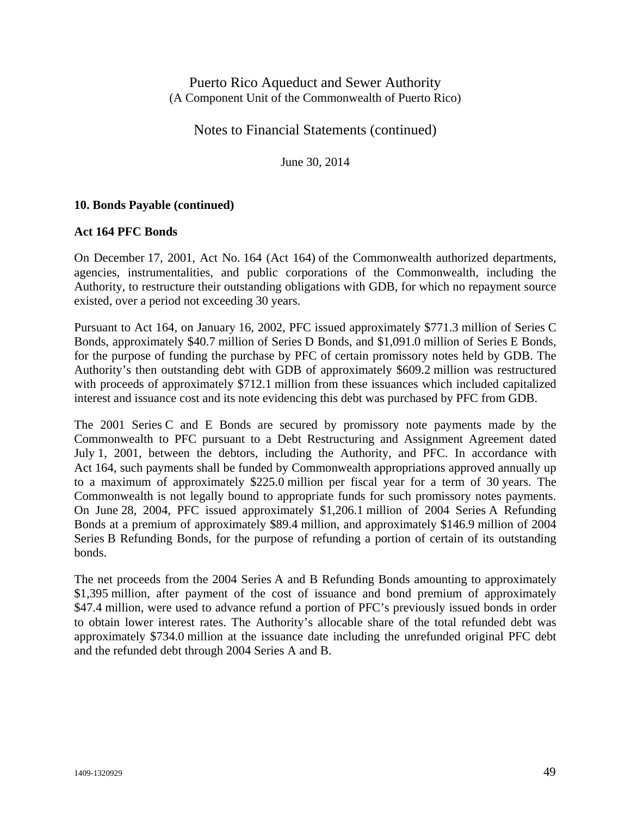Notes to Financial Statements (continued)

June 30, 2014

### **10. Bonds Payable (continued)**

### **Act 164 PFC Bonds**

On December 17, 2001, Act No. 164 (Act 164) of the Commonwealth authorized departments, agencies, instrumentalities, and public corporations of the Commonwealth, including the Authority, to restructure their outstanding obligations with GDB, for which no repayment source existed, over a period not exceeding 30 years.

Pursuant to Act 164, on January 16, 2002, PFC issued approximately \$771.3 million of Series C Bonds, approximately \$40.7 million of Series D Bonds, and \$1,091.0 million of Series E Bonds, for the purpose of funding the purchase by PFC of certain promissory notes held by GDB. The Authority's then outstanding debt with GDB of approximately \$609.2 million was restructured with proceeds of approximately \$712.1 million from these issuances which included capitalized interest and issuance cost and its note evidencing this debt was purchased by PFC from GDB.

The 2001 Series C and E Bonds are secured by promissory note payments made by the Commonwealth to PFC pursuant to a Debt Restructuring and Assignment Agreement dated July 1, 2001, between the debtors, including the Authority, and PFC. In accordance with Act 164, such payments shall be funded by Commonwealth appropriations approved annually up to a maximum of approximately \$225.0 million per fiscal year for a term of 30 years. The Commonwealth is not legally bound to appropriate funds for such promissory notes payments. On June 28, 2004, PFC issued approximately \$1,206.1 million of 2004 Series A Refunding Bonds at a premium of approximately \$89.4 million, and approximately \$146.9 million of 2004 Series B Refunding Bonds, for the purpose of refunding a portion of certain of its outstanding bonds.

The net proceeds from the 2004 Series A and B Refunding Bonds amounting to approximately \$1,395 million, after payment of the cost of issuance and bond premium of approximately \$47.4 million, were used to advance refund a portion of PFC's previously issued bonds in order to obtain lower interest rates. The Authority's allocable share of the total refunded debt was approximately \$734.0 million at the issuance date including the unrefunded original PFC debt and the refunded debt through 2004 Series A and B.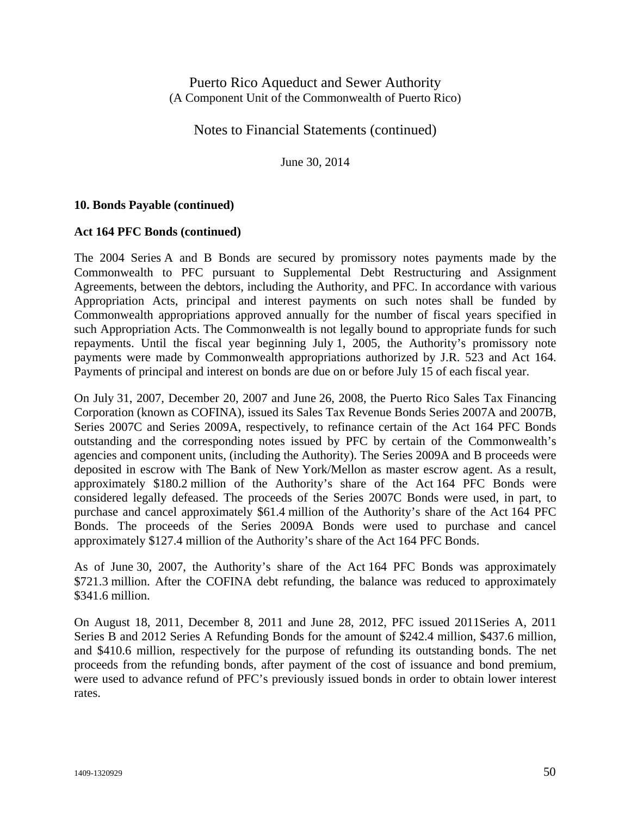# Notes to Financial Statements (continued)

June 30, 2014

### **10. Bonds Payable (continued)**

#### **Act 164 PFC Bonds (continued)**

The 2004 Series A and B Bonds are secured by promissory notes payments made by the Commonwealth to PFC pursuant to Supplemental Debt Restructuring and Assignment Agreements, between the debtors, including the Authority, and PFC. In accordance with various Appropriation Acts, principal and interest payments on such notes shall be funded by Commonwealth appropriations approved annually for the number of fiscal years specified in such Appropriation Acts. The Commonwealth is not legally bound to appropriate funds for such repayments. Until the fiscal year beginning July 1, 2005, the Authority's promissory note payments were made by Commonwealth appropriations authorized by J.R. 523 and Act 164. Payments of principal and interest on bonds are due on or before July 15 of each fiscal year.

On July 31, 2007, December 20, 2007 and June 26, 2008, the Puerto Rico Sales Tax Financing Corporation (known as COFINA), issued its Sales Tax Revenue Bonds Series 2007A and 2007B, Series 2007C and Series 2009A, respectively, to refinance certain of the Act 164 PFC Bonds outstanding and the corresponding notes issued by PFC by certain of the Commonwealth's agencies and component units, (including the Authority). The Series 2009A and B proceeds were deposited in escrow with The Bank of New York/Mellon as master escrow agent. As a result, approximately \$180.2 million of the Authority's share of the Act 164 PFC Bonds were considered legally defeased. The proceeds of the Series 2007C Bonds were used, in part, to purchase and cancel approximately \$61.4 million of the Authority's share of the Act 164 PFC Bonds. The proceeds of the Series 2009A Bonds were used to purchase and cancel approximately \$127.4 million of the Authority's share of the Act 164 PFC Bonds.

As of June 30, 2007, the Authority's share of the Act 164 PFC Bonds was approximately \$721.3 million. After the COFINA debt refunding, the balance was reduced to approximately \$341.6 million.

On August 18, 2011, December 8, 2011 and June 28, 2012, PFC issued 2011Series A, 2011 Series B and 2012 Series A Refunding Bonds for the amount of \$242.4 million, \$437.6 million, and \$410.6 million, respectively for the purpose of refunding its outstanding bonds. The net proceeds from the refunding bonds, after payment of the cost of issuance and bond premium, were used to advance refund of PFC's previously issued bonds in order to obtain lower interest rates.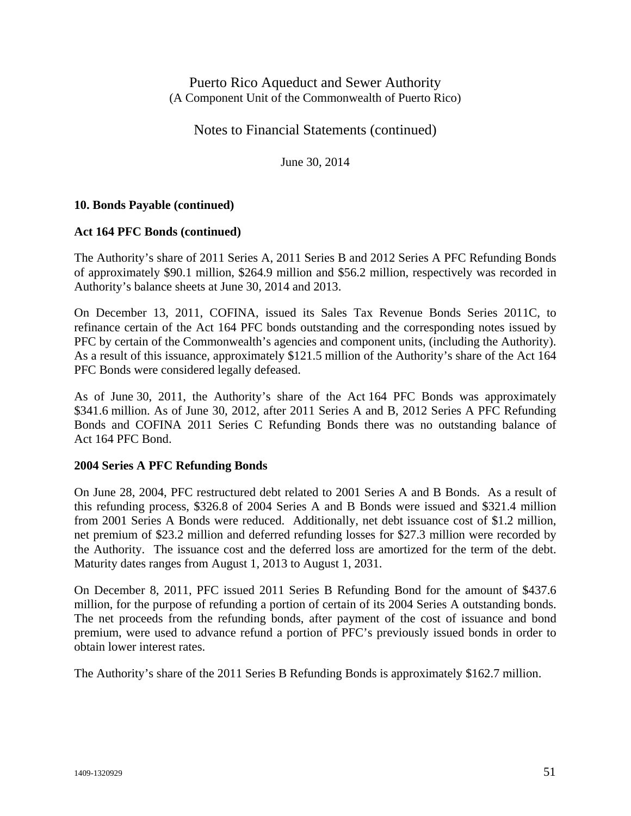Notes to Financial Statements (continued)

June 30, 2014

### **10. Bonds Payable (continued)**

### **Act 164 PFC Bonds (continued)**

The Authority's share of 2011 Series A, 2011 Series B and 2012 Series A PFC Refunding Bonds of approximately \$90.1 million, \$264.9 million and \$56.2 million, respectively was recorded in Authority's balance sheets at June 30, 2014 and 2013.

On December 13, 2011, COFINA, issued its Sales Tax Revenue Bonds Series 2011C, to refinance certain of the Act 164 PFC bonds outstanding and the corresponding notes issued by PFC by certain of the Commonwealth's agencies and component units, (including the Authority). As a result of this issuance, approximately \$121.5 million of the Authority's share of the Act 164 PFC Bonds were considered legally defeased.

As of June 30, 2011, the Authority's share of the Act 164 PFC Bonds was approximately \$341.6 million. As of June 30, 2012, after 2011 Series A and B, 2012 Series A PFC Refunding Bonds and COFINA 2011 Series C Refunding Bonds there was no outstanding balance of Act 164 PFC Bond.

### **2004 Series A PFC Refunding Bonds**

On June 28, 2004, PFC restructured debt related to 2001 Series A and B Bonds. As a result of this refunding process, \$326.8 of 2004 Series A and B Bonds were issued and \$321.4 million from 2001 Series A Bonds were reduced. Additionally, net debt issuance cost of \$1.2 million, net premium of \$23.2 million and deferred refunding losses for \$27.3 million were recorded by the Authority. The issuance cost and the deferred loss are amortized for the term of the debt. Maturity dates ranges from August 1, 2013 to August 1, 2031.

On December 8, 2011, PFC issued 2011 Series B Refunding Bond for the amount of \$437.6 million, for the purpose of refunding a portion of certain of its 2004 Series A outstanding bonds. The net proceeds from the refunding bonds, after payment of the cost of issuance and bond premium, were used to advance refund a portion of PFC's previously issued bonds in order to obtain lower interest rates.

The Authority's share of the 2011 Series B Refunding Bonds is approximately \$162.7 million.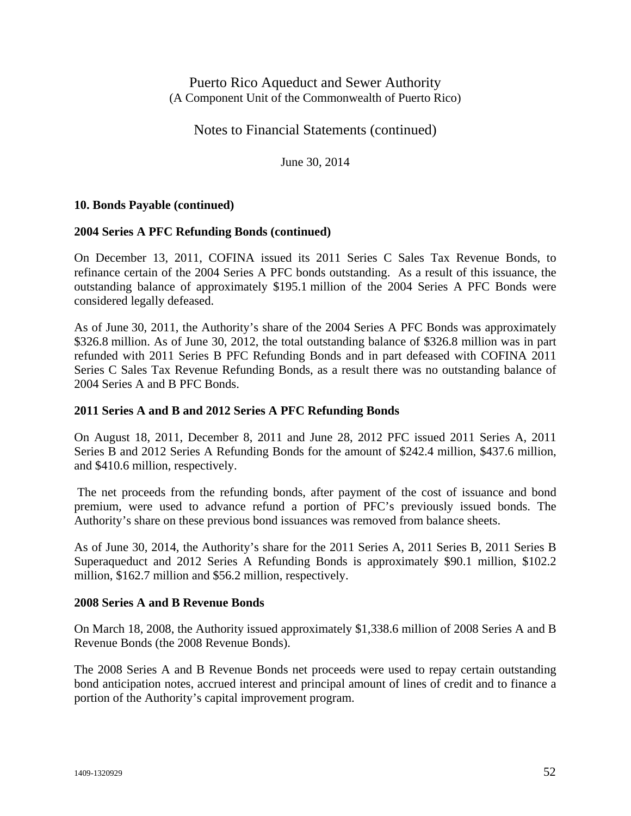Notes to Financial Statements (continued)

June 30, 2014

### **10. Bonds Payable (continued)**

#### **2004 Series A PFC Refunding Bonds (continued)**

On December 13, 2011, COFINA issued its 2011 Series C Sales Tax Revenue Bonds, to refinance certain of the 2004 Series A PFC bonds outstanding. As a result of this issuance, the outstanding balance of approximately \$195.1 million of the 2004 Series A PFC Bonds were considered legally defeased.

As of June 30, 2011, the Authority's share of the 2004 Series A PFC Bonds was approximately \$326.8 million. As of June 30, 2012, the total outstanding balance of \$326.8 million was in part refunded with 2011 Series B PFC Refunding Bonds and in part defeased with COFINA 2011 Series C Sales Tax Revenue Refunding Bonds, as a result there was no outstanding balance of 2004 Series A and B PFC Bonds.

#### **2011 Series A and B and 2012 Series A PFC Refunding Bonds**

On August 18, 2011, December 8, 2011 and June 28, 2012 PFC issued 2011 Series A, 2011 Series B and 2012 Series A Refunding Bonds for the amount of \$242.4 million, \$437.6 million, and \$410.6 million, respectively.

 The net proceeds from the refunding bonds, after payment of the cost of issuance and bond premium, were used to advance refund a portion of PFC's previously issued bonds. The Authority's share on these previous bond issuances was removed from balance sheets.

As of June 30, 2014, the Authority's share for the 2011 Series A, 2011 Series B, 2011 Series B Superaqueduct and 2012 Series A Refunding Bonds is approximately \$90.1 million, \$102.2 million, \$162.7 million and \$56.2 million, respectively.

#### **2008 Series A and B Revenue Bonds**

On March 18, 2008, the Authority issued approximately \$1,338.6 million of 2008 Series A and B Revenue Bonds (the 2008 Revenue Bonds).

The 2008 Series A and B Revenue Bonds net proceeds were used to repay certain outstanding bond anticipation notes, accrued interest and principal amount of lines of credit and to finance a portion of the Authority's capital improvement program.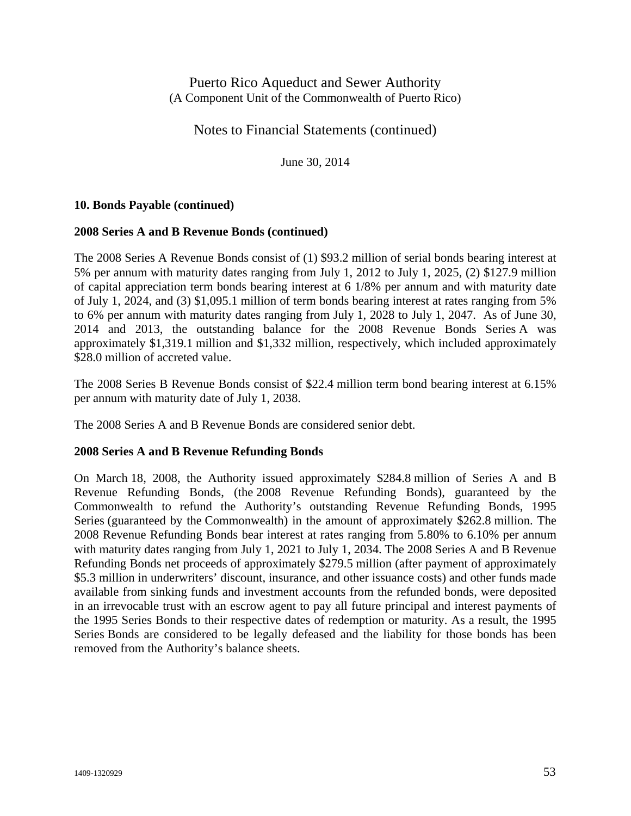Notes to Financial Statements (continued)

June 30, 2014

### **10. Bonds Payable (continued)**

#### **2008 Series A and B Revenue Bonds (continued)**

The 2008 Series A Revenue Bonds consist of (1) \$93.2 million of serial bonds bearing interest at 5% per annum with maturity dates ranging from July 1, 2012 to July 1, 2025, (2) \$127.9 million of capital appreciation term bonds bearing interest at 6 1/8% per annum and with maturity date of July 1, 2024, and (3) \$1,095.1 million of term bonds bearing interest at rates ranging from 5% to 6% per annum with maturity dates ranging from July 1, 2028 to July 1, 2047. As of June 30, 2014 and 2013, the outstanding balance for the 2008 Revenue Bonds Series A was approximately \$1,319.1 million and \$1,332 million, respectively, which included approximately \$28.0 million of accreted value.

The 2008 Series B Revenue Bonds consist of \$22.4 million term bond bearing interest at 6.15% per annum with maturity date of July 1, 2038.

The 2008 Series A and B Revenue Bonds are considered senior debt.

### **2008 Series A and B Revenue Refunding Bonds**

On March 18, 2008, the Authority issued approximately \$284.8 million of Series A and B Revenue Refunding Bonds, (the 2008 Revenue Refunding Bonds), guaranteed by the Commonwealth to refund the Authority's outstanding Revenue Refunding Bonds, 1995 Series (guaranteed by the Commonwealth) in the amount of approximately \$262.8 million. The 2008 Revenue Refunding Bonds bear interest at rates ranging from 5.80% to 6.10% per annum with maturity dates ranging from July 1, 2021 to July 1, 2034. The 2008 Series A and B Revenue Refunding Bonds net proceeds of approximately \$279.5 million (after payment of approximately \$5.3 million in underwriters' discount, insurance, and other issuance costs) and other funds made available from sinking funds and investment accounts from the refunded bonds, were deposited in an irrevocable trust with an escrow agent to pay all future principal and interest payments of the 1995 Series Bonds to their respective dates of redemption or maturity. As a result, the 1995 Series Bonds are considered to be legally defeased and the liability for those bonds has been removed from the Authority's balance sheets.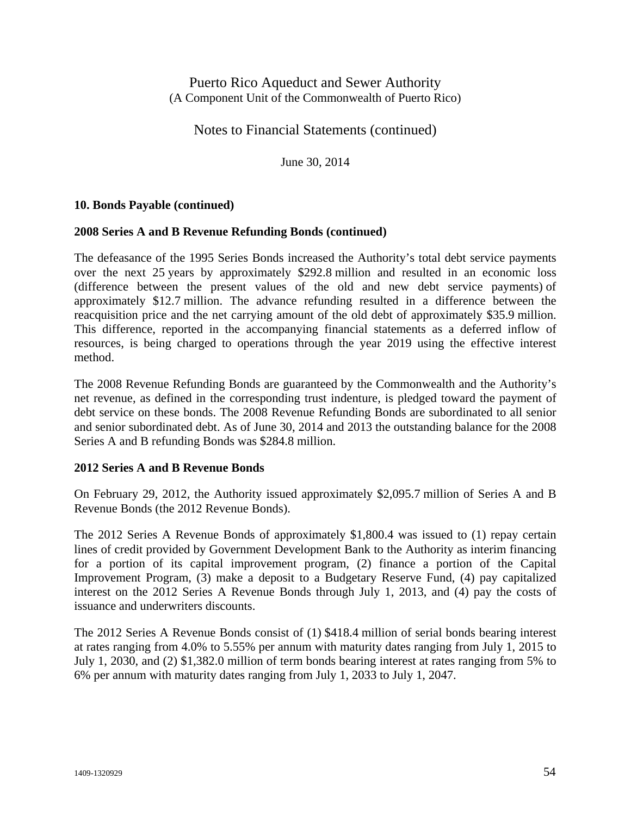Notes to Financial Statements (continued)

June 30, 2014

### **10. Bonds Payable (continued)**

#### **2008 Series A and B Revenue Refunding Bonds (continued)**

The defeasance of the 1995 Series Bonds increased the Authority's total debt service payments over the next 25 years by approximately \$292.8 million and resulted in an economic loss (difference between the present values of the old and new debt service payments) of approximately \$12.7 million. The advance refunding resulted in a difference between the reacquisition price and the net carrying amount of the old debt of approximately \$35.9 million. This difference, reported in the accompanying financial statements as a deferred inflow of resources, is being charged to operations through the year 2019 using the effective interest method.

The 2008 Revenue Refunding Bonds are guaranteed by the Commonwealth and the Authority's net revenue, as defined in the corresponding trust indenture, is pledged toward the payment of debt service on these bonds. The 2008 Revenue Refunding Bonds are subordinated to all senior and senior subordinated debt. As of June 30, 2014 and 2013 the outstanding balance for the 2008 Series A and B refunding Bonds was \$284.8 million.

#### **2012 Series A and B Revenue Bonds**

On February 29, 2012, the Authority issued approximately \$2,095.7 million of Series A and B Revenue Bonds (the 2012 Revenue Bonds).

The 2012 Series A Revenue Bonds of approximately \$1,800.4 was issued to (1) repay certain lines of credit provided by Government Development Bank to the Authority as interim financing for a portion of its capital improvement program, (2) finance a portion of the Capital Improvement Program, (3) make a deposit to a Budgetary Reserve Fund, (4) pay capitalized interest on the 2012 Series A Revenue Bonds through July 1, 2013, and (4) pay the costs of issuance and underwriters discounts.

The 2012 Series A Revenue Bonds consist of (1) \$418.4 million of serial bonds bearing interest at rates ranging from 4.0% to 5.55% per annum with maturity dates ranging from July 1, 2015 to July 1, 2030, and (2) \$1,382.0 million of term bonds bearing interest at rates ranging from 5% to 6% per annum with maturity dates ranging from July 1, 2033 to July 1, 2047.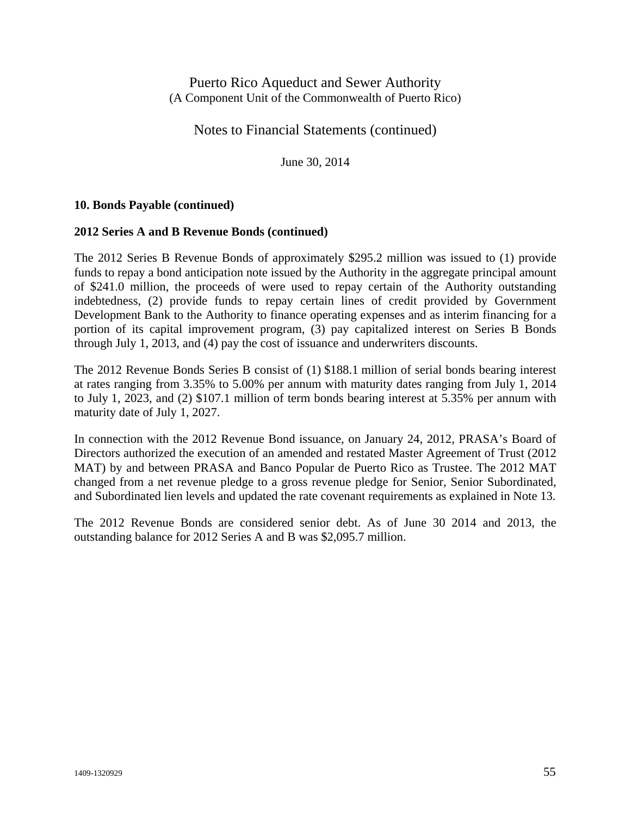Notes to Financial Statements (continued)

June 30, 2014

### **10. Bonds Payable (continued)**

#### **2012 Series A and B Revenue Bonds (continued)**

The 2012 Series B Revenue Bonds of approximately \$295.2 million was issued to (1) provide funds to repay a bond anticipation note issued by the Authority in the aggregate principal amount of \$241.0 million, the proceeds of were used to repay certain of the Authority outstanding indebtedness, (2) provide funds to repay certain lines of credit provided by Government Development Bank to the Authority to finance operating expenses and as interim financing for a portion of its capital improvement program, (3) pay capitalized interest on Series B Bonds through July 1, 2013, and (4) pay the cost of issuance and underwriters discounts.

The 2012 Revenue Bonds Series B consist of (1) \$188.1 million of serial bonds bearing interest at rates ranging from 3.35% to 5.00% per annum with maturity dates ranging from July 1, 2014 to July 1, 2023, and (2) \$107.1 million of term bonds bearing interest at 5.35% per annum with maturity date of July 1, 2027.

In connection with the 2012 Revenue Bond issuance, on January 24, 2012, PRASA's Board of Directors authorized the execution of an amended and restated Master Agreement of Trust (2012 MAT) by and between PRASA and Banco Popular de Puerto Rico as Trustee. The 2012 MAT changed from a net revenue pledge to a gross revenue pledge for Senior, Senior Subordinated, and Subordinated lien levels and updated the rate covenant requirements as explained in Note 13.

The 2012 Revenue Bonds are considered senior debt. As of June 30 2014 and 2013, the outstanding balance for 2012 Series A and B was \$2,095.7 million.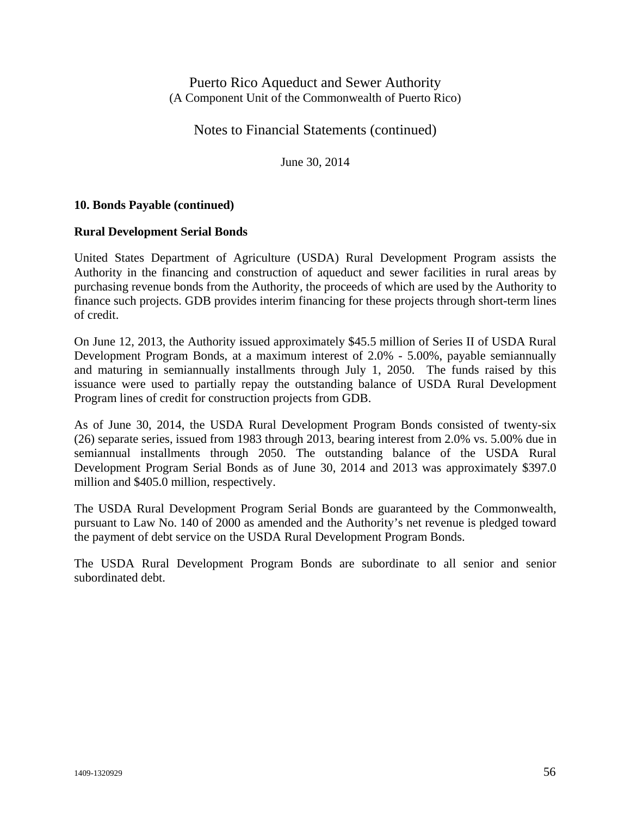Notes to Financial Statements (continued)

June 30, 2014

### **10. Bonds Payable (continued)**

#### **Rural Development Serial Bonds**

United States Department of Agriculture (USDA) Rural Development Program assists the Authority in the financing and construction of aqueduct and sewer facilities in rural areas by purchasing revenue bonds from the Authority, the proceeds of which are used by the Authority to finance such projects. GDB provides interim financing for these projects through short-term lines of credit.

On June 12, 2013, the Authority issued approximately \$45.5 million of Series II of USDA Rural Development Program Bonds, at a maximum interest of 2.0% - 5.00%, payable semiannually and maturing in semiannually installments through July 1, 2050. The funds raised by this issuance were used to partially repay the outstanding balance of USDA Rural Development Program lines of credit for construction projects from GDB.

As of June 30, 2014, the USDA Rural Development Program Bonds consisted of twenty-six (26) separate series, issued from 1983 through 2013, bearing interest from 2.0% vs. 5.00% due in semiannual installments through 2050. The outstanding balance of the USDA Rural Development Program Serial Bonds as of June 30, 2014 and 2013 was approximately \$397.0 million and \$405.0 million, respectively.

The USDA Rural Development Program Serial Bonds are guaranteed by the Commonwealth, pursuant to Law No. 140 of 2000 as amended and the Authority's net revenue is pledged toward the payment of debt service on the USDA Rural Development Program Bonds.

The USDA Rural Development Program Bonds are subordinate to all senior and senior subordinated debt.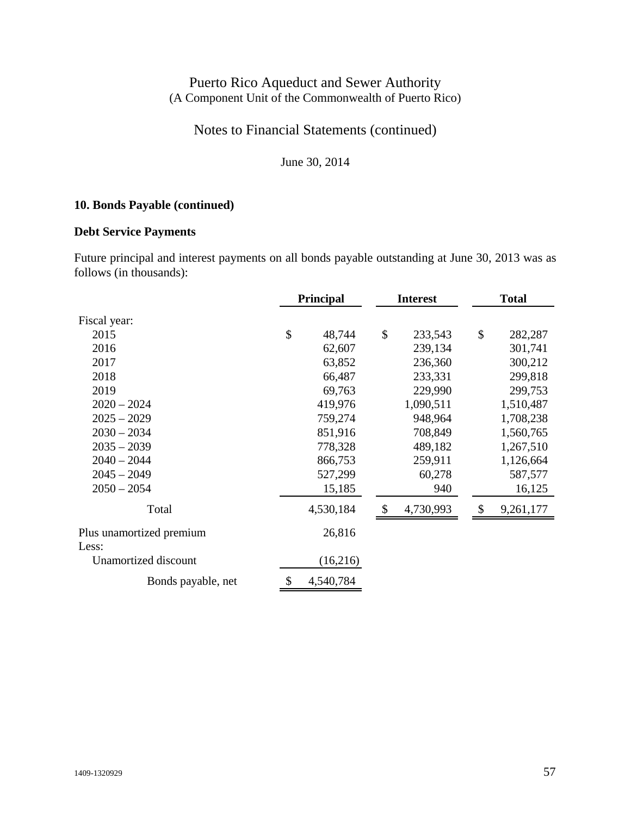Notes to Financial Statements (continued)

June 30, 2014

# **10. Bonds Payable (continued)**

## **Debt Service Payments**

Future principal and interest payments on all bonds payable outstanding at June 30, 2013 was as follows (in thousands):

|                          | <b>Principal</b><br><b>Interest</b> |    | <b>Total</b> |                 |
|--------------------------|-------------------------------------|----|--------------|-----------------|
| Fiscal year:             |                                     |    |              |                 |
| 2015                     | \$<br>48,744                        | \$ | 233,543      | \$<br>282,287   |
| 2016                     | 62,607                              |    | 239,134      | 301,741         |
| 2017                     | 63,852                              |    | 236,360      | 300,212         |
| 2018                     | 66,487                              |    | 233,331      | 299,818         |
| 2019                     | 69,763                              |    | 229,990      | 299,753         |
| $2020 - 2024$            | 419,976                             |    | 1,090,511    | 1,510,487       |
| $2025 - 2029$            | 759,274                             |    | 948,964      | 1,708,238       |
| $2030 - 2034$            | 851,916                             |    | 708,849      | 1,560,765       |
| $2035 - 2039$            | 778,328                             |    | 489,182      | 1,267,510       |
| $2040 - 2044$            | 866,753                             |    | 259,911      | 1,126,664       |
| $2045 - 2049$            | 527,299                             |    | 60,278       | 587,577         |
| $2050 - 2054$            | 15,185                              |    | 940          | 16,125          |
| Total                    | 4,530,184                           | \$ | 4,730,993    | \$<br>9,261,177 |
| Plus unamortized premium | 26,816                              |    |              |                 |
| Less:                    |                                     |    |              |                 |
| Unamortized discount     | (16,216)                            |    |              |                 |
| Bonds payable, net       | 4,540,784                           |    |              |                 |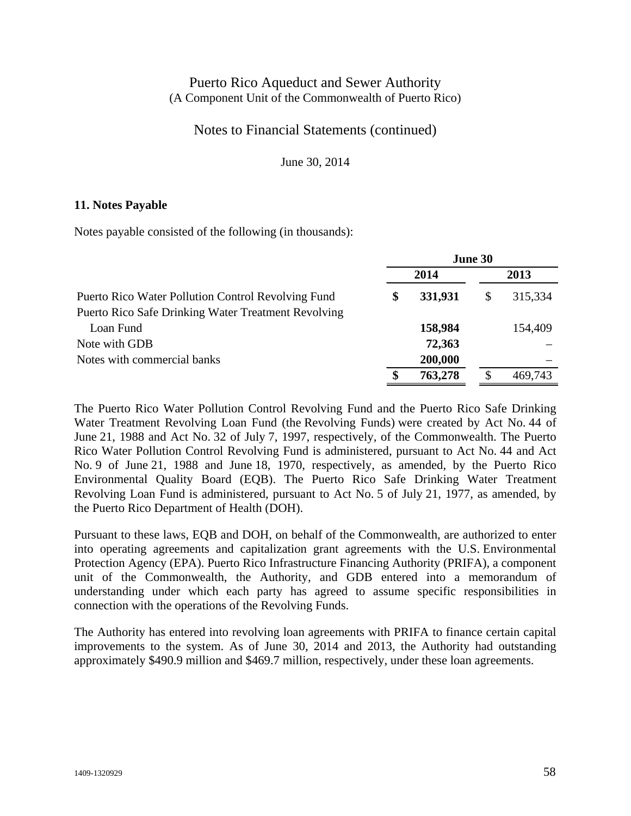# Notes to Financial Statements (continued)

June 30, 2014

### **11. Notes Payable**

Notes payable consisted of the following (in thousands):

|                                                     | June 30 |         |    |         |
|-----------------------------------------------------|---------|---------|----|---------|
|                                                     |         | 2014    |    | 2013    |
| Puerto Rico Water Pollution Control Revolving Fund  | \$      | 331,931 | \$ | 315,334 |
| Puerto Rico Safe Drinking Water Treatment Revolving |         |         |    |         |
| Loan Fund                                           |         | 158,984 |    | 154,409 |
| Note with GDB                                       |         | 72,363  |    |         |
| Notes with commercial banks                         |         | 200,000 |    |         |
|                                                     | S       | 763,278 | S  | 469,743 |

The Puerto Rico Water Pollution Control Revolving Fund and the Puerto Rico Safe Drinking Water Treatment Revolving Loan Fund (the Revolving Funds) were created by Act No. 44 of June 21, 1988 and Act No. 32 of July 7, 1997, respectively, of the Commonwealth. The Puerto Rico Water Pollution Control Revolving Fund is administered, pursuant to Act No. 44 and Act No. 9 of June 21, 1988 and June 18, 1970, respectively, as amended, by the Puerto Rico Environmental Quality Board (EQB). The Puerto Rico Safe Drinking Water Treatment Revolving Loan Fund is administered, pursuant to Act No. 5 of July 21, 1977, as amended, by the Puerto Rico Department of Health (DOH).

Pursuant to these laws, EQB and DOH, on behalf of the Commonwealth, are authorized to enter into operating agreements and capitalization grant agreements with the U.S. Environmental Protection Agency (EPA). Puerto Rico Infrastructure Financing Authority (PRIFA), a component unit of the Commonwealth, the Authority, and GDB entered into a memorandum of understanding under which each party has agreed to assume specific responsibilities in connection with the operations of the Revolving Funds.

The Authority has entered into revolving loan agreements with PRIFA to finance certain capital improvements to the system. As of June 30, 2014 and 2013, the Authority had outstanding approximately \$490.9 million and \$469.7 million, respectively, under these loan agreements.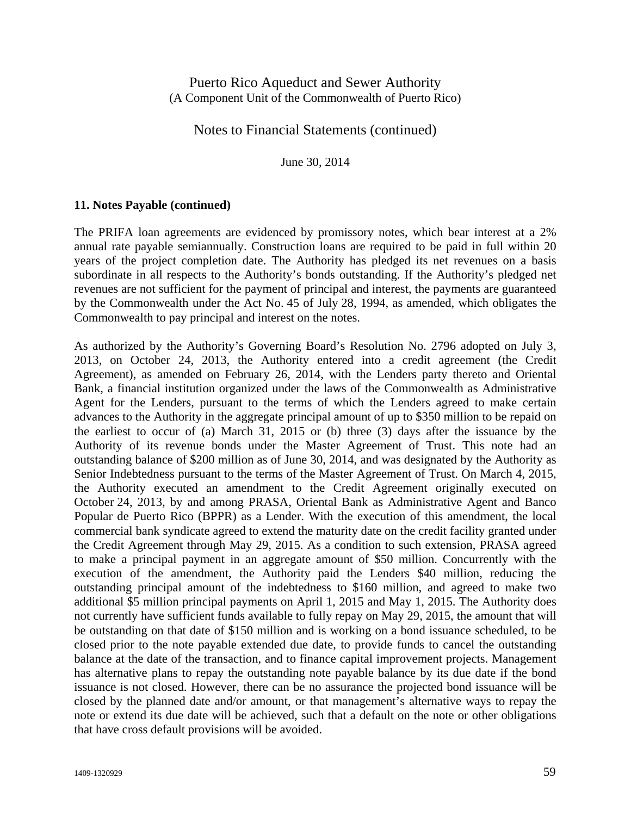Notes to Financial Statements (continued)

June 30, 2014

#### **11. Notes Payable (continued)**

The PRIFA loan agreements are evidenced by promissory notes, which bear interest at a 2% annual rate payable semiannually. Construction loans are required to be paid in full within 20 years of the project completion date. The Authority has pledged its net revenues on a basis subordinate in all respects to the Authority's bonds outstanding. If the Authority's pledged net revenues are not sufficient for the payment of principal and interest, the payments are guaranteed by the Commonwealth under the Act No. 45 of July 28, 1994, as amended, which obligates the Commonwealth to pay principal and interest on the notes.

As authorized by the Authority's Governing Board's Resolution No. 2796 adopted on July 3, 2013, on October 24, 2013, the Authority entered into a credit agreement (the Credit Agreement), as amended on February 26, 2014, with the Lenders party thereto and Oriental Bank, a financial institution organized under the laws of the Commonwealth as Administrative Agent for the Lenders, pursuant to the terms of which the Lenders agreed to make certain advances to the Authority in the aggregate principal amount of up to \$350 million to be repaid on the earliest to occur of (a) March 31, 2015 or (b) three (3) days after the issuance by the Authority of its revenue bonds under the Master Agreement of Trust. This note had an outstanding balance of \$200 million as of June 30, 2014, and was designated by the Authority as Senior Indebtedness pursuant to the terms of the Master Agreement of Trust. On March 4, 2015, the Authority executed an amendment to the Credit Agreement originally executed on October 24, 2013, by and among PRASA, Oriental Bank as Administrative Agent and Banco Popular de Puerto Rico (BPPR) as a Lender. With the execution of this amendment, the local commercial bank syndicate agreed to extend the maturity date on the credit facility granted under the Credit Agreement through May 29, 2015. As a condition to such extension, PRASA agreed to make a principal payment in an aggregate amount of \$50 million. Concurrently with the execution of the amendment, the Authority paid the Lenders \$40 million, reducing the outstanding principal amount of the indebtedness to \$160 million, and agreed to make two additional \$5 million principal payments on April 1, 2015 and May 1, 2015. The Authority does not currently have sufficient funds available to fully repay on May 29, 2015, the amount that will be outstanding on that date of \$150 million and is working on a bond issuance scheduled, to be closed prior to the note payable extended due date, to provide funds to cancel the outstanding balance at the date of the transaction, and to finance capital improvement projects. Management has alternative plans to repay the outstanding note payable balance by its due date if the bond issuance is not closed. However, there can be no assurance the projected bond issuance will be closed by the planned date and/or amount, or that management's alternative ways to repay the note or extend its due date will be achieved, such that a default on the note or other obligations that have cross default provisions will be avoided.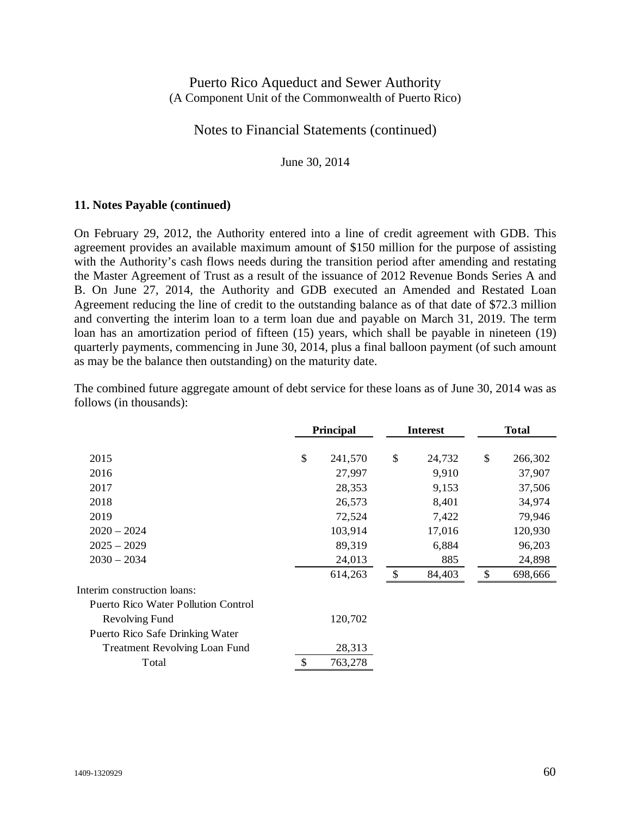Notes to Financial Statements (continued)

June 30, 2014

### **11. Notes Payable (continued)**

On February 29, 2012, the Authority entered into a line of credit agreement with GDB. This agreement provides an available maximum amount of \$150 million for the purpose of assisting with the Authority's cash flows needs during the transition period after amending and restating the Master Agreement of Trust as a result of the issuance of 2012 Revenue Bonds Series A and B. On June 27, 2014, the Authority and GDB executed an Amended and Restated Loan Agreement reducing the line of credit to the outstanding balance as of that date of \$72.3 million and converting the interim loan to a term loan due and payable on March 31, 2019. The term loan has an amortization period of fifteen (15) years, which shall be payable in nineteen (19) quarterly payments, commencing in June 30, 2014, plus a final balloon payment (of such amount as may be the balance then outstanding) on the maturity date.

The combined future aggregate amount of debt service for these loans as of June 30, 2014 was as follows (in thousands):

|                                            | <b>Principal</b> |              | <b>Interest</b> |               | <b>Total</b> |
|--------------------------------------------|------------------|--------------|-----------------|---------------|--------------|
| 2015                                       | \$<br>241,570    | \$           | 24,732          | \$            | 266,302      |
| 2016                                       | 27,997           |              | 9,910           |               | 37,907       |
| 2017                                       | 28,353           |              | 9,153           |               | 37,506       |
| 2018                                       | 26,573           |              | 8,401           |               | 34,974       |
| 2019                                       | 72,524           |              | 7,422           |               | 79,946       |
| $2020 - 2024$                              | 103,914          |              | 17,016          |               | 120,930      |
| $2025 - 2029$                              | 89,319           |              | 6,884           |               | 96,203       |
| $2030 - 2034$                              | 24,013           |              | 885             |               | 24,898       |
|                                            | 614,263          | $\mathbb{S}$ | 84,403          | <sup>\$</sup> | 698,666      |
| Interim construction loans:                |                  |              |                 |               |              |
| <b>Puerto Rico Water Pollution Control</b> |                  |              |                 |               |              |
| Revolving Fund                             | 120,702          |              |                 |               |              |
| Puerto Rico Safe Drinking Water            |                  |              |                 |               |              |
| <b>Treatment Revolving Loan Fund</b>       | 28,313           |              |                 |               |              |
| Total                                      | \$<br>763,278    |              |                 |               |              |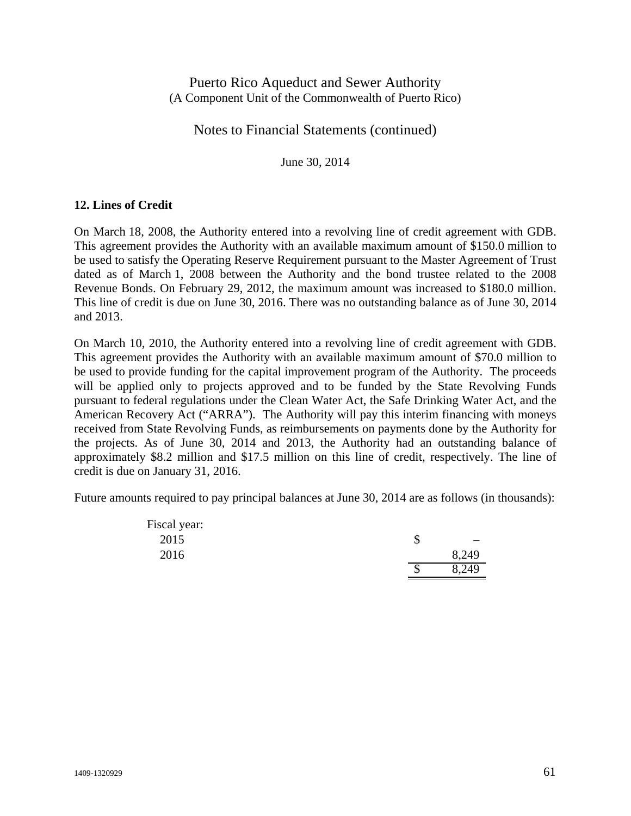Notes to Financial Statements (continued)

June 30, 2014

## **12. Lines of Credit**

On March 18, 2008, the Authority entered into a revolving line of credit agreement with GDB. This agreement provides the Authority with an available maximum amount of \$150.0 million to be used to satisfy the Operating Reserve Requirement pursuant to the Master Agreement of Trust dated as of March 1, 2008 between the Authority and the bond trustee related to the 2008 Revenue Bonds. On February 29, 2012, the maximum amount was increased to \$180.0 million. This line of credit is due on June 30, 2016. There was no outstanding balance as of June 30, 2014 and 2013.

On March 10, 2010, the Authority entered into a revolving line of credit agreement with GDB. This agreement provides the Authority with an available maximum amount of \$70.0 million to be used to provide funding for the capital improvement program of the Authority. The proceeds will be applied only to projects approved and to be funded by the State Revolving Funds pursuant to federal regulations under the Clean Water Act, the Safe Drinking Water Act, and the American Recovery Act ("ARRA"). The Authority will pay this interim financing with moneys received from State Revolving Funds, as reimbursements on payments done by the Authority for the projects. As of June 30, 2014 and 2013, the Authority had an outstanding balance of approximately \$8.2 million and \$17.5 million on this line of credit, respectively. The line of credit is due on January 31, 2016.

Future amounts required to pay principal balances at June 30, 2014 are as follows (in thousands):

| Fiscal year: |   |       |
|--------------|---|-------|
| 2015         |   | -     |
| 2016         |   | 8,249 |
|              | ፍ | 8,249 |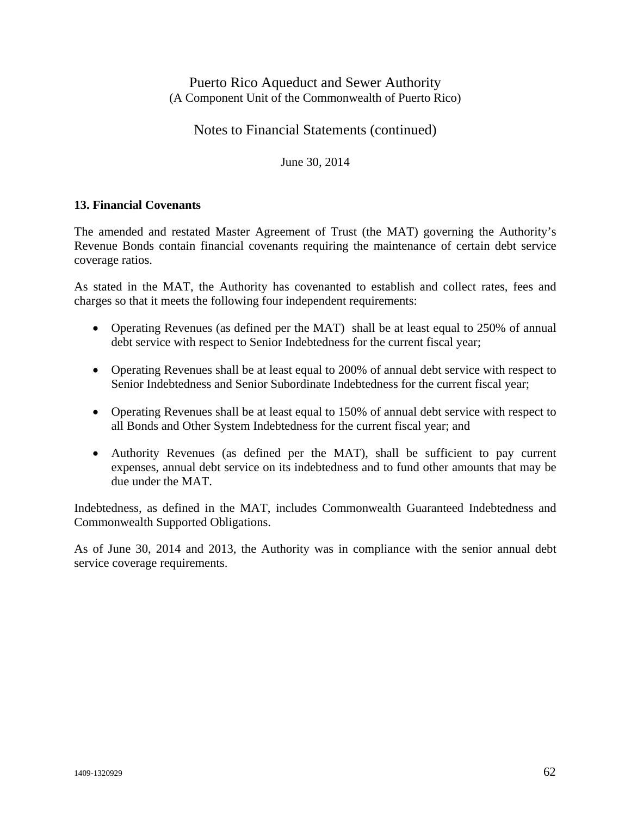Notes to Financial Statements (continued)

June 30, 2014

### **13. Financial Covenants**

The amended and restated Master Agreement of Trust (the MAT) governing the Authority's Revenue Bonds contain financial covenants requiring the maintenance of certain debt service coverage ratios.

As stated in the MAT, the Authority has covenanted to establish and collect rates, fees and charges so that it meets the following four independent requirements:

- Operating Revenues (as defined per the MAT) shall be at least equal to 250% of annual debt service with respect to Senior Indebtedness for the current fiscal year;
- Operating Revenues shall be at least equal to 200% of annual debt service with respect to Senior Indebtedness and Senior Subordinate Indebtedness for the current fiscal year;
- Operating Revenues shall be at least equal to 150% of annual debt service with respect to all Bonds and Other System Indebtedness for the current fiscal year; and
- Authority Revenues (as defined per the MAT), shall be sufficient to pay current expenses, annual debt service on its indebtedness and to fund other amounts that may be due under the MAT.

Indebtedness, as defined in the MAT, includes Commonwealth Guaranteed Indebtedness and Commonwealth Supported Obligations.

As of June 30, 2014 and 2013, the Authority was in compliance with the senior annual debt service coverage requirements.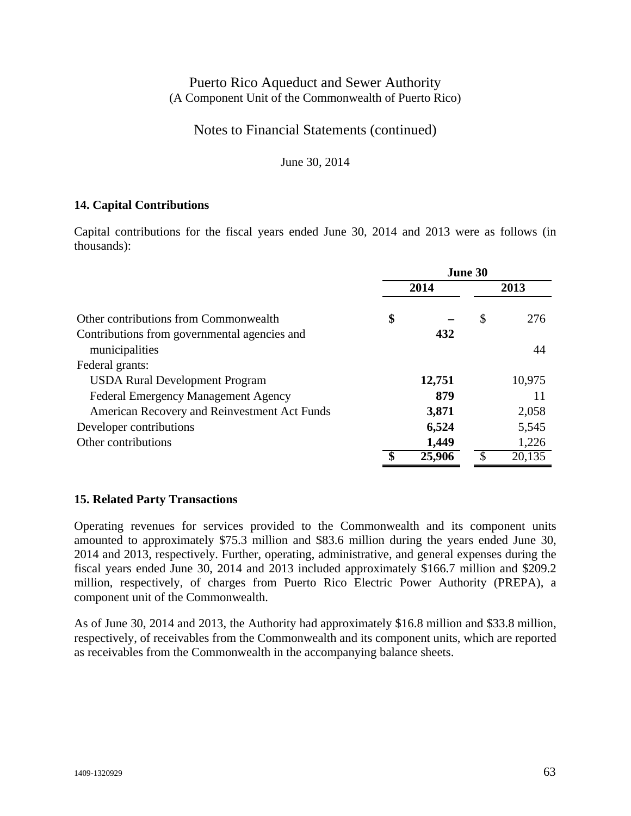Notes to Financial Statements (continued)

June 30, 2014

## **14. Capital Contributions**

Capital contributions for the fiscal years ended June 30, 2014 and 2013 were as follows (in thousands):

|                                              | June 30 |        |    |        |
|----------------------------------------------|---------|--------|----|--------|
|                                              |         | 2014   |    | 2013   |
| Other contributions from Commonwealth        | \$      |        | \$ | 276    |
| Contributions from governmental agencies and |         | 432    |    |        |
| municipalities                               |         |        |    | 44     |
| Federal grants:                              |         |        |    |        |
| <b>USDA Rural Development Program</b>        |         | 12,751 |    | 10,975 |
| <b>Federal Emergency Management Agency</b>   |         | 879    |    | 11     |
| American Recovery and Reinvestment Act Funds |         | 3,871  |    | 2,058  |
| Developer contributions                      |         | 6,524  |    | 5,545  |
| Other contributions                          |         | 1,449  |    | 1,226  |
|                                              |         | 25,906 |    | 20,135 |

### **15. Related Party Transactions**

Operating revenues for services provided to the Commonwealth and its component units amounted to approximately \$75.3 million and \$83.6 million during the years ended June 30, 2014 and 2013, respectively. Further, operating, administrative, and general expenses during the fiscal years ended June 30, 2014 and 2013 included approximately \$166.7 million and \$209.2 million, respectively, of charges from Puerto Rico Electric Power Authority (PREPA), a component unit of the Commonwealth.

As of June 30, 2014 and 2013, the Authority had approximately \$16.8 million and \$33.8 million, respectively, of receivables from the Commonwealth and its component units, which are reported as receivables from the Commonwealth in the accompanying balance sheets.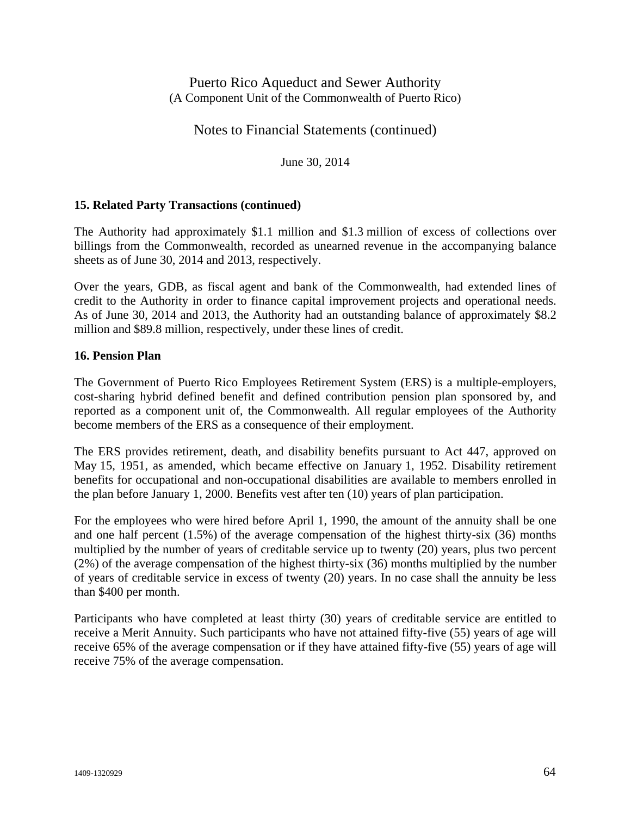Notes to Financial Statements (continued)

June 30, 2014

### **15. Related Party Transactions (continued)**

The Authority had approximately \$1.1 million and \$1.3 million of excess of collections over billings from the Commonwealth, recorded as unearned revenue in the accompanying balance sheets as of June 30, 2014 and 2013, respectively.

Over the years, GDB, as fiscal agent and bank of the Commonwealth, had extended lines of credit to the Authority in order to finance capital improvement projects and operational needs. As of June 30, 2014 and 2013, the Authority had an outstanding balance of approximately \$8.2 million and \$89.8 million, respectively, under these lines of credit.

### **16. Pension Plan**

The Government of Puerto Rico Employees Retirement System (ERS) is a multiple-employers, cost-sharing hybrid defined benefit and defined contribution pension plan sponsored by, and reported as a component unit of, the Commonwealth. All regular employees of the Authority become members of the ERS as a consequence of their employment.

The ERS provides retirement, death, and disability benefits pursuant to Act 447, approved on May 15, 1951, as amended, which became effective on January 1, 1952. Disability retirement benefits for occupational and non-occupational disabilities are available to members enrolled in the plan before January 1, 2000. Benefits vest after ten (10) years of plan participation.

For the employees who were hired before April 1, 1990, the amount of the annuity shall be one and one half percent (1.5%) of the average compensation of the highest thirty-six (36) months multiplied by the number of years of creditable service up to twenty (20) years, plus two percent (2%) of the average compensation of the highest thirty-six (36) months multiplied by the number of years of creditable service in excess of twenty (20) years. In no case shall the annuity be less than \$400 per month.

Participants who have completed at least thirty (30) years of creditable service are entitled to receive a Merit Annuity. Such participants who have not attained fifty-five (55) years of age will receive 65% of the average compensation or if they have attained fifty-five (55) years of age will receive 75% of the average compensation.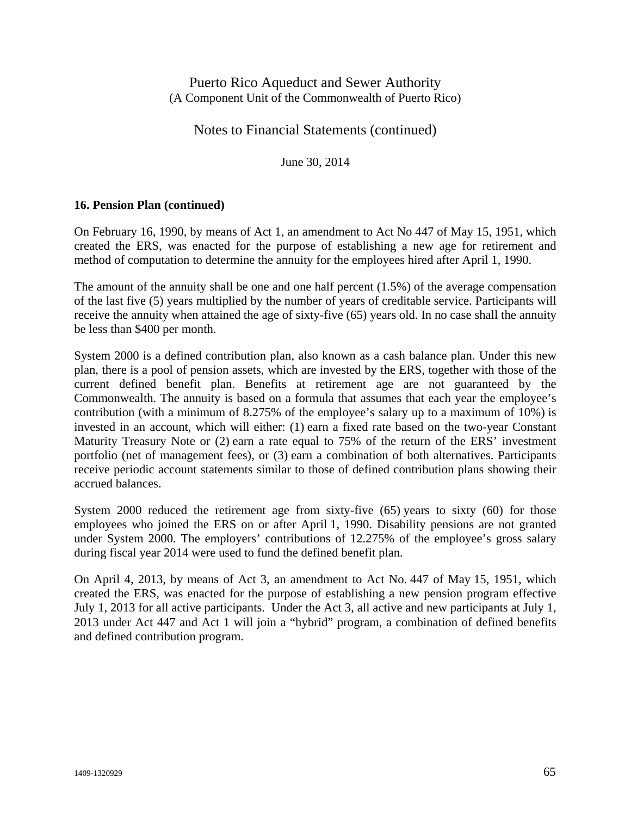# Notes to Financial Statements (continued)

June 30, 2014

### **16. Pension Plan (continued)**

On February 16, 1990, by means of Act 1, an amendment to Act No 447 of May 15, 1951, which created the ERS, was enacted for the purpose of establishing a new age for retirement and method of computation to determine the annuity for the employees hired after April 1, 1990.

The amount of the annuity shall be one and one half percent (1.5%) of the average compensation of the last five (5) years multiplied by the number of years of creditable service. Participants will receive the annuity when attained the age of sixty-five (65) years old. In no case shall the annuity be less than \$400 per month.

System 2000 is a defined contribution plan, also known as a cash balance plan. Under this new plan, there is a pool of pension assets, which are invested by the ERS, together with those of the current defined benefit plan. Benefits at retirement age are not guaranteed by the Commonwealth. The annuity is based on a formula that assumes that each year the employee's contribution (with a minimum of 8.275% of the employee's salary up to a maximum of 10%) is invested in an account, which will either: (1) earn a fixed rate based on the two-year Constant Maturity Treasury Note or (2) earn a rate equal to 75% of the return of the ERS' investment portfolio (net of management fees), or (3) earn a combination of both alternatives. Participants receive periodic account statements similar to those of defined contribution plans showing their accrued balances.

System 2000 reduced the retirement age from sixty-five (65) years to sixty (60) for those employees who joined the ERS on or after April 1, 1990. Disability pensions are not granted under System 2000. The employers' contributions of 12.275% of the employee's gross salary during fiscal year 2014 were used to fund the defined benefit plan.

On April 4, 2013, by means of Act 3, an amendment to Act No. 447 of May 15, 1951, which created the ERS, was enacted for the purpose of establishing a new pension program effective July 1, 2013 for all active participants. Under the Act 3, all active and new participants at July 1, 2013 under Act 447 and Act 1 will join a "hybrid" program, a combination of defined benefits and defined contribution program.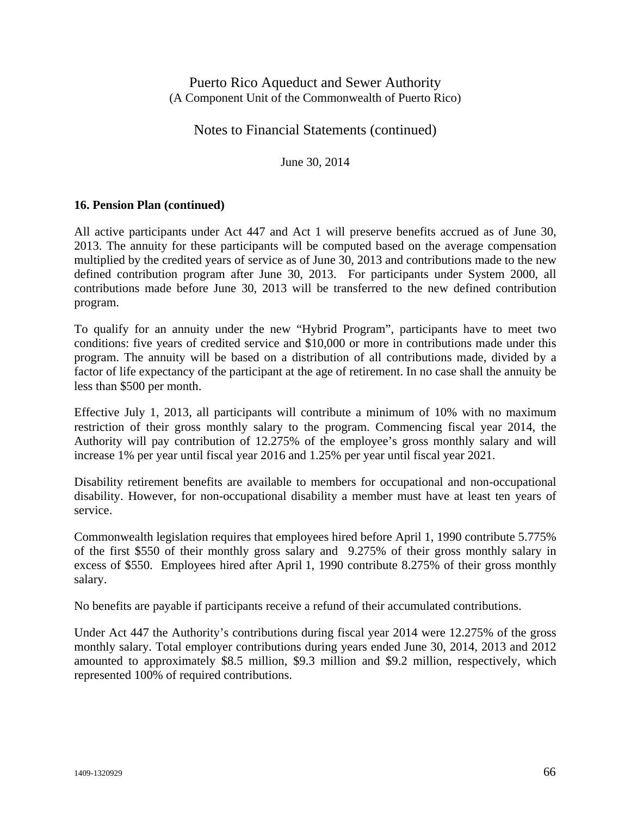# Notes to Financial Statements (continued)

June 30, 2014

### **16. Pension Plan (continued)**

All active participants under Act 447 and Act 1 will preserve benefits accrued as of June 30, 2013. The annuity for these participants will be computed based on the average compensation multiplied by the credited years of service as of June 30, 2013 and contributions made to the new defined contribution program after June 30, 2013. For participants under System 2000, all contributions made before June 30, 2013 will be transferred to the new defined contribution program.

To qualify for an annuity under the new "Hybrid Program", participants have to meet two conditions: five years of credited service and \$10,000 or more in contributions made under this program. The annuity will be based on a distribution of all contributions made, divided by a factor of life expectancy of the participant at the age of retirement. In no case shall the annuity be less than \$500 per month.

Effective July 1, 2013, all participants will contribute a minimum of 10% with no maximum restriction of their gross monthly salary to the program. Commencing fiscal year 2014, the Authority will pay contribution of 12.275% of the employee's gross monthly salary and will increase 1% per year until fiscal year 2016 and 1.25% per year until fiscal year 2021.

Disability retirement benefits are available to members for occupational and non-occupational disability. However, for non-occupational disability a member must have at least ten years of service.

Commonwealth legislation requires that employees hired before April 1, 1990 contribute 5.775% of the first \$550 of their monthly gross salary and 9.275% of their gross monthly salary in excess of \$550. Employees hired after April 1, 1990 contribute 8.275% of their gross monthly salary.

No benefits are payable if participants receive a refund of their accumulated contributions.

Under Act 447 the Authority's contributions during fiscal year 2014 were 12.275% of the gross monthly salary. Total employer contributions during years ended June 30, 2014, 2013 and 2012 amounted to approximately \$8.5 million, \$9.3 million and \$9.2 million, respectively, which represented 100% of required contributions.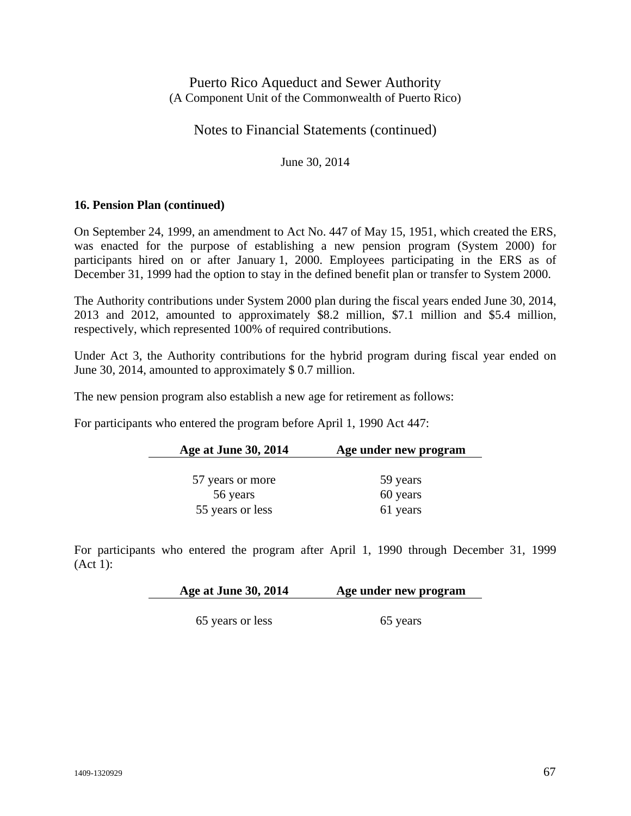# Notes to Financial Statements (continued)

June 30, 2014

### **16. Pension Plan (continued)**

On September 24, 1999, an amendment to Act No. 447 of May 15, 1951, which created the ERS, was enacted for the purpose of establishing a new pension program (System 2000) for participants hired on or after January 1, 2000. Employees participating in the ERS as of December 31, 1999 had the option to stay in the defined benefit plan or transfer to System 2000.

The Authority contributions under System 2000 plan during the fiscal years ended June 30, 2014, 2013 and 2012, amounted to approximately \$8.2 million, \$7.1 million and \$5.4 million, respectively, which represented 100% of required contributions.

Under Act 3, the Authority contributions for the hybrid program during fiscal year ended on June 30, 2014, amounted to approximately \$ 0.7 million.

The new pension program also establish a new age for retirement as follows:

For participants who entered the program before April 1, 1990 Act 447:

| Age at June 30, 2014 | Age under new program |
|----------------------|-----------------------|
|                      |                       |
| 57 years or more     | 59 years              |
| 56 years             | 60 years              |
| 55 years or less     | 61 years              |

For participants who entered the program after April 1, 1990 through December 31, 1999 (Act 1):

| Age at June 30, 2014 | Age under new program |
|----------------------|-----------------------|
|----------------------|-----------------------|

65 years or less 65 years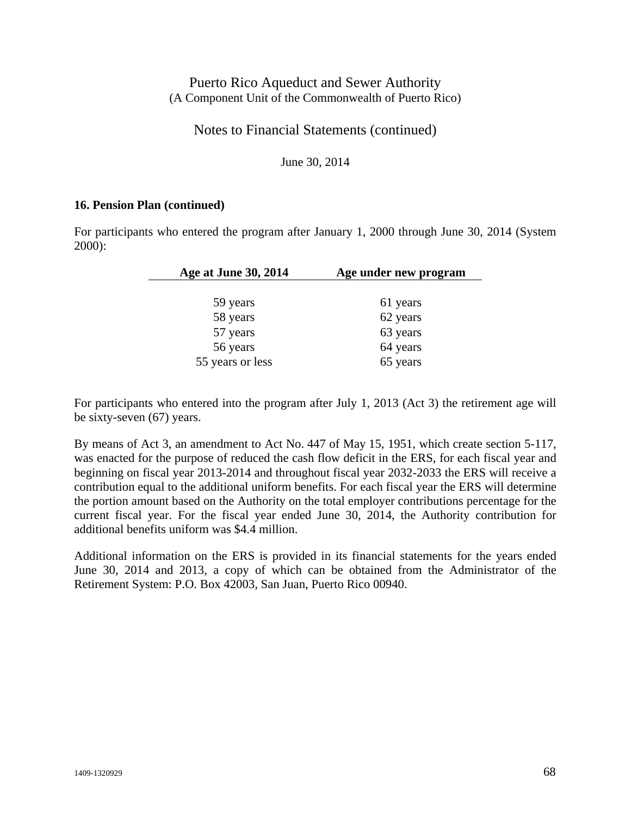Notes to Financial Statements (continued)

June 30, 2014

### **16. Pension Plan (continued)**

For participants who entered the program after January 1, 2000 through June 30, 2014 (System 2000):

| Age at June 30, 2014 | Age under new program |
|----------------------|-----------------------|
|                      |                       |
| 59 years             | 61 years              |
| 58 years             | 62 years              |
| 57 years             | 63 years              |
| 56 years             | 64 years              |
| 55 years or less     | 65 years              |

For participants who entered into the program after July 1, 2013 (Act 3) the retirement age will be sixty-seven (67) years.

By means of Act 3, an amendment to Act No. 447 of May 15, 1951, which create section 5-117, was enacted for the purpose of reduced the cash flow deficit in the ERS, for each fiscal year and beginning on fiscal year 2013-2014 and throughout fiscal year 2032-2033 the ERS will receive a contribution equal to the additional uniform benefits. For each fiscal year the ERS will determine the portion amount based on the Authority on the total employer contributions percentage for the current fiscal year. For the fiscal year ended June 30, 2014, the Authority contribution for additional benefits uniform was \$4.4 million.

Additional information on the ERS is provided in its financial statements for the years ended June 30, 2014 and 2013, a copy of which can be obtained from the Administrator of the Retirement System: P.O. Box 42003, San Juan, Puerto Rico 00940.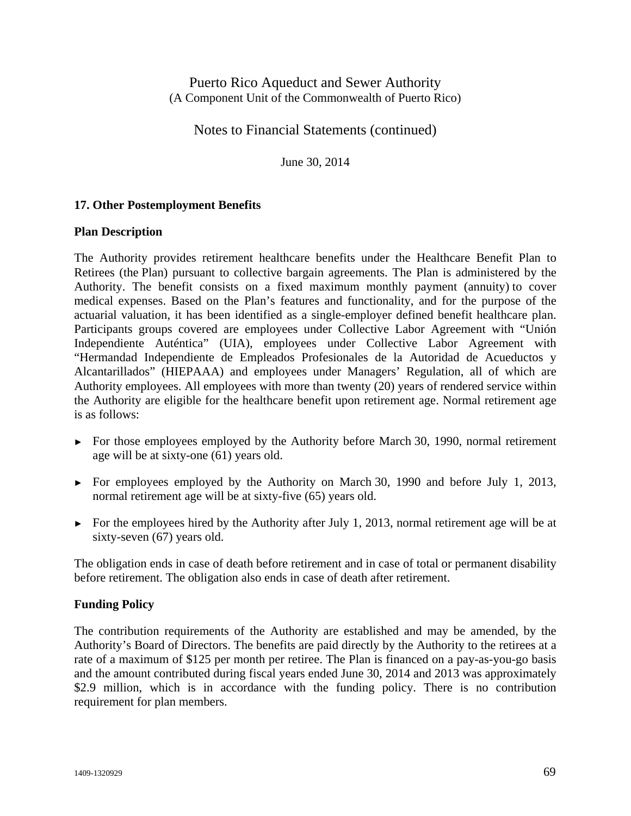Notes to Financial Statements (continued)

June 30, 2014

## **17. Other Postemployment Benefits**

#### **Plan Description**

The Authority provides retirement healthcare benefits under the Healthcare Benefit Plan to Retirees (the Plan) pursuant to collective bargain agreements. The Plan is administered by the Authority. The benefit consists on a fixed maximum monthly payment (annuity) to cover medical expenses. Based on the Plan's features and functionality, and for the purpose of the actuarial valuation, it has been identified as a single-employer defined benefit healthcare plan. Participants groups covered are employees under Collective Labor Agreement with "Unión Independiente Auténtica" (UIA), employees under Collective Labor Agreement with "Hermandad Independiente de Empleados Profesionales de la Autoridad de Acueductos y Alcantarillados" (HIEPAAA) and employees under Managers' Regulation, all of which are Authority employees. All employees with more than twenty (20) years of rendered service within the Authority are eligible for the healthcare benefit upon retirement age. Normal retirement age is as follows:

- ► For those employees employed by the Authority before March 30, 1990, normal retirement age will be at sixty-one (61) years old.
- ► For employees employed by the Authority on March 30, 1990 and before July 1, 2013, normal retirement age will be at sixty-five (65) years old.
- $\triangleright$  For the employees hired by the Authority after July 1, 2013, normal retirement age will be at sixty-seven (67) years old.

The obligation ends in case of death before retirement and in case of total or permanent disability before retirement. The obligation also ends in case of death after retirement.

### **Funding Policy**

The contribution requirements of the Authority are established and may be amended, by the Authority's Board of Directors. The benefits are paid directly by the Authority to the retirees at a rate of a maximum of \$125 per month per retiree. The Plan is financed on a pay-as-you-go basis and the amount contributed during fiscal years ended June 30, 2014 and 2013 was approximately \$2.9 million, which is in accordance with the funding policy. There is no contribution requirement for plan members.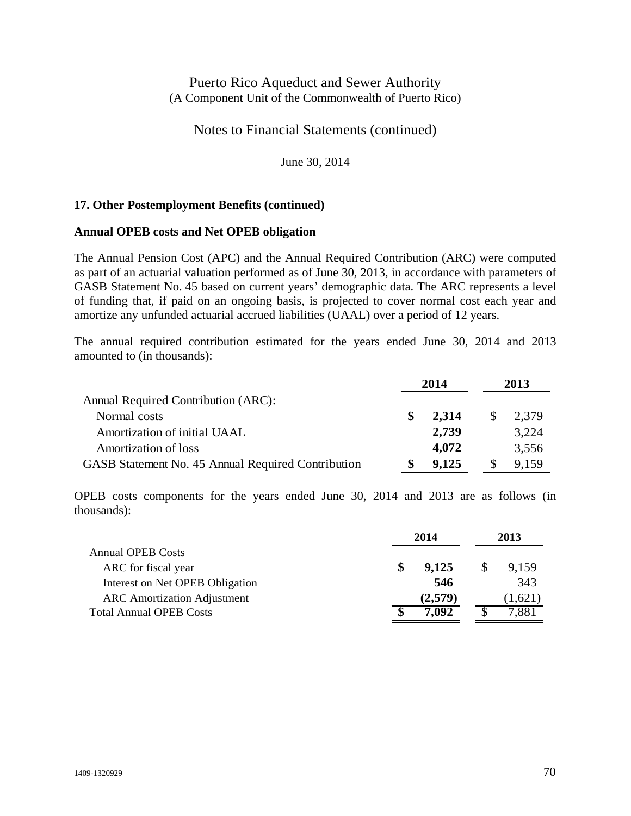Notes to Financial Statements (continued)

June 30, 2014

## **17. Other Postemployment Benefits (continued)**

#### **Annual OPEB costs and Net OPEB obligation**

The Annual Pension Cost (APC) and the Annual Required Contribution (ARC) were computed as part of an actuarial valuation performed as of June 30, 2013, in accordance with parameters of GASB Statement No. 45 based on current years' demographic data. The ARC represents a level of funding that, if paid on an ongoing basis, is projected to cover normal cost each year and amortize any unfunded actuarial accrued liabilities (UAAL) over a period of 12 years.

The annual required contribution estimated for the years ended June 30, 2014 and 2013 amounted to (in thousands):

|                                                    | 2014 |       | 2013 |       |
|----------------------------------------------------|------|-------|------|-------|
| Annual Required Contribution (ARC):                |      |       |      |       |
| Normal costs                                       | \$   | 2,314 | \$.  | 2,379 |
| Amortization of initial UAAL                       |      | 2,739 |      | 3,224 |
| Amortization of loss                               |      | 4,072 |      | 3,556 |
| GASB Statement No. 45 Annual Required Contribution | \$   | 9,125 |      | 9,159 |

OPEB costs components for the years ended June 30, 2014 and 2013 are as follows (in thousands):

|                                    | 2014 |         | 2013    |
|------------------------------------|------|---------|---------|
| <b>Annual OPEB Costs</b>           |      |         |         |
| ARC for fiscal year                |      | 9,125   | 9,159   |
| Interest on Net OPEB Obligation    |      | 546     | 343     |
| <b>ARC</b> Amortization Adjustment |      | (2,579) | (1,621) |
| <b>Total Annual OPEB Costs</b>     |      | 7.092   | 7,881   |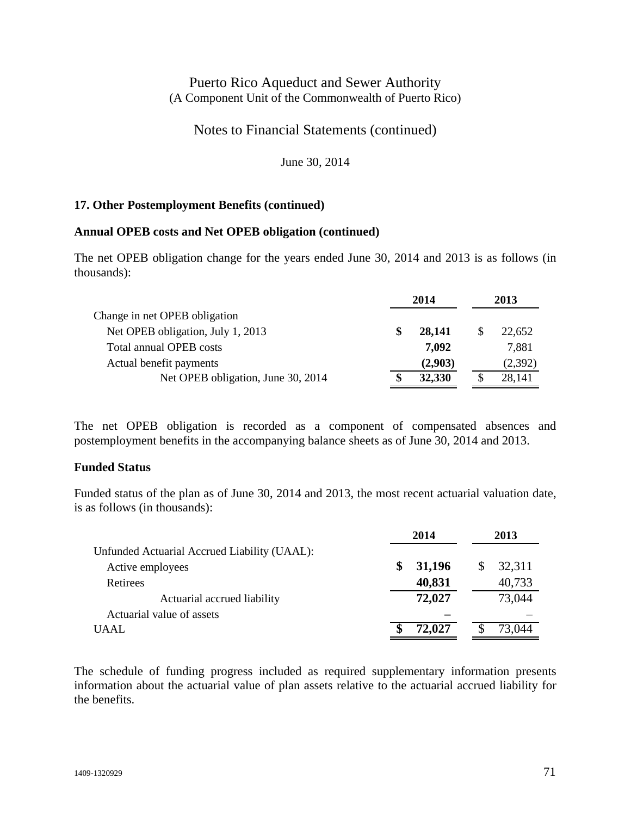Notes to Financial Statements (continued)

June 30, 2014

## **17. Other Postemployment Benefits (continued)**

## **Annual OPEB costs and Net OPEB obligation (continued)**

The net OPEB obligation change for the years ended June 30, 2014 and 2013 is as follows (in thousands):

|                                    | 2014 |         | 2013    |
|------------------------------------|------|---------|---------|
| Change in net OPEB obligation      |      |         |         |
| Net OPEB obligation, July 1, 2013  |      | 28,141  | 22,652  |
| Total annual OPEB costs            |      | 7.092   | 7,881   |
| Actual benefit payments            |      | (2,903) | (2,392) |
| Net OPEB obligation, June 30, 2014 |      | 32,330  | 28,141  |

The net OPEB obligation is recorded as a component of compensated absences and postemployment benefits in the accompanying balance sheets as of June 30, 2014 and 2013.

## **Funded Status**

Funded status of the plan as of June 30, 2014 and 2013, the most recent actuarial valuation date, is as follows (in thousands):

|                                              | 2014   | 2013   |  |  |
|----------------------------------------------|--------|--------|--|--|
| Unfunded Actuarial Accrued Liability (UAAL): |        |        |  |  |
| Active employees                             | 31,196 | 32,311 |  |  |
| Retirees                                     | 40,831 | 40,733 |  |  |
| Actuarial accrued liability                  | 72,027 | 73,044 |  |  |
| Actuarial value of assets                    |        |        |  |  |
| UAAL                                         | 72,027 | 73.044 |  |  |

The schedule of funding progress included as required supplementary information presents information about the actuarial value of plan assets relative to the actuarial accrued liability for the benefits.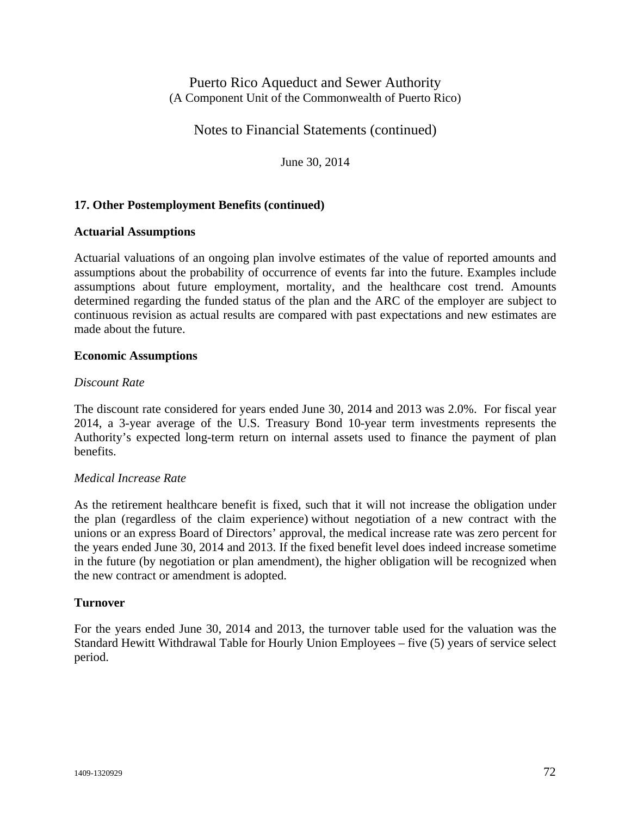Notes to Financial Statements (continued)

June 30, 2014

## **17. Other Postemployment Benefits (continued)**

#### **Actuarial Assumptions**

Actuarial valuations of an ongoing plan involve estimates of the value of reported amounts and assumptions about the probability of occurrence of events far into the future. Examples include assumptions about future employment, mortality, and the healthcare cost trend. Amounts determined regarding the funded status of the plan and the ARC of the employer are subject to continuous revision as actual results are compared with past expectations and new estimates are made about the future.

## **Economic Assumptions**

#### *Discount Rate*

The discount rate considered for years ended June 30, 2014 and 2013 was 2.0%. For fiscal year 2014, a 3-year average of the U.S. Treasury Bond 10-year term investments represents the Authority's expected long-term return on internal assets used to finance the payment of plan benefits.

## *Medical Increase Rate*

As the retirement healthcare benefit is fixed, such that it will not increase the obligation under the plan (regardless of the claim experience) without negotiation of a new contract with the unions or an express Board of Directors' approval, the medical increase rate was zero percent for the years ended June 30, 2014 and 2013. If the fixed benefit level does indeed increase sometime in the future (by negotiation or plan amendment), the higher obligation will be recognized when the new contract or amendment is adopted.

#### **Turnover**

For the years ended June 30, 2014 and 2013, the turnover table used for the valuation was the Standard Hewitt Withdrawal Table for Hourly Union Employees – five (5) years of service select period.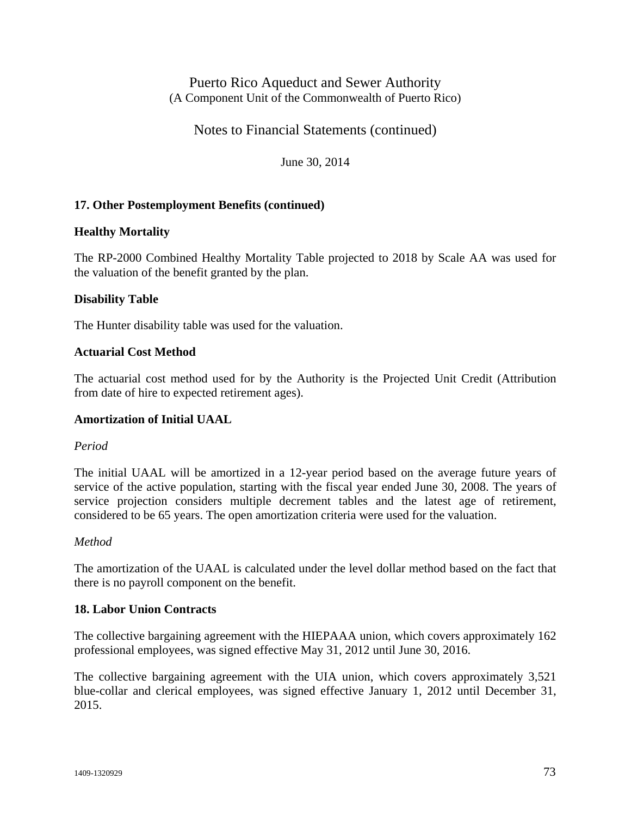Notes to Financial Statements (continued)

June 30, 2014

## **17. Other Postemployment Benefits (continued)**

## **Healthy Mortality**

The RP-2000 Combined Healthy Mortality Table projected to 2018 by Scale AA was used for the valuation of the benefit granted by the plan.

## **Disability Table**

The Hunter disability table was used for the valuation.

#### **Actuarial Cost Method**

The actuarial cost method used for by the Authority is the Projected Unit Credit (Attribution from date of hire to expected retirement ages).

## **Amortization of Initial UAAL**

#### *Period*

The initial UAAL will be amortized in a 12-year period based on the average future years of service of the active population, starting with the fiscal year ended June 30, 2008. The years of service projection considers multiple decrement tables and the latest age of retirement, considered to be 65 years. The open amortization criteria were used for the valuation.

## *Method*

The amortization of the UAAL is calculated under the level dollar method based on the fact that there is no payroll component on the benefit.

## **18. Labor Union Contracts**

The collective bargaining agreement with the HIEPAAA union, which covers approximately 162 professional employees, was signed effective May 31, 2012 until June 30, 2016.

The collective bargaining agreement with the UIA union, which covers approximately 3,521 blue-collar and clerical employees, was signed effective January 1, 2012 until December 31, 2015.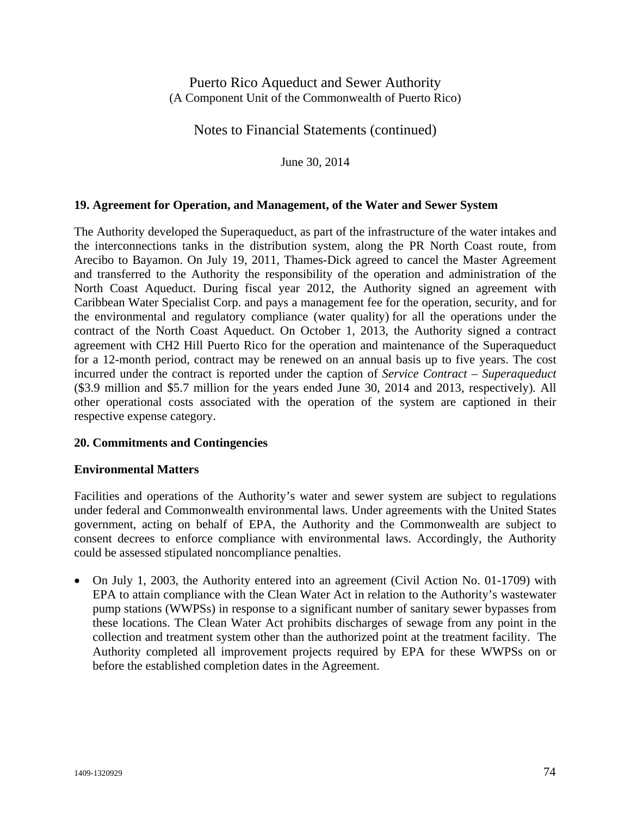Notes to Financial Statements (continued)

June 30, 2014

## **19. Agreement for Operation, and Management, of the Water and Sewer System**

The Authority developed the Superaqueduct, as part of the infrastructure of the water intakes and the interconnections tanks in the distribution system, along the PR North Coast route, from Arecibo to Bayamon. On July 19, 2011, Thames-Dick agreed to cancel the Master Agreement and transferred to the Authority the responsibility of the operation and administration of the North Coast Aqueduct. During fiscal year 2012, the Authority signed an agreement with Caribbean Water Specialist Corp. and pays a management fee for the operation, security, and for the environmental and regulatory compliance (water quality) for all the operations under the contract of the North Coast Aqueduct. On October 1, 2013, the Authority signed a contract agreement with CH2 Hill Puerto Rico for the operation and maintenance of the Superaqueduct for a 12-month period, contract may be renewed on an annual basis up to five years. The cost incurred under the contract is reported under the caption of *Service Contract – Superaqueduct*  (\$3.9 million and \$5.7 million for the years ended June 30, 2014 and 2013, respectively)*.* All other operational costs associated with the operation of the system are captioned in their respective expense category.

## **20. Commitments and Contingencies**

## **Environmental Matters**

Facilities and operations of the Authority's water and sewer system are subject to regulations under federal and Commonwealth environmental laws. Under agreements with the United States government, acting on behalf of EPA, the Authority and the Commonwealth are subject to consent decrees to enforce compliance with environmental laws. Accordingly, the Authority could be assessed stipulated noncompliance penalties.

• On July 1, 2003, the Authority entered into an agreement (Civil Action No. 01-1709) with EPA to attain compliance with the Clean Water Act in relation to the Authority's wastewater pump stations (WWPSs) in response to a significant number of sanitary sewer bypasses from these locations. The Clean Water Act prohibits discharges of sewage from any point in the collection and treatment system other than the authorized point at the treatment facility. The Authority completed all improvement projects required by EPA for these WWPSs on or before the established completion dates in the Agreement.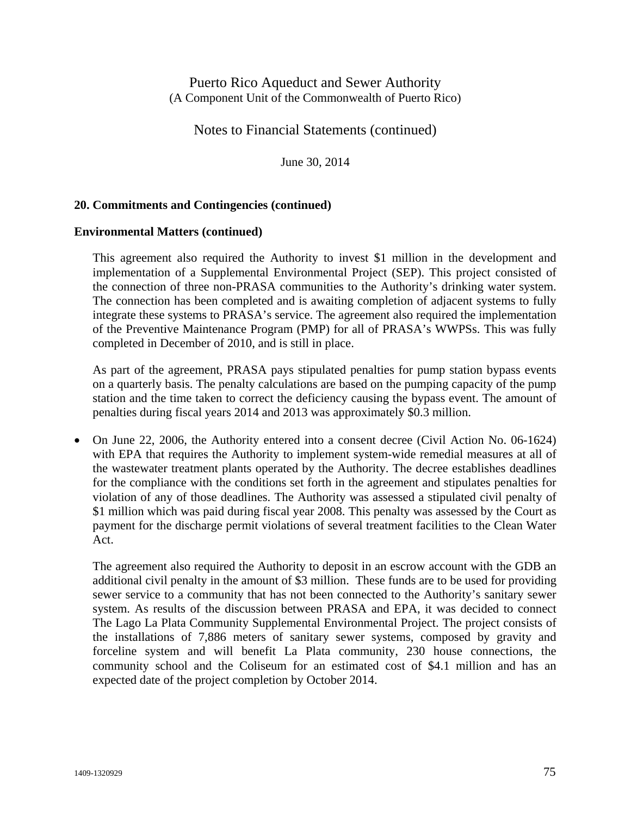Notes to Financial Statements (continued)

June 30, 2014

#### **20. Commitments and Contingencies (continued)**

#### **Environmental Matters (continued)**

This agreement also required the Authority to invest \$1 million in the development and implementation of a Supplemental Environmental Project (SEP). This project consisted of the connection of three non-PRASA communities to the Authority's drinking water system. The connection has been completed and is awaiting completion of adjacent systems to fully integrate these systems to PRASA's service. The agreement also required the implementation of the Preventive Maintenance Program (PMP) for all of PRASA's WWPSs. This was fully completed in December of 2010, and is still in place.

As part of the agreement, PRASA pays stipulated penalties for pump station bypass events on a quarterly basis. The penalty calculations are based on the pumping capacity of the pump station and the time taken to correct the deficiency causing the bypass event. The amount of penalties during fiscal years 2014 and 2013 was approximately \$0.3 million.

• On June 22, 2006, the Authority entered into a consent decree (Civil Action No. 06-1624) with EPA that requires the Authority to implement system-wide remedial measures at all of the wastewater treatment plants operated by the Authority. The decree establishes deadlines for the compliance with the conditions set forth in the agreement and stipulates penalties for violation of any of those deadlines. The Authority was assessed a stipulated civil penalty of \$1 million which was paid during fiscal year 2008. This penalty was assessed by the Court as payment for the discharge permit violations of several treatment facilities to the Clean Water Act.

The agreement also required the Authority to deposit in an escrow account with the GDB an additional civil penalty in the amount of \$3 million. These funds are to be used for providing sewer service to a community that has not been connected to the Authority's sanitary sewer system. As results of the discussion between PRASA and EPA, it was decided to connect The Lago La Plata Community Supplemental Environmental Project. The project consists of the installations of 7,886 meters of sanitary sewer systems, composed by gravity and forceline system and will benefit La Plata community, 230 house connections, the community school and the Coliseum for an estimated cost of \$4.1 million and has an expected date of the project completion by October 2014.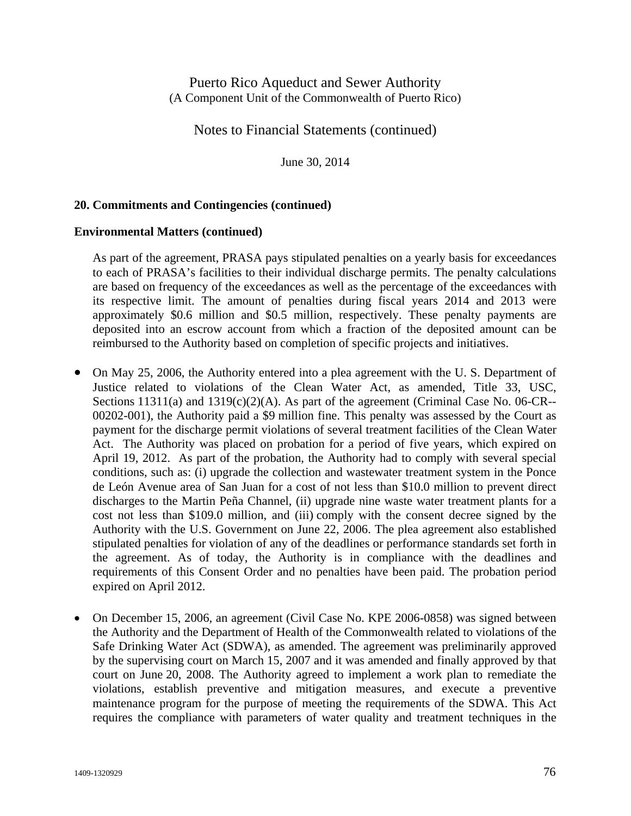Notes to Financial Statements (continued)

June 30, 2014

#### **20. Commitments and Contingencies (continued)**

#### **Environmental Matters (continued)**

As part of the agreement, PRASA pays stipulated penalties on a yearly basis for exceedances to each of PRASA's facilities to their individual discharge permits. The penalty calculations are based on frequency of the exceedances as well as the percentage of the exceedances with its respective limit. The amount of penalties during fiscal years 2014 and 2013 were approximately \$0.6 million and \$0.5 million, respectively. These penalty payments are deposited into an escrow account from which a fraction of the deposited amount can be reimbursed to the Authority based on completion of specific projects and initiatives.

- On May 25, 2006, the Authority entered into a plea agreement with the U. S. Department of Justice related to violations of the Clean Water Act, as amended, Title 33, USC, Sections  $11311(a)$  and  $1319(c)(2)(A)$ . As part of the agreement (Criminal Case No. 06-CR--00202-001), the Authority paid a \$9 million fine. This penalty was assessed by the Court as payment for the discharge permit violations of several treatment facilities of the Clean Water Act. The Authority was placed on probation for a period of five years, which expired on April 19, 2012. As part of the probation, the Authority had to comply with several special conditions, such as: (i) upgrade the collection and wastewater treatment system in the Ponce de León Avenue area of San Juan for a cost of not less than \$10.0 million to prevent direct discharges to the Martin Peña Channel, (ii) upgrade nine waste water treatment plants for a cost not less than \$109.0 million, and (iii) comply with the consent decree signed by the Authority with the U.S. Government on June 22, 2006. The plea agreement also established stipulated penalties for violation of any of the deadlines or performance standards set forth in the agreement. As of today, the Authority is in compliance with the deadlines and requirements of this Consent Order and no penalties have been paid. The probation period expired on April 2012.
- On December 15, 2006, an agreement (Civil Case No. KPE 2006-0858) was signed between the Authority and the Department of Health of the Commonwealth related to violations of the Safe Drinking Water Act (SDWA), as amended. The agreement was preliminarily approved by the supervising court on March 15, 2007 and it was amended and finally approved by that court on June 20, 2008. The Authority agreed to implement a work plan to remediate the violations, establish preventive and mitigation measures, and execute a preventive maintenance program for the purpose of meeting the requirements of the SDWA. This Act requires the compliance with parameters of water quality and treatment techniques in the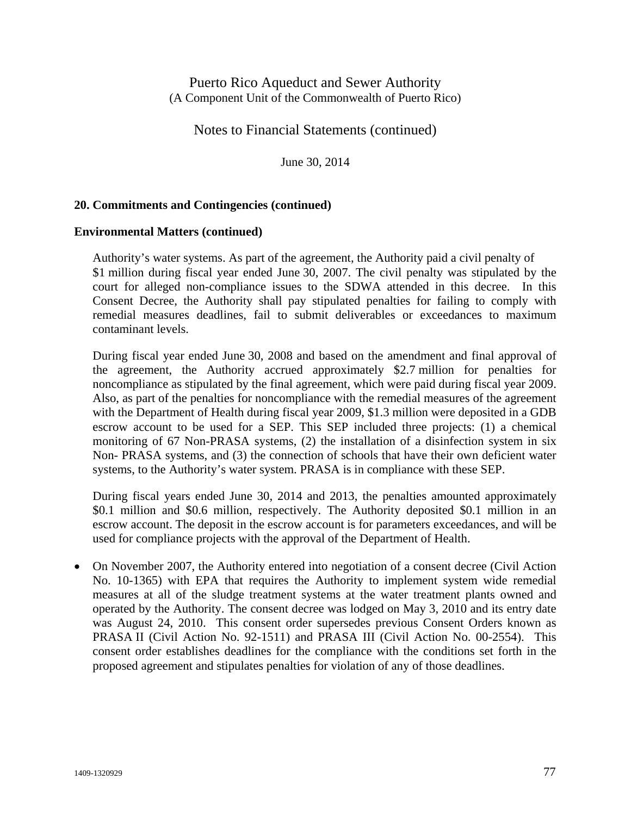Notes to Financial Statements (continued)

June 30, 2014

## **20. Commitments and Contingencies (continued)**

#### **Environmental Matters (continued)**

Authority's water systems. As part of the agreement, the Authority paid a civil penalty of \$1 million during fiscal year ended June 30, 2007. The civil penalty was stipulated by the court for alleged non-compliance issues to the SDWA attended in this decree. In this Consent Decree, the Authority shall pay stipulated penalties for failing to comply with remedial measures deadlines, fail to submit deliverables or exceedances to maximum contaminant levels.

During fiscal year ended June 30, 2008 and based on the amendment and final approval of the agreement, the Authority accrued approximately \$2.7 million for penalties for noncompliance as stipulated by the final agreement, which were paid during fiscal year 2009. Also, as part of the penalties for noncompliance with the remedial measures of the agreement with the Department of Health during fiscal year 2009, \$1.3 million were deposited in a GDB escrow account to be used for a SEP. This SEP included three projects: (1) a chemical monitoring of 67 Non-PRASA systems, (2) the installation of a disinfection system in six Non- PRASA systems, and (3) the connection of schools that have their own deficient water systems, to the Authority's water system. PRASA is in compliance with these SEP.

During fiscal years ended June 30, 2014 and 2013, the penalties amounted approximately \$0.1 million and \$0.6 million, respectively. The Authority deposited \$0.1 million in an escrow account. The deposit in the escrow account is for parameters exceedances, and will be used for compliance projects with the approval of the Department of Health.

• On November 2007, the Authority entered into negotiation of a consent decree (Civil Action No. 10-1365) with EPA that requires the Authority to implement system wide remedial measures at all of the sludge treatment systems at the water treatment plants owned and operated by the Authority. The consent decree was lodged on May 3, 2010 and its entry date was August 24, 2010. This consent order supersedes previous Consent Orders known as PRASA II (Civil Action No. 92-1511) and PRASA III (Civil Action No. 00-2554). This consent order establishes deadlines for the compliance with the conditions set forth in the proposed agreement and stipulates penalties for violation of any of those deadlines.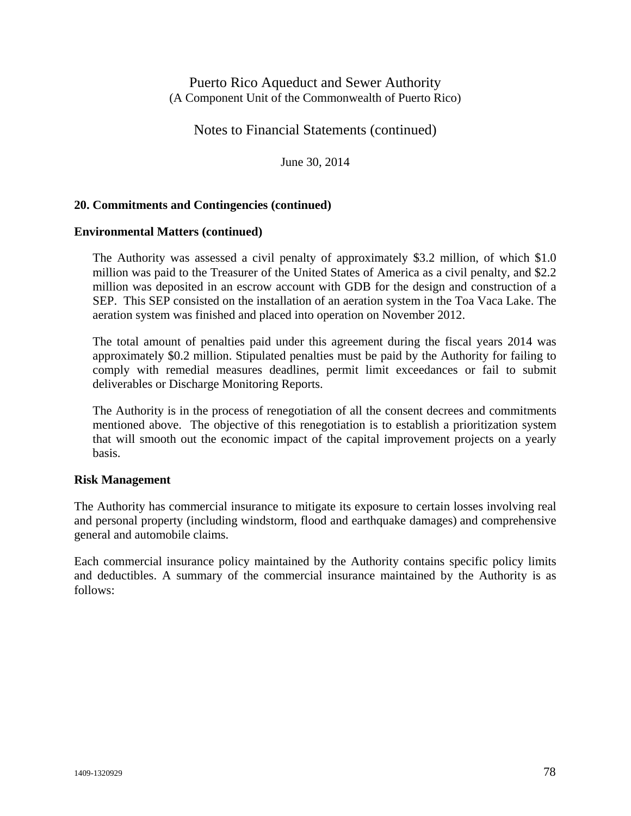Notes to Financial Statements (continued)

June 30, 2014

## **20. Commitments and Contingencies (continued)**

#### **Environmental Matters (continued)**

 The Authority was assessed a civil penalty of approximately \$3.2 million, of which \$1.0 million was paid to the Treasurer of the United States of America as a civil penalty, and \$2.2 million was deposited in an escrow account with GDB for the design and construction of a SEP. This SEP consisted on the installation of an aeration system in the Toa Vaca Lake. The aeration system was finished and placed into operation on November 2012.

 The total amount of penalties paid under this agreement during the fiscal years 2014 was approximately \$0.2 million. Stipulated penalties must be paid by the Authority for failing to comply with remedial measures deadlines, permit limit exceedances or fail to submit deliverables or Discharge Monitoring Reports.

The Authority is in the process of renegotiation of all the consent decrees and commitments mentioned above. The objective of this renegotiation is to establish a prioritization system that will smooth out the economic impact of the capital improvement projects on a yearly basis.

#### **Risk Management**

The Authority has commercial insurance to mitigate its exposure to certain losses involving real and personal property (including windstorm, flood and earthquake damages) and comprehensive general and automobile claims.

Each commercial insurance policy maintained by the Authority contains specific policy limits and deductibles. A summary of the commercial insurance maintained by the Authority is as follows: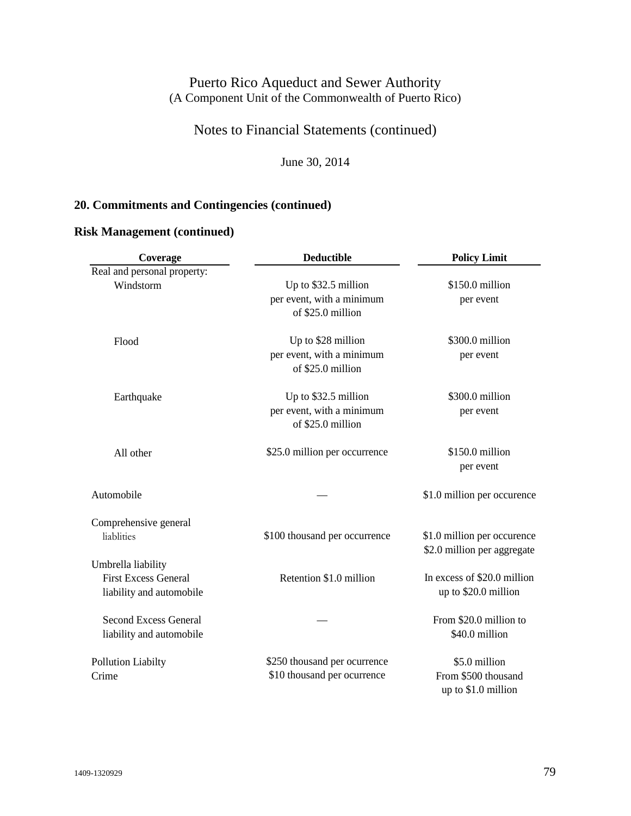# Notes to Financial Statements (continued)

June 30, 2014

# **20. Commitments and Contingencies (continued)**

## **Risk Management (continued)**

| Coverage                     | <b>Deductible</b>                              | <b>Policy Limit</b>                                        |  |  |
|------------------------------|------------------------------------------------|------------------------------------------------------------|--|--|
| Real and personal property:  |                                                |                                                            |  |  |
| Windstorm                    | Up to \$32.5 million                           | \$150.0 million                                            |  |  |
|                              | per event, with a minimum                      | per event                                                  |  |  |
|                              | of \$25.0 million                              |                                                            |  |  |
| Flood                        | Up to \$28 million                             | \$300.0 million                                            |  |  |
|                              | per event, with a minimum<br>of \$25.0 million | per event                                                  |  |  |
| Earthquake                   | Up to \$32.5 million                           | \$300.0 million                                            |  |  |
|                              | per event, with a minimum<br>of \$25.0 million | per event                                                  |  |  |
| All other                    | \$25.0 million per occurrence                  | \$150.0 million                                            |  |  |
|                              |                                                | per event                                                  |  |  |
| Automobile                   |                                                | \$1.0 million per occurence                                |  |  |
| Comprehensive general        |                                                |                                                            |  |  |
| liablities                   | \$100 thousand per occurrence                  | \$1.0 million per occurence<br>\$2.0 million per aggregate |  |  |
| Umbrella liability           |                                                |                                                            |  |  |
| <b>First Excess General</b>  | Retention \$1.0 million                        | In excess of \$20.0 million                                |  |  |
| liability and automobile     |                                                | up to \$20.0 million                                       |  |  |
| <b>Second Excess General</b> |                                                | From \$20.0 million to                                     |  |  |
| liability and automobile     |                                                | \$40.0 million                                             |  |  |
| Pollution Liabilty           | \$250 thousand per ocurrence                   | \$5.0 million                                              |  |  |
| Crime                        | \$10 thousand per ocurrence                    | From \$500 thousand<br>up to $$1.0$ million                |  |  |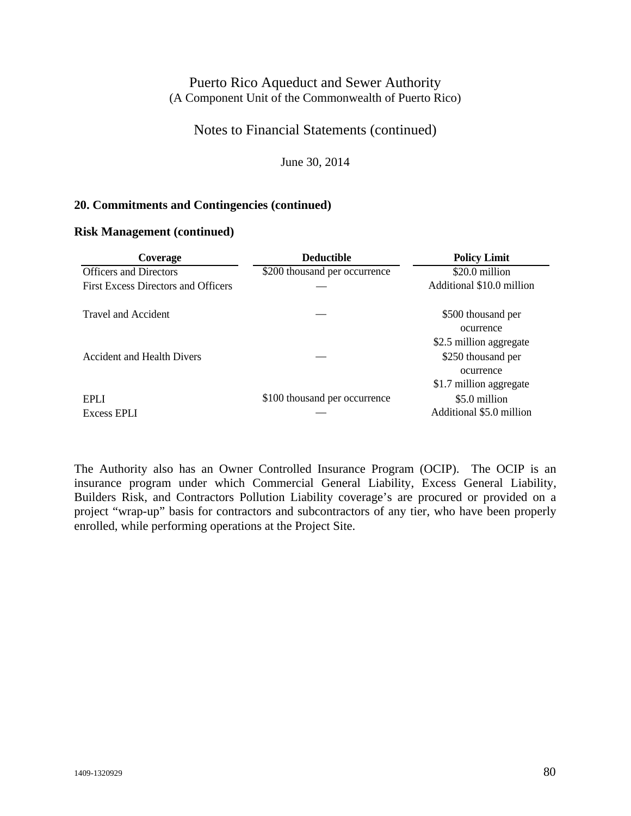# Notes to Financial Statements (continued)

June 30, 2014

## **20. Commitments and Contingencies (continued)**

#### **Risk Management (continued)**

| Coverage                                   | <b>Deductible</b>             | <b>Policy Limit</b>                                                                   |
|--------------------------------------------|-------------------------------|---------------------------------------------------------------------------------------|
| <b>Officers and Directors</b>              | \$200 thousand per occurrence | \$20.0 million                                                                        |
| <b>First Excess Directors and Officers</b> |                               | Additional \$10.0 million                                                             |
| Travel and Accident                        |                               | \$500 thousand per<br>ocurrence                                                       |
| <b>Accident and Health Divers</b>          |                               | \$2.5 million aggregate<br>\$250 thousand per<br>ocurrence<br>\$1.7 million aggregate |
| <b>EPLI</b><br><b>Excess EPLI</b>          | \$100 thousand per occurrence | \$5.0 million<br>Additional \$5.0 million                                             |

The Authority also has an Owner Controlled Insurance Program (OCIP). The OCIP is an insurance program under which Commercial General Liability, Excess General Liability, Builders Risk, and Contractors Pollution Liability coverage's are procured or provided on a project "wrap-up" basis for contractors and subcontractors of any tier, who have been properly enrolled, while performing operations at the Project Site.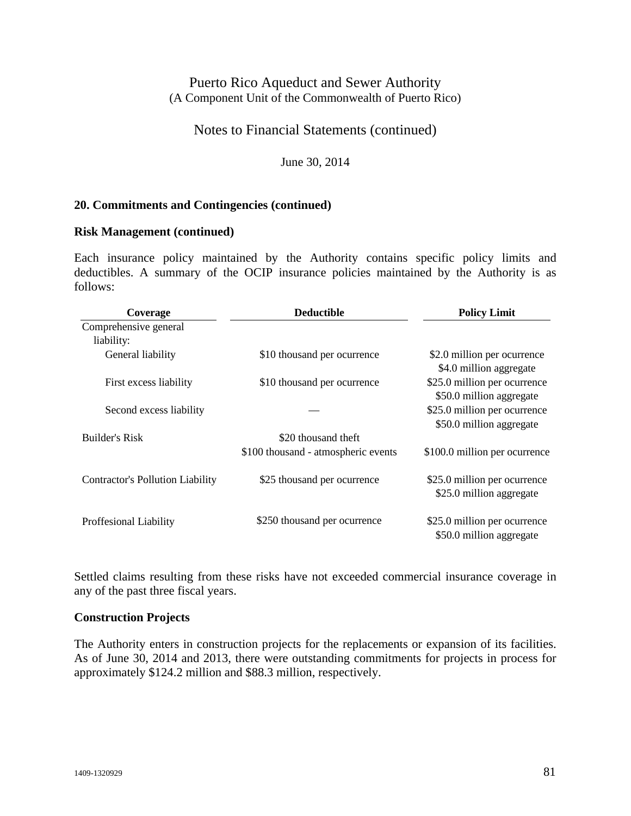Notes to Financial Statements (continued)

June 30, 2014

## **20. Commitments and Contingencies (continued)**

#### **Risk Management (continued)**

Each insurance policy maintained by the Authority contains specific policy limits and deductibles. A summary of the OCIP insurance policies maintained by the Authority is as follows:

| Coverage                                | <b>Deductible</b>                   | <b>Policy Limit</b>                                      |  |  |  |
|-----------------------------------------|-------------------------------------|----------------------------------------------------------|--|--|--|
| Comprehensive general                   |                                     |                                                          |  |  |  |
| liability:                              |                                     |                                                          |  |  |  |
| General liability                       | \$10 thousand per ocurrence         | \$2.0 million per ocurrence<br>\$4.0 million aggregate   |  |  |  |
| First excess liability                  | \$10 thousand per ocurrence         | \$25.0 million per ocurrence<br>\$50.0 million aggregate |  |  |  |
| Second excess liability                 |                                     | \$25.0 million per ocurrence<br>\$50.0 million aggregate |  |  |  |
| <b>Builder's Risk</b>                   | \$20 thousand theft                 |                                                          |  |  |  |
|                                         | \$100 thousand - atmospheric events | \$100.0 million per ocurrence                            |  |  |  |
| <b>Contractor's Pollution Liability</b> | \$25 thousand per ocurrence         | \$25.0 million per ocurrence<br>\$25.0 million aggregate |  |  |  |
| Proffesional Liability                  | \$250 thousand per ocurrence        | \$25.0 million per ocurrence<br>\$50.0 million aggregate |  |  |  |

Settled claims resulting from these risks have not exceeded commercial insurance coverage in any of the past three fiscal years.

## **Construction Projects**

The Authority enters in construction projects for the replacements or expansion of its facilities. As of June 30, 2014 and 2013, there were outstanding commitments for projects in process for approximately \$124.2 million and \$88.3 million, respectively.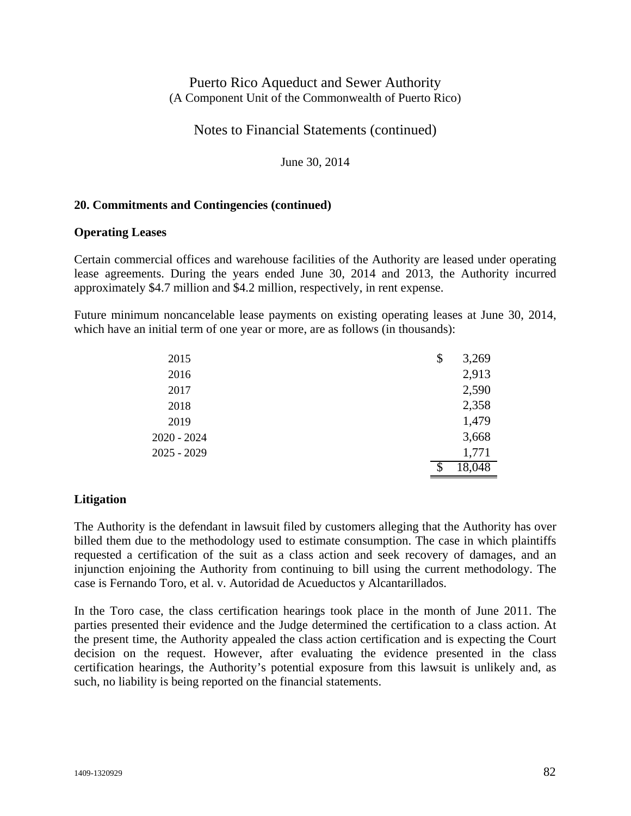Notes to Financial Statements (continued)

June 30, 2014

## **20. Commitments and Contingencies (continued)**

## **Operating Leases**

Certain commercial offices and warehouse facilities of the Authority are leased under operating lease agreements. During the years ended June 30, 2014 and 2013, the Authority incurred approximately \$4.7 million and \$4.2 million, respectively, in rent expense.

Future minimum noncancelable lease payments on existing operating leases at June 30, 2014, which have an initial term of one year or more, are as follows (in thousands):

| 2015        | \$<br>3,269  |
|-------------|--------------|
| 2016        | 2,913        |
| 2017        | 2,590        |
| 2018        | 2,358        |
| 2019        | 1,479        |
| 2020 - 2024 | 3,668        |
| 2025 - 2029 | 1,771        |
|             | \$<br>18,048 |

## **Litigation**

The Authority is the defendant in lawsuit filed by customers alleging that the Authority has over billed them due to the methodology used to estimate consumption. The case in which plaintiffs requested a certification of the suit as a class action and seek recovery of damages, and an injunction enjoining the Authority from continuing to bill using the current methodology. The case is Fernando Toro, et al. v. Autoridad de Acueductos y Alcantarillados.

In the Toro case, the class certification hearings took place in the month of June 2011. The parties presented their evidence and the Judge determined the certification to a class action. At the present time, the Authority appealed the class action certification and is expecting the Court decision on the request. However, after evaluating the evidence presented in the class certification hearings, the Authority's potential exposure from this lawsuit is unlikely and, as such, no liability is being reported on the financial statements.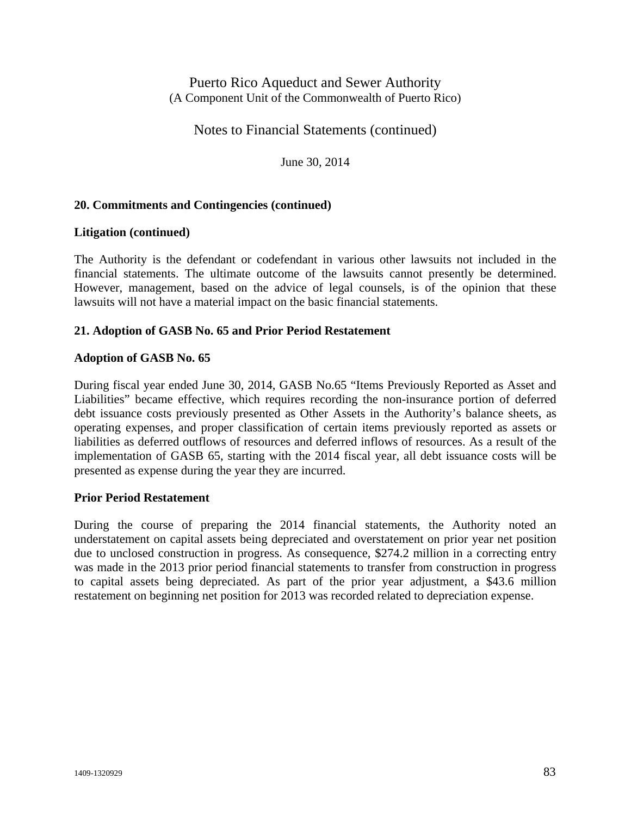Notes to Financial Statements (continued)

June 30, 2014

## **20. Commitments and Contingencies (continued)**

#### **Litigation (continued)**

The Authority is the defendant or codefendant in various other lawsuits not included in the financial statements. The ultimate outcome of the lawsuits cannot presently be determined. However, management, based on the advice of legal counsels, is of the opinion that these lawsuits will not have a material impact on the basic financial statements.

## **21. Adoption of GASB No. 65 and Prior Period Restatement**

#### **Adoption of GASB No. 65**

During fiscal year ended June 30, 2014, GASB No.65 "Items Previously Reported as Asset and Liabilities" became effective, which requires recording the non-insurance portion of deferred debt issuance costs previously presented as Other Assets in the Authority's balance sheets, as operating expenses, and proper classification of certain items previously reported as assets or liabilities as deferred outflows of resources and deferred inflows of resources. As a result of the implementation of GASB 65, starting with the 2014 fiscal year, all debt issuance costs will be presented as expense during the year they are incurred.

#### **Prior Period Restatement**

During the course of preparing the 2014 financial statements, the Authority noted an understatement on capital assets being depreciated and overstatement on prior year net position due to unclosed construction in progress. As consequence, \$274.2 million in a correcting entry was made in the 2013 prior period financial statements to transfer from construction in progress to capital assets being depreciated. As part of the prior year adjustment, a \$43.6 million restatement on beginning net position for 2013 was recorded related to depreciation expense.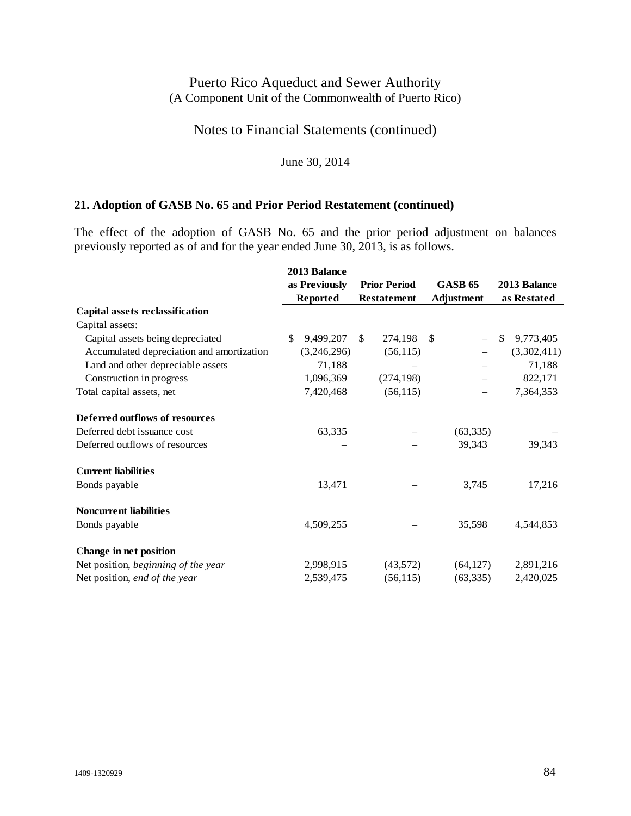# Notes to Financial Statements (continued)

#### June 30, 2014

## **21. Adoption of GASB No. 65 and Prior Period Restatement (continued)**

The effect of the adoption of GASB No. 65 and the prior period adjustment on balances previously reported as of and for the year ended June 30, 2013, is as follows.

|                                           | 2013 Balance    |                          |                   |                           |  |
|-------------------------------------------|-----------------|--------------------------|-------------------|---------------------------|--|
|                                           | as Previously   | <b>Prior Period</b>      | <b>GASB 65</b>    | 2013 Balance              |  |
|                                           | <b>Reported</b> | <b>Restatement</b>       | <b>Adjustment</b> | as Restated               |  |
| Capital assets reclassification           |                 |                          |                   |                           |  |
| Capital assets:                           |                 |                          |                   |                           |  |
| Capital assets being depreciated          | \$<br>9,499,207 | 274,198<br><sup>\$</sup> | <sup>\$</sup>     | $\mathbb{S}$<br>9,773,405 |  |
| Accumulated depreciation and amortization | (3,246,296)     | (56, 115)                |                   | (3,302,411)               |  |
| Land and other depreciable assets         | 71,188          |                          |                   | 71,188                    |  |
| Construction in progress                  | 1,096,369       | (274, 198)               |                   | 822,171                   |  |
| Total capital assets, net                 | 7,420,468       | (56, 115)                |                   | 7,364,353                 |  |
| Deferred outflows of resources            |                 |                          |                   |                           |  |
| Deferred debt issuance cost               | 63,335          |                          | (63, 335)         |                           |  |
| Deferred outflows of resources            |                 |                          | 39,343            | 39,343                    |  |
| <b>Current liabilities</b>                |                 |                          |                   |                           |  |
| Bonds payable                             | 13,471          |                          | 3,745             | 17,216                    |  |
| <b>Noncurrent liabilities</b>             |                 |                          |                   |                           |  |
| Bonds payable                             | 4,509,255       |                          | 35,598            | 4,544,853                 |  |
| Change in net position                    |                 |                          |                   |                           |  |
| Net position, beginning of the year       | 2,998,915       | (43,572)                 | (64, 127)         | 2,891,216                 |  |
| Net position, end of the year             | 2,539,475       | (56, 115)                | (63, 335)         | 2,420,025                 |  |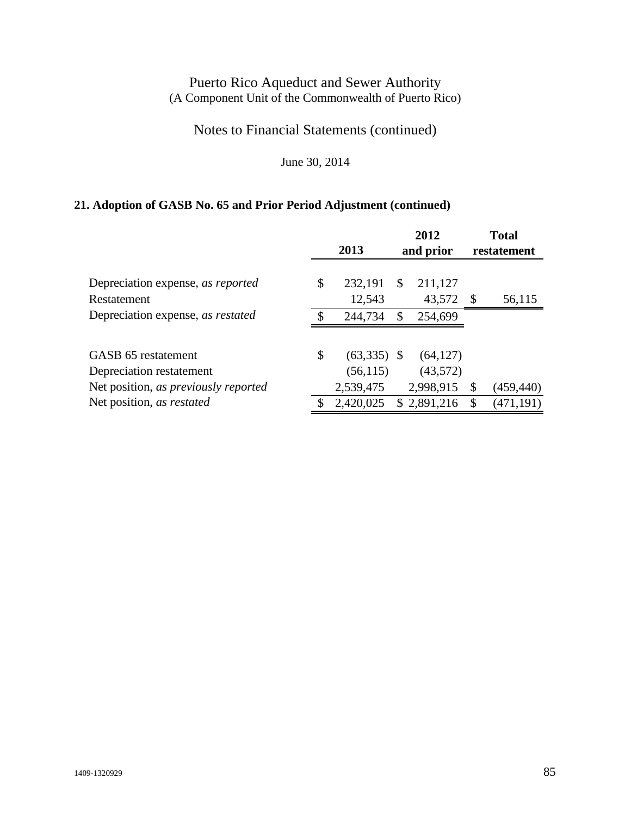# Notes to Financial Statements (continued)

# June 30, 2014

# **21. Adoption of GASB No. 65 and Prior Period Adjustment (continued)**

|                                                  |    | 2013                       | 2012<br>and prior |                       | <b>Total</b><br>restatement |            |
|--------------------------------------------------|----|----------------------------|-------------------|-----------------------|-----------------------------|------------|
| Depreciation expense, as reported<br>Restatement | \$ | 232,191<br>12,543          | \$                | 211,127<br>43,572     |                             | 56,115     |
| Depreciation expense, as restated                | £. | 244,734                    |                   | 254,699               |                             |            |
| GASB 65 restatement<br>Depreciation restatement  | \$ | $(63,335)$ \$<br>(56, 115) |                   | (64, 127)<br>(43,572) |                             |            |
| Net position, as previously reported             |    | 2,539,475                  |                   | 2,998,915             |                             | (459, 440) |
| Net position, as restated                        | S  | 2,420,025                  |                   | \$2,891,216           |                             | (471, 191) |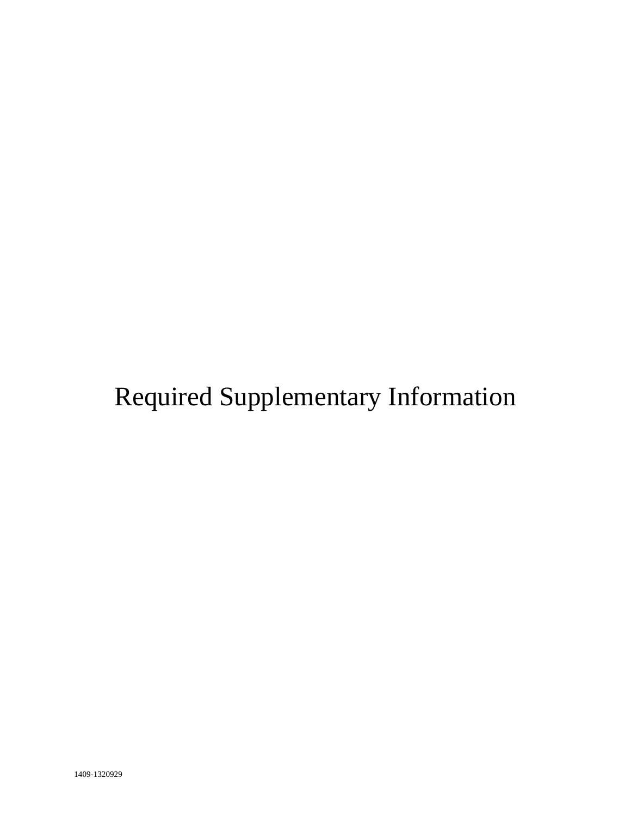# Required Supplementary Information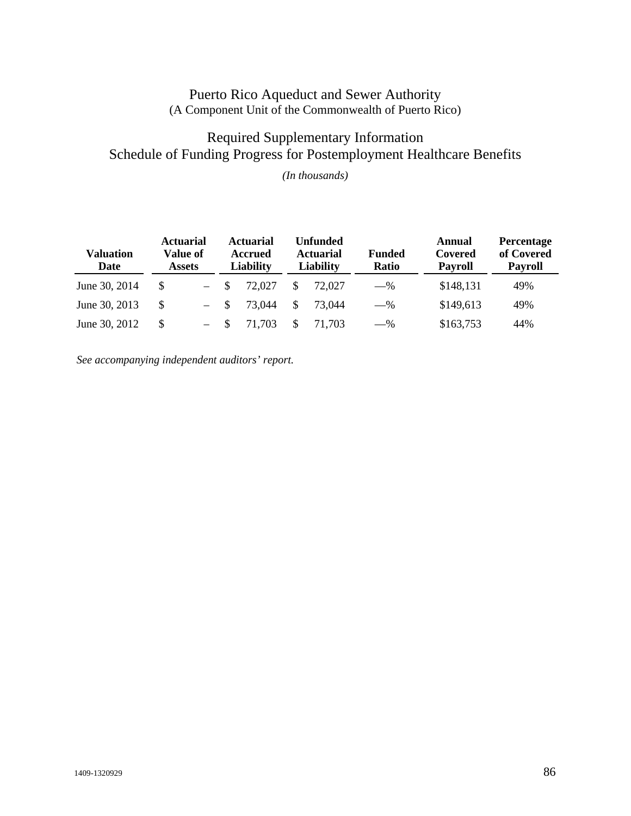# Required Supplementary Information Schedule of Funding Progress for Postemployment Healthcare Benefits

*(In thousands)* 

| Valuation<br>Date | <b>Actuarial</b><br>Value of<br><b>Assets</b> |          | <b>Actuarial</b><br>Accrued<br><b>Liability</b> |        | U <b>nfunded</b><br><b>Actuarial</b><br><b>Liability</b> |        | <b>Funded</b><br>Ratio | Annual<br>Covered<br><b>Payroll</b> | <b>Percentage</b><br>of Covered<br><b>Payroll</b> |
|-------------------|-----------------------------------------------|----------|-------------------------------------------------|--------|----------------------------------------------------------|--------|------------------------|-------------------------------------|---------------------------------------------------|
| June 30, 2014     | -S                                            |          |                                                 | 72,027 | S                                                        | 72,027 | $-$ %                  | \$148,131                           | 49%                                               |
| June 30, 2013     |                                               |          | -S                                              | 73.044 | S.                                                       | 73.044 | $-$ %                  | \$149,613                           | 49%                                               |
| June 30, 2012     |                                               | $\equiv$ |                                                 | 71.703 |                                                          | 71.703 | $-$ %                  | \$163,753                           | 44%                                               |

*See accompanying independent auditors' report.*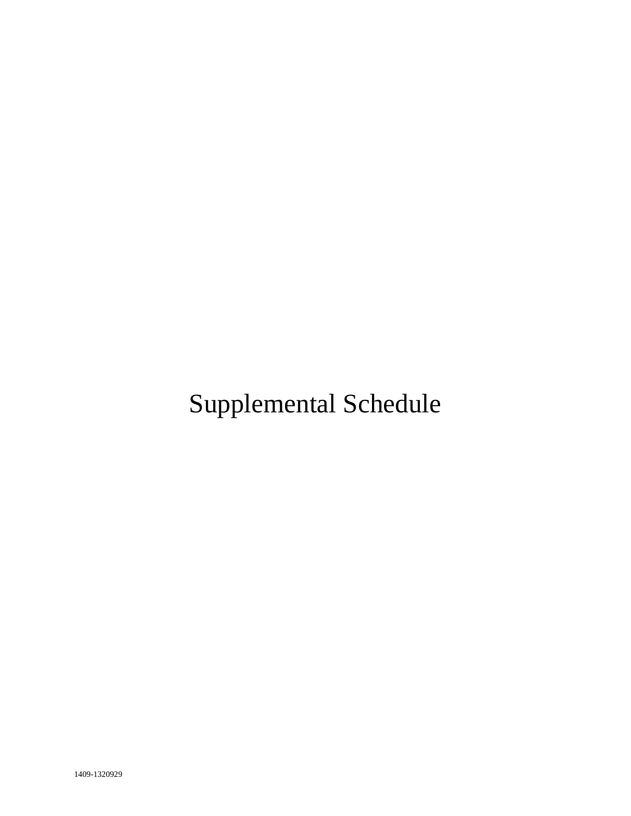Supplemental Schedule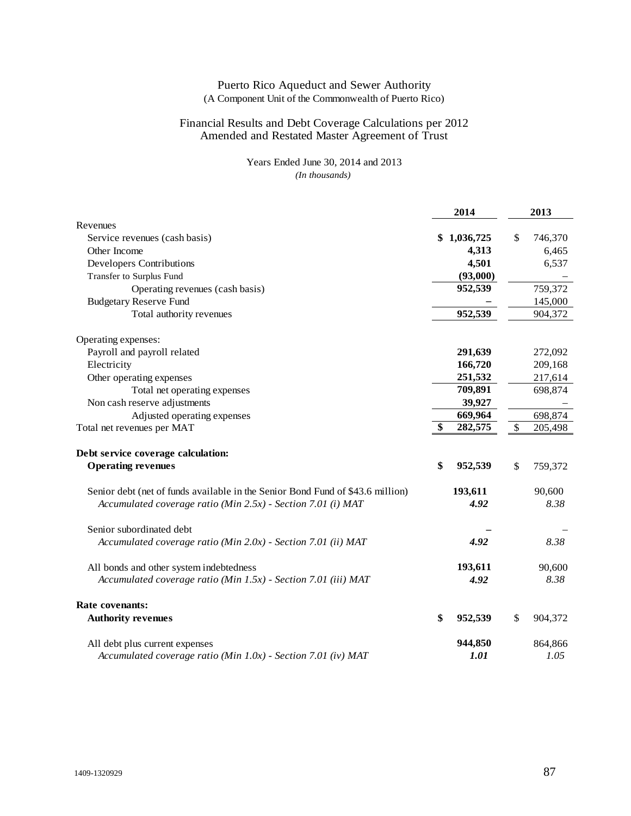## Financial Results and Debt Coverage Calculations per 2012 Amended and Restated Master Agreement of Trust

Years Ended June 30, 2014 and 2013 *(In thousands)*

|                                                                                | 2014          |      | 2013    |
|--------------------------------------------------------------------------------|---------------|------|---------|
| Revenues                                                                       |               |      |         |
| Service revenues (cash basis)                                                  | \$1,036,725   | \$   | 746,370 |
| Other Income                                                                   | 4,313         |      | 6,465   |
| <b>Developers Contributions</b>                                                | 4,501         |      | 6,537   |
| Transfer to Surplus Fund                                                       | (93,000)      |      |         |
| Operating revenues (cash basis)                                                | 952,539       |      | 759,372 |
| <b>Budgetary Reserve Fund</b>                                                  |               |      | 145,000 |
| Total authority revenues                                                       | 952,539       |      | 904,372 |
| Operating expenses:                                                            |               |      |         |
| Payroll and payroll related                                                    | 291,639       |      | 272,092 |
| Electricity                                                                    | 166,720       |      | 209,168 |
| Other operating expenses                                                       | 251,532       |      | 217,614 |
| Total net operating expenses                                                   | 709,891       |      | 698,874 |
| Non cash reserve adjustments                                                   | 39,927        |      |         |
| Adjusted operating expenses                                                    | 669,964       |      | 698,874 |
| Total net revenues per MAT                                                     | \$<br>282,575 | $\$$ | 205,498 |
| Debt service coverage calculation:                                             |               |      |         |
| <b>Operating revenues</b>                                                      | \$<br>952,539 | \$   | 759,372 |
| Senior debt (net of funds available in the Senior Bond Fund of \$43.6 million) | 193,611       |      | 90,600  |
| Accumulated coverage ratio (Min 2.5x) - Section 7.01 (i) MAT                   | 4.92          |      | 8.38    |
| Senior subordinated debt                                                       |               |      |         |
| Accumulated coverage ratio (Min 2.0x) - Section 7.01 (ii) MAT                  | 4.92          |      | 8.38    |
| All bonds and other system indebtedness                                        | 193,611       |      | 90,600  |
| Accumulated coverage ratio (Min 1.5x) - Section 7.01 (iii) MAT                 | 4.92          |      | 8.38    |
| Rate covenants:                                                                |               |      |         |
| <b>Authority revenues</b>                                                      | \$<br>952,539 | \$   | 904,372 |
| All debt plus current expenses                                                 | 944,850       |      | 864,866 |
| Accumulated coverage ratio (Min 1.0x) - Section 7.01 (iv) MAT                  | <i>1.01</i>   |      | 1.05    |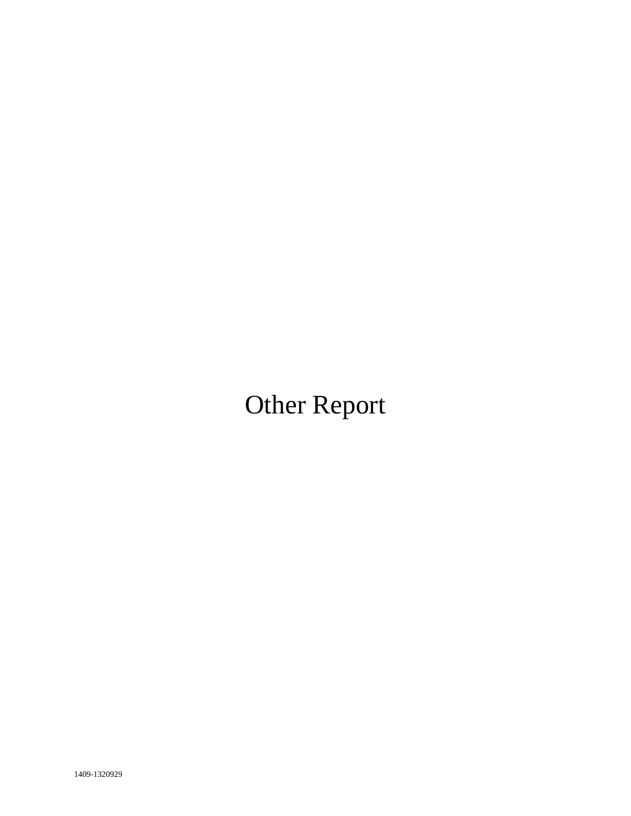# Other Report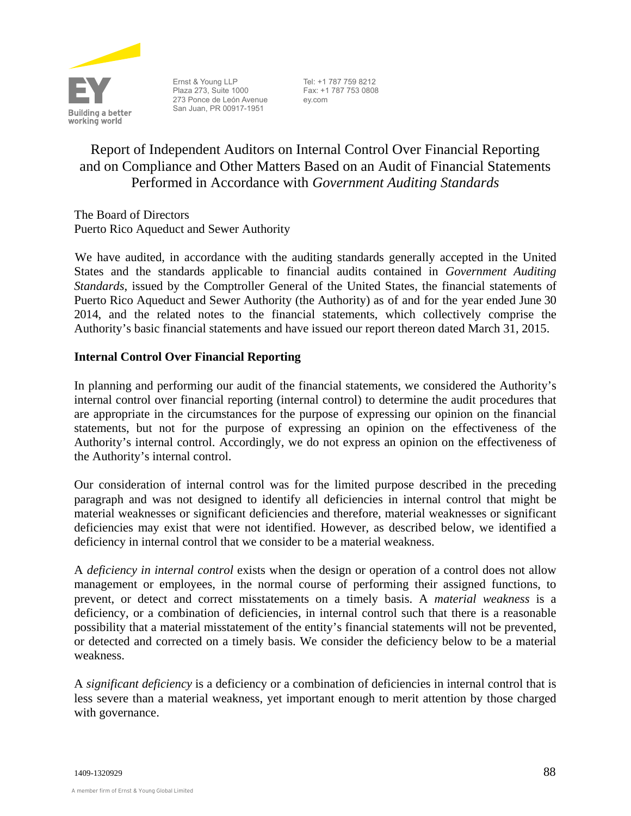

Ernst & Young LLP Plaza 273, Suite 1000 273 Ponce de León Avenue San Juan, PR 00917-1951

 Tel: +1 787 759 8212 Fax: +1 787 753 0808 ey.com

# Report of Independent Auditors on Internal Control Over Financial Reporting and on Compliance and Other Matters Based on an Audit of Financial Statements Performed in Accordance with *Government Auditing Standards*

The Board of Directors Puerto Rico Aqueduct and Sewer Authority

We have audited, in accordance with the auditing standards generally accepted in the United States and the standards applicable to financial audits contained in *Government Auditing Standards*, issued by the Comptroller General of the United States, the financial statements of Puerto Rico Aqueduct and Sewer Authority (the Authority) as of and for the year ended June 30 2014, and the related notes to the financial statements, which collectively comprise the Authority's basic financial statements and have issued our report thereon dated March 31, 2015.

## **Internal Control Over Financial Reporting**

In planning and performing our audit of the financial statements, we considered the Authority's internal control over financial reporting (internal control) to determine the audit procedures that are appropriate in the circumstances for the purpose of expressing our opinion on the financial statements, but not for the purpose of expressing an opinion on the effectiveness of the Authority's internal control. Accordingly, we do not express an opinion on the effectiveness of the Authority's internal control.

Our consideration of internal control was for the limited purpose described in the preceding paragraph and was not designed to identify all deficiencies in internal control that might be material weaknesses or significant deficiencies and therefore, material weaknesses or significant deficiencies may exist that were not identified. However, as described below, we identified a deficiency in internal control that we consider to be a material weakness.

A *deficiency in internal control* exists when the design or operation of a control does not allow management or employees, in the normal course of performing their assigned functions, to prevent, or detect and correct misstatements on a timely basis. A *material weakness* is a deficiency, or a combination of deficiencies, in internal control such that there is a reasonable possibility that a material misstatement of the entity's financial statements will not be prevented, or detected and corrected on a timely basis. We consider the deficiency below to be a material weakness.

A *significant deficiency* is a deficiency or a combination of deficiencies in internal control that is less severe than a material weakness, yet important enough to merit attention by those charged with governance.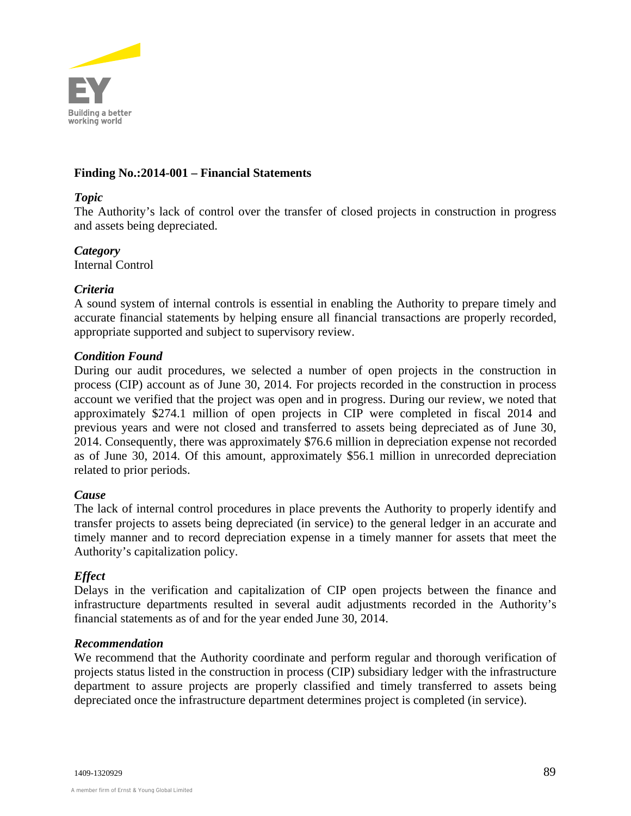

## **Finding No.:2014-001 – Financial Statements**

#### *Topic*

The Authority's lack of control over the transfer of closed projects in construction in progress and assets being depreciated.

## *Category*

Internal Control

## *Criteria*

A sound system of internal controls is essential in enabling the Authority to prepare timely and accurate financial statements by helping ensure all financial transactions are properly recorded, appropriate supported and subject to supervisory review.

## *Condition Found*

During our audit procedures, we selected a number of open projects in the construction in process (CIP) account as of June 30, 2014. For projects recorded in the construction in process account we verified that the project was open and in progress. During our review, we noted that approximately \$274.1 million of open projects in CIP were completed in fiscal 2014 and previous years and were not closed and transferred to assets being depreciated as of June 30, 2014. Consequently, there was approximately \$76.6 million in depreciation expense not recorded as of June 30, 2014. Of this amount, approximately \$56.1 million in unrecorded depreciation related to prior periods.

## *Cause*

The lack of internal control procedures in place prevents the Authority to properly identify and transfer projects to assets being depreciated (in service) to the general ledger in an accurate and timely manner and to record depreciation expense in a timely manner for assets that meet the Authority's capitalization policy.

## *Effect*

Delays in the verification and capitalization of CIP open projects between the finance and infrastructure departments resulted in several audit adjustments recorded in the Authority's financial statements as of and for the year ended June 30, 2014.

## *Recommendation*

We recommend that the Authority coordinate and perform regular and thorough verification of projects status listed in the construction in process (CIP) subsidiary ledger with the infrastructure department to assure projects are properly classified and timely transferred to assets being depreciated once the infrastructure department determines project is completed (in service).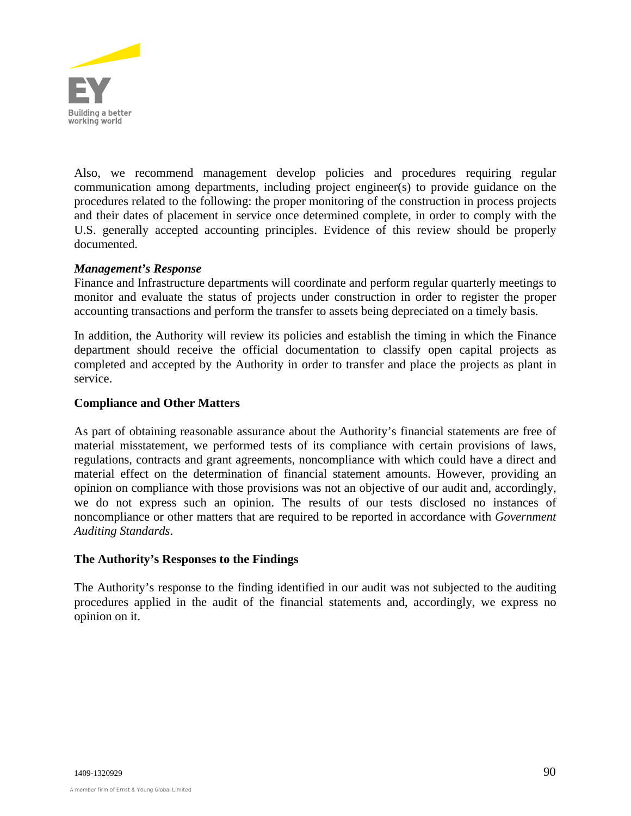

Also, we recommend management develop policies and procedures requiring regular communication among departments, including project engineer(s) to provide guidance on the procedures related to the following: the proper monitoring of the construction in process projects and their dates of placement in service once determined complete, in order to comply with the U.S. generally accepted accounting principles. Evidence of this review should be properly documented.

## *Management's Response*

Finance and Infrastructure departments will coordinate and perform regular quarterly meetings to monitor and evaluate the status of projects under construction in order to register the proper accounting transactions and perform the transfer to assets being depreciated on a timely basis.

In addition, the Authority will review its policies and establish the timing in which the Finance department should receive the official documentation to classify open capital projects as completed and accepted by the Authority in order to transfer and place the projects as plant in service.

#### **Compliance and Other Matters**

As part of obtaining reasonable assurance about the Authority's financial statements are free of material misstatement, we performed tests of its compliance with certain provisions of laws, regulations, contracts and grant agreements, noncompliance with which could have a direct and material effect on the determination of financial statement amounts. However, providing an opinion on compliance with those provisions was not an objective of our audit and, accordingly, we do not express such an opinion. The results of our tests disclosed no instances of noncompliance or other matters that are required to be reported in accordance with *Government Auditing Standards*.

#### **The Authority's Responses to the Findings**

The Authority's response to the finding identified in our audit was not subjected to the auditing procedures applied in the audit of the financial statements and, accordingly, we express no opinion on it.